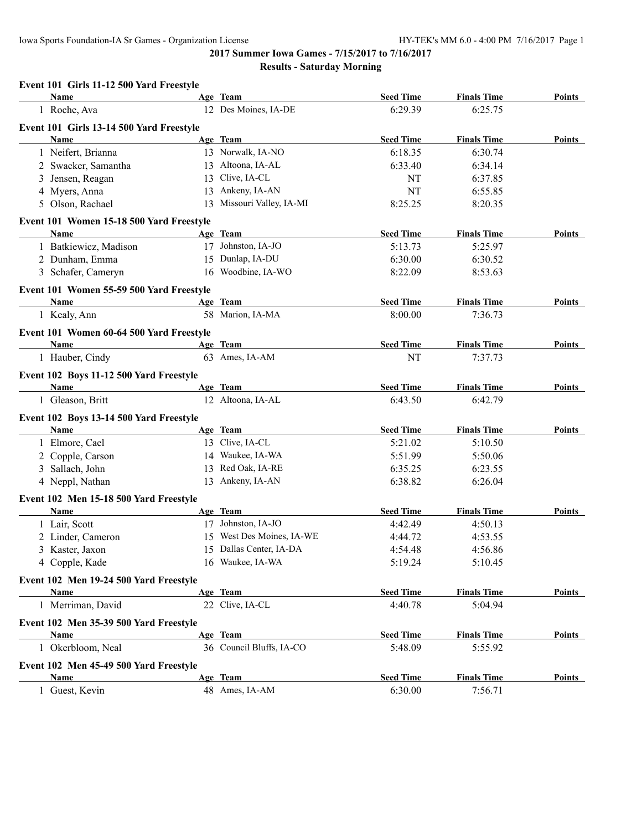#### **Results - Saturday Morning**

#### **Event 101 Girls 11-12 500 Yard Freestyle**

| <b>Name</b>                                            | Age Team                  | <b>Seed Time</b> | <b>Finals Time</b> | <b>Points</b> |
|--------------------------------------------------------|---------------------------|------------------|--------------------|---------------|
| 1 Roche, Ava                                           | 12 Des Moines, IA-DE      | 6:29.39          | 6:25.75            |               |
| Event 101 Girls 13-14 500 Yard Freestyle               |                           |                  |                    |               |
| Name                                                   | Age Team                  | <b>Seed Time</b> | <b>Finals Time</b> | Points        |
| 1 Neifert, Brianna                                     | 13 Norwalk, IA-NO         | 6:18.35          | 6:30.74            |               |
| 2 Swacker, Samantha                                    | 13 Altoona, IA-AL         | 6:33.40          | 6:34.14            |               |
| 3 Jensen, Reagan                                       | 13 Clive, IA-CL           | NT               | 6:37.85            |               |
| 4 Myers, Anna                                          | 13 Ankeny, IA-AN          | NT               | 6:55.85            |               |
| 5 Olson, Rachael                                       | 13 Missouri Valley, IA-MI | 8:25.25          | 8:20.35            |               |
| Event 101 Women 15-18 500 Yard Freestyle               |                           |                  |                    |               |
| Name                                                   | Age Team                  | <b>Seed Time</b> | <b>Finals Time</b> | Points        |
| 1 Batkiewicz, Madison                                  | 17 Johnston, IA-JO        | 5:13.73          | 5:25.97            |               |
| 2 Dunham, Emma                                         | 15 Dunlap, IA-DU          | 6:30.00          | 6:30.52            |               |
| 3 Schafer, Cameryn                                     | 16 Woodbine, IA-WO        | 8:22.09          | 8:53.63            |               |
| Event 101 Women 55-59 500 Yard Freestyle               |                           |                  |                    |               |
| <b>Name</b>                                            | Age Team                  | <b>Seed Time</b> | <b>Finals Time</b> | Points        |
| 1 Kealy, Ann                                           | 58 Marion, IA-MA          | 8:00.00          | 7:36.73            |               |
| Event 101 Women 60-64 500 Yard Freestyle               |                           |                  |                    |               |
| Name                                                   | Age Team                  | <b>Seed Time</b> | <b>Finals Time</b> | Points        |
| 1 Hauber, Cindy                                        | 63 Ames, IA-AM            | NT               | 7:37.73            |               |
|                                                        |                           |                  |                    |               |
| Event 102 Boys 11-12 500 Yard Freestyle<br><b>Name</b> | Age Team                  | <b>Seed Time</b> | <b>Finals Time</b> | Points        |
| 1 Gleason, Britt                                       | 12 Altoona, IA-AL         | 6:43.50          | 6:42.79            |               |
|                                                        |                           |                  |                    |               |
| Event 102 Boys 13-14 500 Yard Freestyle                |                           |                  |                    |               |
| Name                                                   | Age Team                  | <b>Seed Time</b> | <b>Finals Time</b> | Points        |
| 1 Elmore, Cael                                         | 13 Clive, IA-CL           | 5:21.02          | 5:10.50            |               |
| 2 Copple, Carson                                       | 14 Waukee, IA-WA          | 5:51.99          | 5:50.06            |               |
| 3 Sallach, John                                        | 13 Red Oak, IA-RE         | 6:35.25          | 6:23.55            |               |
| 4 Neppl, Nathan                                        | 13 Ankeny, IA-AN          | 6:38.82          | 6:26.04            |               |
| Event 102 Men 15-18 500 Yard Freestyle                 |                           |                  |                    |               |
| <b>Name</b>                                            | Age Team                  | <b>Seed Time</b> | <b>Finals Time</b> | <b>Points</b> |
| 1 Lair, Scott                                          | 17 Johnston, IA-JO        | 4:42.49          | 4:50.13            |               |
| 2 Linder, Cameron                                      | 15 West Des Moines, IA-WE | 4:44.72          | 4:53.55            |               |
| 3 Kaster, Jaxon                                        | 15 Dallas Center, IA-DA   | 4:54.48          | 4:56.86            |               |
| 4 Copple, Kade                                         | 16 Waukee, IA-WA          | 5:19.24          | 5:10.45            |               |
| Event 102 Men 19-24 500 Yard Freestyle                 |                           |                  |                    |               |
| Name                                                   | Age Team                  | <b>Seed Time</b> | <b>Finals Time</b> | Points        |
| 1 Merriman, David                                      | 22 Clive, IA-CL           | 4:40.78          | 5:04.94            |               |
| Event 102 Men 35-39 500 Yard Freestyle                 |                           |                  |                    |               |
| Name                                                   | Age Team                  | <b>Seed Time</b> | <b>Finals Time</b> | <b>Points</b> |
| 1 Okerbloom, Neal                                      | 36 Council Bluffs, IA-CO  | 5:48.09          | 5:55.92            |               |
| Event 102 Men 45-49 500 Yard Freestyle                 |                           |                  |                    |               |
| Name                                                   | Age Team                  | <b>Seed Time</b> | <b>Finals Time</b> | Points        |
| 1 Guest, Kevin                                         | 48 Ames, IA-AM            | 6:30.00          | 7:56.71            |               |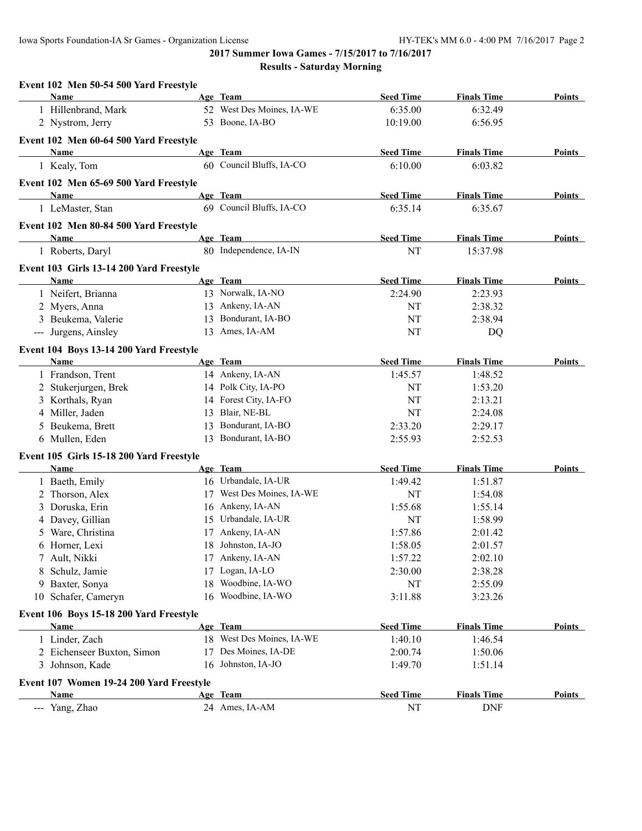| Event 102 Men 50-54 500 Yard Freestyle          |    |                           |                  |                    |               |
|-------------------------------------------------|----|---------------------------|------------------|--------------------|---------------|
| Name                                            |    | Age Team                  | <b>Seed Time</b> | <b>Finals Time</b> | <b>Points</b> |
| 1 Hillenbrand, Mark                             |    | 52 West Des Moines, IA-WE | 6:35.00          | 6:32.49            |               |
| 2 Nystrom, Jerry                                |    | 53 Boone, IA-BO           | 10:19.00         | 6:56.95            |               |
| Event 102 Men 60-64 500 Yard Freestyle          |    |                           |                  |                    |               |
| Name                                            |    | Age Team                  | <b>Seed Time</b> | <b>Finals Time</b> | Points        |
| 1 Kealy, Tom                                    |    | 60 Council Bluffs, IA-CO  | 6:10.00          | 6:03.82            |               |
| Event 102 Men 65-69 500 Yard Freestyle          |    |                           |                  |                    |               |
| Name                                            |    | Age Team                  | <b>Seed Time</b> | <b>Finals Time</b> | Points        |
| 1 LeMaster, Stan                                |    | 69 Council Bluffs, IA-CO  | 6:35.14          | 6:35.67            |               |
| Event 102 Men 80-84 500 Yard Freestyle          |    |                           |                  |                    |               |
| Name                                            |    | Age Team                  | <b>Seed Time</b> | <b>Finals Time</b> | Points        |
| 1 Roberts, Daryl                                |    | 80 Independence, IA-IN    | NT               | 15:37.98           |               |
| Event 103 Girls 13-14 200 Yard Freestyle        |    |                           |                  |                    |               |
| Name                                            |    | Age Team                  | <b>Seed Time</b> | <b>Finals Time</b> | Points        |
| 1 Neifert, Brianna                              |    | 13 Norwalk, IA-NO         | 2:24.90          | 2:23.93            |               |
| 2 Myers, Anna                                   |    | 13 Ankeny, IA-AN          | NT               | 2:38.32            |               |
| 3 Beukema, Valerie                              | 13 | Bondurant, IA-BO          | NT               | 2:38.94            |               |
| --- Jurgens, Ainsley                            |    | 13 Ames, IA-AM            | NT               | DQ                 |               |
|                                                 |    |                           |                  |                    |               |
| Event 104 Boys 13-14 200 Yard Freestyle<br>Name |    | Age Team                  | <b>Seed Time</b> | <b>Finals Time</b> | Points        |
| 1 Frandson, Trent                               |    | 14 Ankeny, IA-AN          | 1:45.57          | 1:48.52            |               |
|                                                 |    | 14 Polk City, IA-PO       | NT               | 1:53.20            |               |
| 2 Stukerjurgen, Brek<br>3 Korthals, Ryan        |    | 14 Forest City, IA-FO     | NT               | 2:13.21            |               |
| 4 Miller, Jaden                                 | 13 | Blair, NE-BL              | NT               | 2:24.08            |               |
| 5 Beukema, Brett                                | 13 | Bondurant, IA-BO          | 2:33.20          | 2:29.17            |               |
| 6 Mullen, Eden                                  |    | 13 Bondurant, IA-BO       | 2:55.93          | 2:52.53            |               |
|                                                 |    |                           |                  |                    |               |
| Event 105 Girls 15-18 200 Yard Freestyle        |    |                           |                  |                    |               |
| Name                                            |    | Age Team                  | <b>Seed Time</b> | <b>Finals Time</b> | Points        |
| 1 Baeth, Emily                                  |    | 16 Urbandale, IA-UR       | 1:49.42          | 1:51.87            |               |
| 2 Thorson, Alex                                 |    | 17 West Des Moines, IA-WE | NT               | 1:54.08            |               |
| 3 Doruska, Erin                                 |    | 16 Ankeny, IA-AN          | 1:55.68          | 1:55.14            |               |
| 4 Davey, Gillian                                |    | 15 Urbandale, IA-UR       | NT               | 1:58.99            |               |
| 5 Ware, Christina                               |    | 17 Ankeny, IA-AN          | 1:57.86          | 2:01.42            |               |
| 6 Horner, Lexi                                  |    | 18 Johnston, IA-JO        | 1:58.05          | 2:01.57            |               |
| 7 Ault, Nikki                                   |    | 17 Ankeny, IA-AN          | 1:57.22          | 2:02.10            |               |
| 8 Schulz, Jamie                                 |    | 17 Logan, IA-LO           | 2:30.00          | 2:38.28            |               |
| 9 Baxter, Sonya                                 |    | 18 Woodbine, IA-WO        | NT               | 2:55.09            |               |
| 10 Schafer, Cameryn                             |    | 16 Woodbine, IA-WO        | 3:11.88          | 3:23.26            |               |
| Event 106 Boys 15-18 200 Yard Freestyle         |    |                           |                  |                    |               |
| Name                                            |    | Age Team                  | <b>Seed Time</b> | <b>Finals Time</b> | <b>Points</b> |
| 1 Linder, Zach                                  |    | 18 West Des Moines, IA-WE | 1:40.10          | 1:46.54            |               |
| 2 Eichenseer Buxton, Simon                      | 17 | Des Moines, IA-DE         | 2:00.74          | 1:50.06            |               |
| 3 Johnson, Kade                                 |    | 16 Johnston, IA-JO        | 1:49.70          | 1:51.14            |               |
| Event 107 Women 19-24 200 Yard Freestyle        |    |                           |                  |                    |               |
| Name                                            |    | Age Team                  | <b>Seed Time</b> | <b>Finals Time</b> | <b>Points</b> |
| --- Yang, Zhao                                  |    | 24 Ames, IA-AM            | NT               | <b>DNF</b>         |               |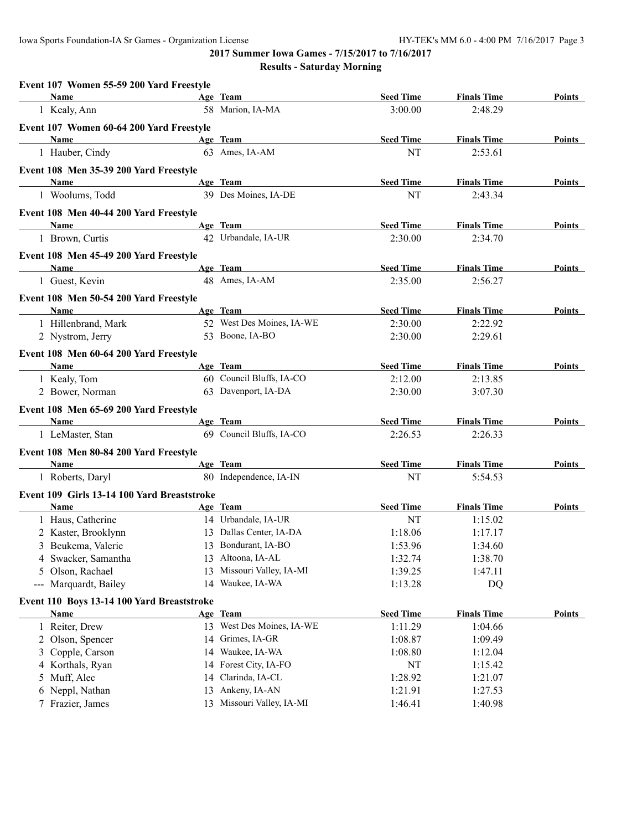| Name<br><b>Seed Time</b><br><b>Finals Time</b><br>Age Team<br>Points<br>the control of the control of the control of the<br>58 Marion, IA-MA<br>3:00.00<br>1 Kealy, Ann<br>2:48.29<br>Event 107 Women 60-64 200 Yard Freestyle<br>Age Team<br><b>Seed Time</b><br><b>Finals Time</b><br>Name<br>Points<br>63 Ames, IA-AM<br>NT<br>1 Hauber, Cindy<br>2:53.61<br>Event 108 Men 35-39 200 Yard Freestyle<br>Age Team<br>Name<br><b>Seed Time</b><br><b>Finals Time</b><br>Points<br>39 Des Moines, IA-DE<br>1 Woolums, Todd<br>NT<br>2:43.34<br>Event 108 Men 40-44 200 Yard Freestyle<br>Age Team<br>Name<br><b>Seed Time</b><br><b>Finals Time</b><br>Points<br>42 Urbandale, IA-UR<br>2:30.00<br>1 Brown, Curtis<br>2:34.70<br>Event 108 Men 45-49 200 Yard Freestyle<br>Age Team<br><b>Seed Time</b><br><b>Finals Time</b><br>Points<br>Name<br>48 Ames, IA-AM<br>1 Guest, Kevin<br>2:35.00<br>2:56.27<br>Event 108 Men 50-54 200 Yard Freestyle<br>Name<br><b>Seed Time</b><br><b>Finals Time</b><br>Age Team<br>Points<br>52 West Des Moines, IA-WE<br>1 Hillenbrand, Mark<br>2:30.00<br>2:22.92<br>53 Boone, IA-BO<br>2 Nystrom, Jerry<br>2:30.00<br>2:29.61<br>Event 108 Men 60-64 200 Yard Freestyle<br>Age Team<br><b>Seed Time</b><br><b>Finals Time</b><br>Name<br>Points<br>60 Council Bluffs, IA-CO<br>1 Kealy, Tom<br>2:12.00<br>2:13.85<br>63 Davenport, IA-DA<br>2 Bower, Norman<br>2:30.00<br>3:07.30<br>Event 108 Men 65-69 200 Yard Freestyle<br>Age Team<br><b>Seed Time</b><br><b>Finals Time</b><br>Name<br>Points<br>69 Council Bluffs, IA-CO<br>2:26.53<br>2:26.33<br>1 LeMaster, Stan<br>Event 108 Men 80-84 200 Yard Freestyle<br>Age Team<br><b>Seed Time</b><br><b>Finals Time</b><br>Name<br>Points<br>80 Independence, IA-IN<br>1 Roberts, Daryl<br>NT<br>5:54.53<br>Event 109 Girls 13-14 100 Yard Breaststroke<br><b>Seed Time</b><br><b>Finals Time</b><br>Name<br>Age Team<br>Points<br>1 Haus, Catherine<br>14 Urbandale, IA-UR<br>NT<br>1:15.02<br>2 Kaster, Brooklynn<br>13 Dallas Center, IA-DA<br>1:18.06<br>1:17.17<br>1:53.96<br>3 Beukema, Valerie<br>13 Bondurant, IA-BO<br>1:34.60<br>13 Altoona, IA-AL<br>4 Swacker, Samantha<br>1:38.70<br>1:32.74<br>13 Missouri Valley, IA-MI<br>5 Olson, Rachael<br>1:39.25<br>1:47.11<br>14 Waukee, IA-WA<br>--- Marquardt, Bailey<br>1:13.28<br>DQ<br>Event 110 Boys 13-14 100 Yard Breaststroke<br><b>Seed Time</b><br><b>Finals Time</b><br>Age Team<br><b>Points</b><br><u>Name</u><br>13 West Des Moines, IA-WE<br>1 Reiter, Drew<br>1:11.29<br>1:04.66<br>14 Grimes, IA-GR<br>2 Olson, Spencer<br>1:08.87<br>1:09.49<br>14 Waukee, IA-WA<br>3 Copple, Carson<br>1:08.80<br>1:12.04<br>14 Forest City, IA-FO<br>4 Korthals, Ryan<br>NT<br>1:15.42<br>14 Clarinda, IA-CL<br>5 Muff, Alec<br>1:28.92<br>1:21.07<br>13 Ankeny, IA-AN<br>6 Neppl, Nathan<br>1:21.91<br>1:27.53<br>13 Missouri Valley, IA-MI<br>7 Frazier, James<br>1:46.41<br>1:40.98 | Event 107 Women 55-59 200 Yard Freestyle |  |  |  |
|-----------------------------------------------------------------------------------------------------------------------------------------------------------------------------------------------------------------------------------------------------------------------------------------------------------------------------------------------------------------------------------------------------------------------------------------------------------------------------------------------------------------------------------------------------------------------------------------------------------------------------------------------------------------------------------------------------------------------------------------------------------------------------------------------------------------------------------------------------------------------------------------------------------------------------------------------------------------------------------------------------------------------------------------------------------------------------------------------------------------------------------------------------------------------------------------------------------------------------------------------------------------------------------------------------------------------------------------------------------------------------------------------------------------------------------------------------------------------------------------------------------------------------------------------------------------------------------------------------------------------------------------------------------------------------------------------------------------------------------------------------------------------------------------------------------------------------------------------------------------------------------------------------------------------------------------------------------------------------------------------------------------------------------------------------------------------------------------------------------------------------------------------------------------------------------------------------------------------------------------------------------------------------------------------------------------------------------------------------------------------------------------------------------------------------------------------------------------------------------------------------------------------------------------------------------------------------------------------------------------------------------------------------------------------------------------------------------------------------------------------------------------------------------------------------------------------------------------------------------------------------------------------------------------------------------------|------------------------------------------|--|--|--|
|                                                                                                                                                                                                                                                                                                                                                                                                                                                                                                                                                                                                                                                                                                                                                                                                                                                                                                                                                                                                                                                                                                                                                                                                                                                                                                                                                                                                                                                                                                                                                                                                                                                                                                                                                                                                                                                                                                                                                                                                                                                                                                                                                                                                                                                                                                                                                                                                                                                                                                                                                                                                                                                                                                                                                                                                                                                                                                                                         |                                          |  |  |  |
|                                                                                                                                                                                                                                                                                                                                                                                                                                                                                                                                                                                                                                                                                                                                                                                                                                                                                                                                                                                                                                                                                                                                                                                                                                                                                                                                                                                                                                                                                                                                                                                                                                                                                                                                                                                                                                                                                                                                                                                                                                                                                                                                                                                                                                                                                                                                                                                                                                                                                                                                                                                                                                                                                                                                                                                                                                                                                                                                         |                                          |  |  |  |
|                                                                                                                                                                                                                                                                                                                                                                                                                                                                                                                                                                                                                                                                                                                                                                                                                                                                                                                                                                                                                                                                                                                                                                                                                                                                                                                                                                                                                                                                                                                                                                                                                                                                                                                                                                                                                                                                                                                                                                                                                                                                                                                                                                                                                                                                                                                                                                                                                                                                                                                                                                                                                                                                                                                                                                                                                                                                                                                                         |                                          |  |  |  |
|                                                                                                                                                                                                                                                                                                                                                                                                                                                                                                                                                                                                                                                                                                                                                                                                                                                                                                                                                                                                                                                                                                                                                                                                                                                                                                                                                                                                                                                                                                                                                                                                                                                                                                                                                                                                                                                                                                                                                                                                                                                                                                                                                                                                                                                                                                                                                                                                                                                                                                                                                                                                                                                                                                                                                                                                                                                                                                                                         |                                          |  |  |  |
|                                                                                                                                                                                                                                                                                                                                                                                                                                                                                                                                                                                                                                                                                                                                                                                                                                                                                                                                                                                                                                                                                                                                                                                                                                                                                                                                                                                                                                                                                                                                                                                                                                                                                                                                                                                                                                                                                                                                                                                                                                                                                                                                                                                                                                                                                                                                                                                                                                                                                                                                                                                                                                                                                                                                                                                                                                                                                                                                         |                                          |  |  |  |
|                                                                                                                                                                                                                                                                                                                                                                                                                                                                                                                                                                                                                                                                                                                                                                                                                                                                                                                                                                                                                                                                                                                                                                                                                                                                                                                                                                                                                                                                                                                                                                                                                                                                                                                                                                                                                                                                                                                                                                                                                                                                                                                                                                                                                                                                                                                                                                                                                                                                                                                                                                                                                                                                                                                                                                                                                                                                                                                                         |                                          |  |  |  |
|                                                                                                                                                                                                                                                                                                                                                                                                                                                                                                                                                                                                                                                                                                                                                                                                                                                                                                                                                                                                                                                                                                                                                                                                                                                                                                                                                                                                                                                                                                                                                                                                                                                                                                                                                                                                                                                                                                                                                                                                                                                                                                                                                                                                                                                                                                                                                                                                                                                                                                                                                                                                                                                                                                                                                                                                                                                                                                                                         |                                          |  |  |  |
|                                                                                                                                                                                                                                                                                                                                                                                                                                                                                                                                                                                                                                                                                                                                                                                                                                                                                                                                                                                                                                                                                                                                                                                                                                                                                                                                                                                                                                                                                                                                                                                                                                                                                                                                                                                                                                                                                                                                                                                                                                                                                                                                                                                                                                                                                                                                                                                                                                                                                                                                                                                                                                                                                                                                                                                                                                                                                                                                         |                                          |  |  |  |
|                                                                                                                                                                                                                                                                                                                                                                                                                                                                                                                                                                                                                                                                                                                                                                                                                                                                                                                                                                                                                                                                                                                                                                                                                                                                                                                                                                                                                                                                                                                                                                                                                                                                                                                                                                                                                                                                                                                                                                                                                                                                                                                                                                                                                                                                                                                                                                                                                                                                                                                                                                                                                                                                                                                                                                                                                                                                                                                                         |                                          |  |  |  |
|                                                                                                                                                                                                                                                                                                                                                                                                                                                                                                                                                                                                                                                                                                                                                                                                                                                                                                                                                                                                                                                                                                                                                                                                                                                                                                                                                                                                                                                                                                                                                                                                                                                                                                                                                                                                                                                                                                                                                                                                                                                                                                                                                                                                                                                                                                                                                                                                                                                                                                                                                                                                                                                                                                                                                                                                                                                                                                                                         |                                          |  |  |  |
|                                                                                                                                                                                                                                                                                                                                                                                                                                                                                                                                                                                                                                                                                                                                                                                                                                                                                                                                                                                                                                                                                                                                                                                                                                                                                                                                                                                                                                                                                                                                                                                                                                                                                                                                                                                                                                                                                                                                                                                                                                                                                                                                                                                                                                                                                                                                                                                                                                                                                                                                                                                                                                                                                                                                                                                                                                                                                                                                         |                                          |  |  |  |
|                                                                                                                                                                                                                                                                                                                                                                                                                                                                                                                                                                                                                                                                                                                                                                                                                                                                                                                                                                                                                                                                                                                                                                                                                                                                                                                                                                                                                                                                                                                                                                                                                                                                                                                                                                                                                                                                                                                                                                                                                                                                                                                                                                                                                                                                                                                                                                                                                                                                                                                                                                                                                                                                                                                                                                                                                                                                                                                                         |                                          |  |  |  |
|                                                                                                                                                                                                                                                                                                                                                                                                                                                                                                                                                                                                                                                                                                                                                                                                                                                                                                                                                                                                                                                                                                                                                                                                                                                                                                                                                                                                                                                                                                                                                                                                                                                                                                                                                                                                                                                                                                                                                                                                                                                                                                                                                                                                                                                                                                                                                                                                                                                                                                                                                                                                                                                                                                                                                                                                                                                                                                                                         |                                          |  |  |  |
|                                                                                                                                                                                                                                                                                                                                                                                                                                                                                                                                                                                                                                                                                                                                                                                                                                                                                                                                                                                                                                                                                                                                                                                                                                                                                                                                                                                                                                                                                                                                                                                                                                                                                                                                                                                                                                                                                                                                                                                                                                                                                                                                                                                                                                                                                                                                                                                                                                                                                                                                                                                                                                                                                                                                                                                                                                                                                                                                         |                                          |  |  |  |
|                                                                                                                                                                                                                                                                                                                                                                                                                                                                                                                                                                                                                                                                                                                                                                                                                                                                                                                                                                                                                                                                                                                                                                                                                                                                                                                                                                                                                                                                                                                                                                                                                                                                                                                                                                                                                                                                                                                                                                                                                                                                                                                                                                                                                                                                                                                                                                                                                                                                                                                                                                                                                                                                                                                                                                                                                                                                                                                                         |                                          |  |  |  |
|                                                                                                                                                                                                                                                                                                                                                                                                                                                                                                                                                                                                                                                                                                                                                                                                                                                                                                                                                                                                                                                                                                                                                                                                                                                                                                                                                                                                                                                                                                                                                                                                                                                                                                                                                                                                                                                                                                                                                                                                                                                                                                                                                                                                                                                                                                                                                                                                                                                                                                                                                                                                                                                                                                                                                                                                                                                                                                                                         |                                          |  |  |  |
|                                                                                                                                                                                                                                                                                                                                                                                                                                                                                                                                                                                                                                                                                                                                                                                                                                                                                                                                                                                                                                                                                                                                                                                                                                                                                                                                                                                                                                                                                                                                                                                                                                                                                                                                                                                                                                                                                                                                                                                                                                                                                                                                                                                                                                                                                                                                                                                                                                                                                                                                                                                                                                                                                                                                                                                                                                                                                                                                         |                                          |  |  |  |
|                                                                                                                                                                                                                                                                                                                                                                                                                                                                                                                                                                                                                                                                                                                                                                                                                                                                                                                                                                                                                                                                                                                                                                                                                                                                                                                                                                                                                                                                                                                                                                                                                                                                                                                                                                                                                                                                                                                                                                                                                                                                                                                                                                                                                                                                                                                                                                                                                                                                                                                                                                                                                                                                                                                                                                                                                                                                                                                                         |                                          |  |  |  |
|                                                                                                                                                                                                                                                                                                                                                                                                                                                                                                                                                                                                                                                                                                                                                                                                                                                                                                                                                                                                                                                                                                                                                                                                                                                                                                                                                                                                                                                                                                                                                                                                                                                                                                                                                                                                                                                                                                                                                                                                                                                                                                                                                                                                                                                                                                                                                                                                                                                                                                                                                                                                                                                                                                                                                                                                                                                                                                                                         |                                          |  |  |  |
|                                                                                                                                                                                                                                                                                                                                                                                                                                                                                                                                                                                                                                                                                                                                                                                                                                                                                                                                                                                                                                                                                                                                                                                                                                                                                                                                                                                                                                                                                                                                                                                                                                                                                                                                                                                                                                                                                                                                                                                                                                                                                                                                                                                                                                                                                                                                                                                                                                                                                                                                                                                                                                                                                                                                                                                                                                                                                                                                         |                                          |  |  |  |
|                                                                                                                                                                                                                                                                                                                                                                                                                                                                                                                                                                                                                                                                                                                                                                                                                                                                                                                                                                                                                                                                                                                                                                                                                                                                                                                                                                                                                                                                                                                                                                                                                                                                                                                                                                                                                                                                                                                                                                                                                                                                                                                                                                                                                                                                                                                                                                                                                                                                                                                                                                                                                                                                                                                                                                                                                                                                                                                                         |                                          |  |  |  |
|                                                                                                                                                                                                                                                                                                                                                                                                                                                                                                                                                                                                                                                                                                                                                                                                                                                                                                                                                                                                                                                                                                                                                                                                                                                                                                                                                                                                                                                                                                                                                                                                                                                                                                                                                                                                                                                                                                                                                                                                                                                                                                                                                                                                                                                                                                                                                                                                                                                                                                                                                                                                                                                                                                                                                                                                                                                                                                                                         |                                          |  |  |  |
|                                                                                                                                                                                                                                                                                                                                                                                                                                                                                                                                                                                                                                                                                                                                                                                                                                                                                                                                                                                                                                                                                                                                                                                                                                                                                                                                                                                                                                                                                                                                                                                                                                                                                                                                                                                                                                                                                                                                                                                                                                                                                                                                                                                                                                                                                                                                                                                                                                                                                                                                                                                                                                                                                                                                                                                                                                                                                                                                         |                                          |  |  |  |
|                                                                                                                                                                                                                                                                                                                                                                                                                                                                                                                                                                                                                                                                                                                                                                                                                                                                                                                                                                                                                                                                                                                                                                                                                                                                                                                                                                                                                                                                                                                                                                                                                                                                                                                                                                                                                                                                                                                                                                                                                                                                                                                                                                                                                                                                                                                                                                                                                                                                                                                                                                                                                                                                                                                                                                                                                                                                                                                                         |                                          |  |  |  |
|                                                                                                                                                                                                                                                                                                                                                                                                                                                                                                                                                                                                                                                                                                                                                                                                                                                                                                                                                                                                                                                                                                                                                                                                                                                                                                                                                                                                                                                                                                                                                                                                                                                                                                                                                                                                                                                                                                                                                                                                                                                                                                                                                                                                                                                                                                                                                                                                                                                                                                                                                                                                                                                                                                                                                                                                                                                                                                                                         |                                          |  |  |  |
|                                                                                                                                                                                                                                                                                                                                                                                                                                                                                                                                                                                                                                                                                                                                                                                                                                                                                                                                                                                                                                                                                                                                                                                                                                                                                                                                                                                                                                                                                                                                                                                                                                                                                                                                                                                                                                                                                                                                                                                                                                                                                                                                                                                                                                                                                                                                                                                                                                                                                                                                                                                                                                                                                                                                                                                                                                                                                                                                         |                                          |  |  |  |
|                                                                                                                                                                                                                                                                                                                                                                                                                                                                                                                                                                                                                                                                                                                                                                                                                                                                                                                                                                                                                                                                                                                                                                                                                                                                                                                                                                                                                                                                                                                                                                                                                                                                                                                                                                                                                                                                                                                                                                                                                                                                                                                                                                                                                                                                                                                                                                                                                                                                                                                                                                                                                                                                                                                                                                                                                                                                                                                                         |                                          |  |  |  |
|                                                                                                                                                                                                                                                                                                                                                                                                                                                                                                                                                                                                                                                                                                                                                                                                                                                                                                                                                                                                                                                                                                                                                                                                                                                                                                                                                                                                                                                                                                                                                                                                                                                                                                                                                                                                                                                                                                                                                                                                                                                                                                                                                                                                                                                                                                                                                                                                                                                                                                                                                                                                                                                                                                                                                                                                                                                                                                                                         |                                          |  |  |  |
|                                                                                                                                                                                                                                                                                                                                                                                                                                                                                                                                                                                                                                                                                                                                                                                                                                                                                                                                                                                                                                                                                                                                                                                                                                                                                                                                                                                                                                                                                                                                                                                                                                                                                                                                                                                                                                                                                                                                                                                                                                                                                                                                                                                                                                                                                                                                                                                                                                                                                                                                                                                                                                                                                                                                                                                                                                                                                                                                         |                                          |  |  |  |
|                                                                                                                                                                                                                                                                                                                                                                                                                                                                                                                                                                                                                                                                                                                                                                                                                                                                                                                                                                                                                                                                                                                                                                                                                                                                                                                                                                                                                                                                                                                                                                                                                                                                                                                                                                                                                                                                                                                                                                                                                                                                                                                                                                                                                                                                                                                                                                                                                                                                                                                                                                                                                                                                                                                                                                                                                                                                                                                                         |                                          |  |  |  |
|                                                                                                                                                                                                                                                                                                                                                                                                                                                                                                                                                                                                                                                                                                                                                                                                                                                                                                                                                                                                                                                                                                                                                                                                                                                                                                                                                                                                                                                                                                                                                                                                                                                                                                                                                                                                                                                                                                                                                                                                                                                                                                                                                                                                                                                                                                                                                                                                                                                                                                                                                                                                                                                                                                                                                                                                                                                                                                                                         |                                          |  |  |  |
|                                                                                                                                                                                                                                                                                                                                                                                                                                                                                                                                                                                                                                                                                                                                                                                                                                                                                                                                                                                                                                                                                                                                                                                                                                                                                                                                                                                                                                                                                                                                                                                                                                                                                                                                                                                                                                                                                                                                                                                                                                                                                                                                                                                                                                                                                                                                                                                                                                                                                                                                                                                                                                                                                                                                                                                                                                                                                                                                         |                                          |  |  |  |
|                                                                                                                                                                                                                                                                                                                                                                                                                                                                                                                                                                                                                                                                                                                                                                                                                                                                                                                                                                                                                                                                                                                                                                                                                                                                                                                                                                                                                                                                                                                                                                                                                                                                                                                                                                                                                                                                                                                                                                                                                                                                                                                                                                                                                                                                                                                                                                                                                                                                                                                                                                                                                                                                                                                                                                                                                                                                                                                                         |                                          |  |  |  |
|                                                                                                                                                                                                                                                                                                                                                                                                                                                                                                                                                                                                                                                                                                                                                                                                                                                                                                                                                                                                                                                                                                                                                                                                                                                                                                                                                                                                                                                                                                                                                                                                                                                                                                                                                                                                                                                                                                                                                                                                                                                                                                                                                                                                                                                                                                                                                                                                                                                                                                                                                                                                                                                                                                                                                                                                                                                                                                                                         |                                          |  |  |  |
|                                                                                                                                                                                                                                                                                                                                                                                                                                                                                                                                                                                                                                                                                                                                                                                                                                                                                                                                                                                                                                                                                                                                                                                                                                                                                                                                                                                                                                                                                                                                                                                                                                                                                                                                                                                                                                                                                                                                                                                                                                                                                                                                                                                                                                                                                                                                                                                                                                                                                                                                                                                                                                                                                                                                                                                                                                                                                                                                         |                                          |  |  |  |
|                                                                                                                                                                                                                                                                                                                                                                                                                                                                                                                                                                                                                                                                                                                                                                                                                                                                                                                                                                                                                                                                                                                                                                                                                                                                                                                                                                                                                                                                                                                                                                                                                                                                                                                                                                                                                                                                                                                                                                                                                                                                                                                                                                                                                                                                                                                                                                                                                                                                                                                                                                                                                                                                                                                                                                                                                                                                                                                                         |                                          |  |  |  |
|                                                                                                                                                                                                                                                                                                                                                                                                                                                                                                                                                                                                                                                                                                                                                                                                                                                                                                                                                                                                                                                                                                                                                                                                                                                                                                                                                                                                                                                                                                                                                                                                                                                                                                                                                                                                                                                                                                                                                                                                                                                                                                                                                                                                                                                                                                                                                                                                                                                                                                                                                                                                                                                                                                                                                                                                                                                                                                                                         |                                          |  |  |  |
|                                                                                                                                                                                                                                                                                                                                                                                                                                                                                                                                                                                                                                                                                                                                                                                                                                                                                                                                                                                                                                                                                                                                                                                                                                                                                                                                                                                                                                                                                                                                                                                                                                                                                                                                                                                                                                                                                                                                                                                                                                                                                                                                                                                                                                                                                                                                                                                                                                                                                                                                                                                                                                                                                                                                                                                                                                                                                                                                         |                                          |  |  |  |
|                                                                                                                                                                                                                                                                                                                                                                                                                                                                                                                                                                                                                                                                                                                                                                                                                                                                                                                                                                                                                                                                                                                                                                                                                                                                                                                                                                                                                                                                                                                                                                                                                                                                                                                                                                                                                                                                                                                                                                                                                                                                                                                                                                                                                                                                                                                                                                                                                                                                                                                                                                                                                                                                                                                                                                                                                                                                                                                                         |                                          |  |  |  |
|                                                                                                                                                                                                                                                                                                                                                                                                                                                                                                                                                                                                                                                                                                                                                                                                                                                                                                                                                                                                                                                                                                                                                                                                                                                                                                                                                                                                                                                                                                                                                                                                                                                                                                                                                                                                                                                                                                                                                                                                                                                                                                                                                                                                                                                                                                                                                                                                                                                                                                                                                                                                                                                                                                                                                                                                                                                                                                                                         |                                          |  |  |  |
|                                                                                                                                                                                                                                                                                                                                                                                                                                                                                                                                                                                                                                                                                                                                                                                                                                                                                                                                                                                                                                                                                                                                                                                                                                                                                                                                                                                                                                                                                                                                                                                                                                                                                                                                                                                                                                                                                                                                                                                                                                                                                                                                                                                                                                                                                                                                                                                                                                                                                                                                                                                                                                                                                                                                                                                                                                                                                                                                         |                                          |  |  |  |
|                                                                                                                                                                                                                                                                                                                                                                                                                                                                                                                                                                                                                                                                                                                                                                                                                                                                                                                                                                                                                                                                                                                                                                                                                                                                                                                                                                                                                                                                                                                                                                                                                                                                                                                                                                                                                                                                                                                                                                                                                                                                                                                                                                                                                                                                                                                                                                                                                                                                                                                                                                                                                                                                                                                                                                                                                                                                                                                                         |                                          |  |  |  |
|                                                                                                                                                                                                                                                                                                                                                                                                                                                                                                                                                                                                                                                                                                                                                                                                                                                                                                                                                                                                                                                                                                                                                                                                                                                                                                                                                                                                                                                                                                                                                                                                                                                                                                                                                                                                                                                                                                                                                                                                                                                                                                                                                                                                                                                                                                                                                                                                                                                                                                                                                                                                                                                                                                                                                                                                                                                                                                                                         |                                          |  |  |  |
|                                                                                                                                                                                                                                                                                                                                                                                                                                                                                                                                                                                                                                                                                                                                                                                                                                                                                                                                                                                                                                                                                                                                                                                                                                                                                                                                                                                                                                                                                                                                                                                                                                                                                                                                                                                                                                                                                                                                                                                                                                                                                                                                                                                                                                                                                                                                                                                                                                                                                                                                                                                                                                                                                                                                                                                                                                                                                                                                         |                                          |  |  |  |
|                                                                                                                                                                                                                                                                                                                                                                                                                                                                                                                                                                                                                                                                                                                                                                                                                                                                                                                                                                                                                                                                                                                                                                                                                                                                                                                                                                                                                                                                                                                                                                                                                                                                                                                                                                                                                                                                                                                                                                                                                                                                                                                                                                                                                                                                                                                                                                                                                                                                                                                                                                                                                                                                                                                                                                                                                                                                                                                                         |                                          |  |  |  |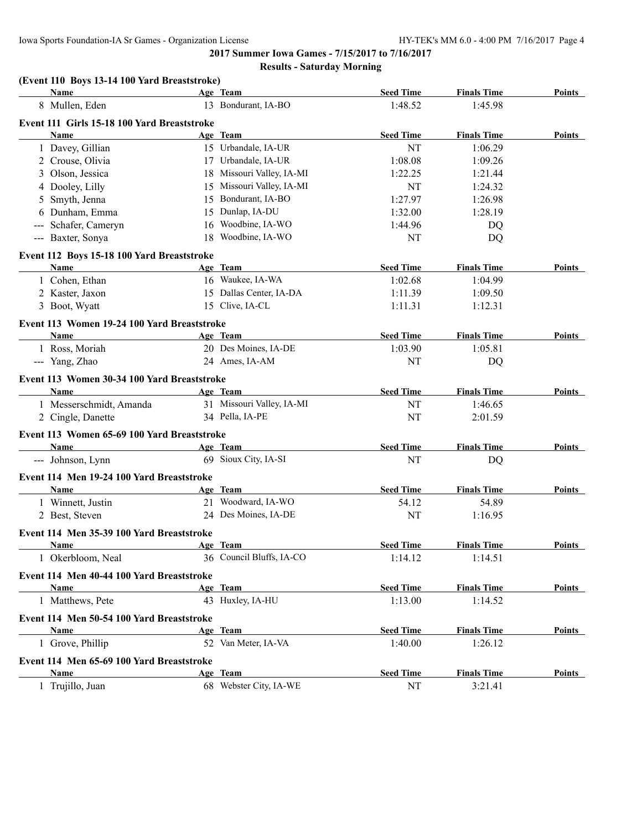#### **Results - Saturday Morning**

#### **(Event 110 Boys 13-14 100 Yard Breaststroke)**

| Name                                              |    | Age Team                  | <b>Seed Time</b> | <b>Finals Time</b> | <b>Points</b> |
|---------------------------------------------------|----|---------------------------|------------------|--------------------|---------------|
| 8 Mullen, Eden                                    |    | 13 Bondurant, IA-BO       | 1:48.52          | 1:45.98            |               |
| Event 111 Girls 15-18 100 Yard Breaststroke       |    |                           |                  |                    |               |
| Name                                              |    | Age Team                  | <b>Seed Time</b> | <b>Finals Time</b> | Points        |
| 1 Davey, Gillian                                  |    | 15 Urbandale, IA-UR       | NT               | 1:06.29            |               |
| 2 Crouse, Olivia                                  |    | 17 Urbandale, IA-UR       | 1:08.08          | 1:09.26            |               |
| 3 Olson, Jessica                                  |    | 18 Missouri Valley, IA-MI | 1:22.25          | 1:21.44            |               |
| 4 Dooley, Lilly                                   |    | 15 Missouri Valley, IA-MI | NT               | 1:24.32            |               |
| 5 Smyth, Jenna                                    |    | 15 Bondurant, IA-BO       | 1:27.97          | 1:26.98            |               |
| 6 Dunham, Emma                                    | 15 | Dunlap, IA-DU             | 1:32.00          | 1:28.19            |               |
| --- Schafer, Cameryn                              | 16 | Woodbine, IA-WO           | 1:44.96          | DQ                 |               |
| --- Baxter, Sonya                                 | 18 | Woodbine, IA-WO           | NT               | DQ                 |               |
| Event 112 Boys 15-18 100 Yard Breaststroke        |    |                           |                  |                    |               |
| Name                                              |    | Age Team                  | <b>Seed Time</b> | <b>Finals Time</b> | Points        |
| 1 Cohen, Ethan                                    |    | 16 Waukee, IA-WA          | 1:02.68          | 1:04.99            |               |
| 2 Kaster, Jaxon                                   |    | 15 Dallas Center, IA-DA   | 1:11.39          | 1:09.50            |               |
| 3 Boot, Wyatt                                     |    | 15 Clive, IA-CL           | 1:11.31          | 1:12.31            |               |
| Event 113 Women 19-24 100 Yard Breaststroke       |    |                           |                  |                    |               |
| Name                                              |    | Age Team                  | <b>Seed Time</b> | <b>Finals Time</b> | Points        |
| 1 Ross, Moriah                                    |    | 20 Des Moines, IA-DE      | 1:03.90          | 1:05.81            |               |
| --- Yang, Zhao                                    |    | 24 Ames, IA-AM            | NT               | DQ                 |               |
| Event 113 Women 30-34 100 Yard Breaststroke       |    |                           |                  |                    |               |
| Name                                              |    | Age Team                  | <b>Seed Time</b> | <b>Finals Time</b> | Points        |
| 1 Messerschmidt, Amanda                           |    | 31 Missouri Valley, IA-MI | NT               | 1:46.65            |               |
| 2 Cingle, Danette                                 |    | 34 Pella, IA-PE           | NT               | 2:01.59            |               |
| Event 113 Women 65-69 100 Yard Breaststroke       |    |                           |                  |                    |               |
| Name                                              |    | Age Team                  | <b>Seed Time</b> | <b>Finals Time</b> | Points        |
| --- Johnson, Lynn                                 |    | 69 Sioux City, IA-SI      | NT               | DQ                 |               |
|                                                   |    |                           |                  |                    |               |
| Event 114 Men 19-24 100 Yard Breaststroke<br>Name |    | Age Team                  | <b>Seed Time</b> | <b>Finals Time</b> | <b>Points</b> |
| 1 Winnett, Justin                                 |    | 21 Woodward, IA-WO        | 54.12            | 54.89              |               |
| 2 Best, Steven                                    |    | 24 Des Moines, IA-DE      | NT               | 1:16.95            |               |
|                                                   |    |                           |                  |                    |               |
| Event 114 Men 35-39 100 Yard Breaststroke         |    |                           |                  |                    |               |
| Name                                              |    | Age Team                  | <b>Seed Time</b> | <b>Finals Time</b> | Points        |
| 1 Okerbloom, Neal                                 |    | 36 Council Bluffs, IA-CO  | 1:14.12          | 1:14.51            |               |
| Event 114 Men 40-44 100 Yard Breaststroke         |    |                           |                  |                    |               |
| Name                                              |    | Age Team                  | <b>Seed Time</b> | <b>Finals Time</b> | Points        |
| 1 Matthews, Pete                                  |    | 43 Huxley, IA-HU          | 1:13.00          | 1:14.52            |               |
| Event 114 Men 50-54 100 Yard Breaststroke         |    |                           |                  |                    |               |
| Name                                              |    | Age Team                  | <b>Seed Time</b> | <b>Finals Time</b> | Points        |
| 1 Grove, Phillip                                  |    | 52 Van Meter, IA-VA       | 1:40.00          | 1:26.12            |               |
| Event 114 Men 65-69 100 Yard Breaststroke         |    |                           |                  |                    |               |
| <b>Name</b>                                       |    | Age Team                  | <b>Seed Time</b> | <b>Finals Time</b> | Points        |
| 1 Trujillo, Juan                                  |    | 68 Webster City, IA-WE    | $\rm{NT}$        | 3:21.41            |               |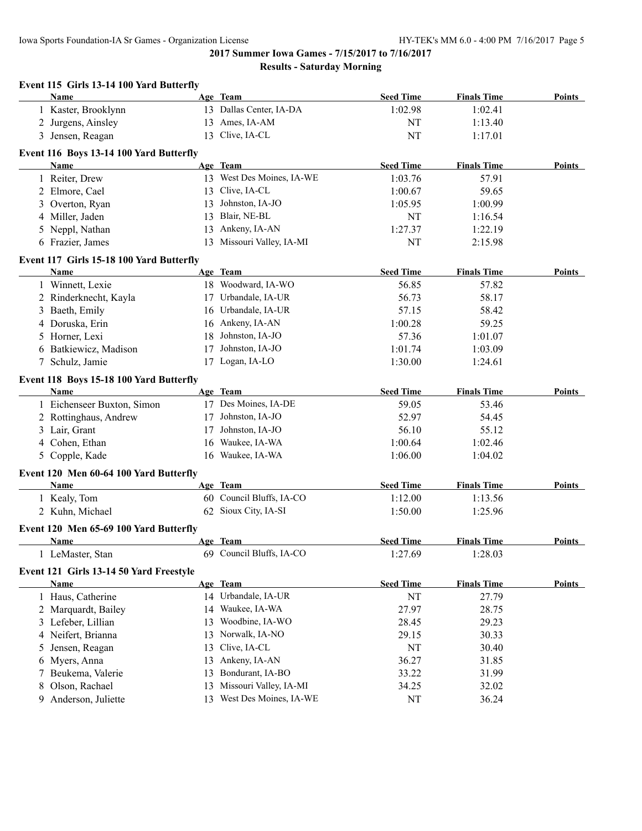Iowa Sports Foundation-IA Sr Games - Organization License HY-TEK's MM 6.0 - 4:00 PM 7/16/2017 Page 5

**2017 Summer Iowa Games - 7/15/2017 to 7/16/2017 Results - Saturday Morning**

| Event 115 Girls 13-14 100 Yard Butterfly        |    |                           |                  |                    |               |
|-------------------------------------------------|----|---------------------------|------------------|--------------------|---------------|
| Name                                            |    | Age Team                  | <b>Seed Time</b> | <b>Finals Time</b> | <b>Points</b> |
| 1 Kaster, Brooklynn                             |    | 13 Dallas Center, IA-DA   | 1:02.98          | 1:02.41            |               |
| 2 Jurgens, Ainsley                              |    | 13 Ames, IA-AM            | NT               | 1:13.40            |               |
| 3 Jensen, Reagan                                |    | 13 Clive, IA-CL           | NT               | 1:17.01            |               |
|                                                 |    |                           |                  |                    |               |
| Event 116 Boys 13-14 100 Yard Butterfly<br>Name |    | Age Team                  | <b>Seed Time</b> | <b>Finals Time</b> | Points        |
|                                                 |    |                           |                  |                    |               |
| 1 Reiter, Drew                                  |    | 13 West Des Moines, IA-WE | 1:03.76          | 57.91              |               |
| 2 Elmore, Cael                                  |    | 13 Clive, IA-CL           | 1:00.67          | 59.65              |               |
| 3 Overton, Ryan                                 |    | 13 Johnston, IA-JO        | 1:05.95          | 1:00.99            |               |
| 4 Miller, Jaden                                 | 13 | Blair, NE-BL              | NT               | 1:16.54            |               |
| 5 Neppl, Nathan                                 | 13 | Ankeny, IA-AN             | 1:27.37          | 1:22.19            |               |
| 6 Frazier, James                                |    | 13 Missouri Valley, IA-MI | NT               | 2:15.98            |               |
| Event 117 Girls 15-18 100 Yard Butterfly        |    |                           |                  |                    |               |
| Name                                            |    | Age Team                  | <b>Seed Time</b> | <b>Finals Time</b> | <b>Points</b> |
| 1 Winnett, Lexie                                |    | 18 Woodward, IA-WO        | 56.85            | 57.82              |               |
| 2 Rinderknecht, Kayla                           | 17 | Urbandale, IA-UR          | 56.73            | 58.17              |               |
| 3 Baeth, Emily                                  | 16 | Urbandale, IA-UR          | 57.15            | 58.42              |               |
| 4 Doruska, Erin                                 |    | 16 Ankeny, IA-AN          | 1:00.28          | 59.25              |               |
| 5 Horner, Lexi                                  | 18 | Johnston, IA-JO           | 57.36            | 1:01.07            |               |
| 6 Batkiewicz, Madison                           | 17 | Johnston, IA-JO           | 1:01.74          | 1:03.09            |               |
| 7 Schulz, Jamie                                 |    | 17 Logan, IA-LO           | 1:30.00          | 1:24.61            |               |
|                                                 |    |                           |                  |                    |               |
| Event 118 Boys 15-18 100 Yard Butterfly         |    |                           |                  |                    |               |
| Name                                            |    | Age Team                  | <b>Seed Time</b> | <b>Finals Time</b> | Points        |
| 1 Eichenseer Buxton, Simon                      |    | 17 Des Moines, IA-DE      | 59.05            | 53.46              |               |
| 2 Rottinghaus, Andrew                           |    | 17 Johnston, IA-JO        | 52.97            | 54.45              |               |
| 3 Lair, Grant                                   |    | 17 Johnston, IA-JO        | 56.10            | 55.12              |               |
| 4 Cohen, Ethan                                  | 16 | Waukee, IA-WA             | 1:00.64          | 1:02.46            |               |
| 5 Copple, Kade                                  |    | 16 Waukee, IA-WA          | 1:06.00          | 1:04.02            |               |
| Event 120 Men 60-64 100 Yard Butterfly          |    |                           |                  |                    |               |
| Name                                            |    | Age Team                  | <b>Seed Time</b> | <b>Finals Time</b> | <b>Points</b> |
| 1 Kealy, Tom                                    |    | 60 Council Bluffs, IA-CO  | 1:12.00          | 1:13.56            |               |
| 2 Kuhn, Michael                                 |    | 62 Sioux City, IA-SI      | 1:50.00          | 1:25.96            |               |
|                                                 |    |                           |                  |                    |               |
| Event 120 Men 65-69 100 Yard Butterfly          |    |                           |                  |                    |               |
| Name                                            |    | Age Team                  | <b>Seed Time</b> | <b>Finals Time</b> | <b>Points</b> |
| LeMaster, Stan<br>$\mathbf{I}$                  |    | 69 Council Bluffs, IA-CO  | 1:27.69          | 1:28.03            |               |
| Event 121 Girls 13-14 50 Yard Freestyle         |    |                           |                  |                    |               |
| <b>Name</b>                                     |    | Age Team                  | <b>Seed Time</b> | <b>Finals Time</b> | <b>Points</b> |
| 1 Haus, Catherine                               |    | 14 Urbandale, IA-UR       | NT               | 27.79              |               |
| 2 Marquardt, Bailey                             | 14 | Waukee, IA-WA             | 27.97            | 28.75              |               |
| 3 Lefeber, Lillian                              | 13 | Woodbine, IA-WO           | 28.45            | 29.23              |               |
| 4 Neifert, Brianna                              | 13 | Norwalk, IA-NO            | 29.15            | 30.33              |               |
| Jensen, Reagan<br>5                             | 13 | Clive, IA-CL              | NT               | 30.40              |               |
| Myers, Anna<br>6                                | 13 | Ankeny, IA-AN             | 36.27            | 31.85              |               |
| Beukema, Valerie<br>7                           | 13 | Bondurant, IA-BO          | 33.22            | 31.99              |               |
| Olson, Rachael<br>8                             | 13 | Missouri Valley, IA-MI    | 34.25            | 32.02              |               |
| Anderson, Juliette<br>9.                        |    | 13 West Des Moines, IA-WE | NT               | 36.24              |               |
|                                                 |    |                           |                  |                    |               |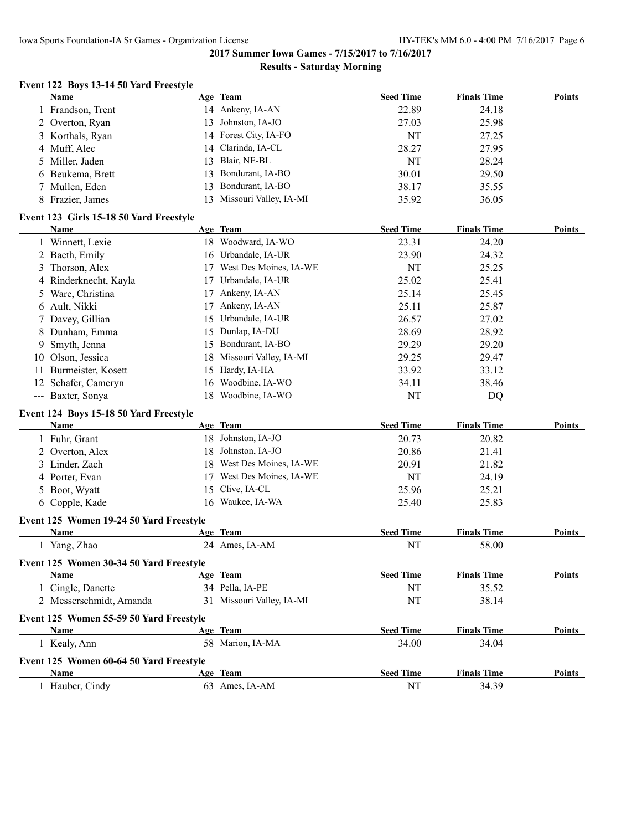#### **Results - Saturday Morning**

#### **Event 122 Boys 13-14 50 Yard Freestyle**

|    | <b>Name</b>                             |    | Age Team                       | <b>Seed Time</b> | <b>Finals Time</b> | <b>Points</b> |
|----|-----------------------------------------|----|--------------------------------|------------------|--------------------|---------------|
|    | 1 Frandson, Trent                       |    | 14 Ankeny, IA-AN               | 22.89            | 24.18              |               |
|    | 2 Overton, Ryan                         | 13 | Johnston, IA-JO                | 27.03            | 25.98              |               |
| 3  | Korthals, Ryan                          |    | 14 Forest City, IA-FO          | NT               | 27.25              |               |
| 4  | Muff, Alec                              | 14 | Clarinda, IA-CL                | 28.27            | 27.95              |               |
| 5. | Miller, Jaden                           | 13 | Blair, NE-BL                   | NT               | 28.24              |               |
| 6  | Beukema, Brett                          | 13 | Bondurant, IA-BO               | 30.01            | 29.50              |               |
| 7  | Mullen, Eden                            | 13 | Bondurant, IA-BO               | 38.17            | 35.55              |               |
|    | 8 Frazier, James                        | 13 | Missouri Valley, IA-MI         | 35.92            | 36.05              |               |
|    | Event 123 Girls 15-18 50 Yard Freestyle |    |                                |                  |                    |               |
|    | <b>Name</b>                             |    | Age Team                       | <b>Seed Time</b> | <b>Finals Time</b> | <b>Points</b> |
|    | 1 Winnett, Lexie                        |    | 18 Woodward, IA-WO             | 23.31            | 24.20              |               |
|    | 2 Baeth, Emily                          |    | 16 Urbandale, IA-UR            | 23.90            | 24.32              |               |
| 3  | Thorson, Alex                           |    | 17 West Des Moines, IA-WE      | NT               | 25.25              |               |
| 4  | Rinderknecht, Kayla                     |    | 17 Urbandale, IA-UR            | 25.02            | 25.41              |               |
| 5  | Ware, Christina                         | 17 | Ankeny, IA-AN                  | 25.14            | 25.45              |               |
|    | 6 Ault, Nikki                           | 17 | Ankeny, IA-AN                  | 25.11            | 25.87              |               |
| 7  | Davey, Gillian                          | 15 | Urbandale, IA-UR               | 26.57            | 27.02              |               |
| 8  | Dunham, Emma                            |    | 15 Dunlap, IA-DU               | 28.69            | 28.92              |               |
| 9. | Smyth, Jenna                            |    | 15 Bondurant, IA-BO            | 29.29            | 29.20              |               |
|    | 10 Olson, Jessica                       |    | 18 Missouri Valley, IA-MI      | 29.25            | 29.47              |               |
|    | 11 Burmeister, Kosett                   |    | 15 Hardy, IA-HA                | 33.92            | 33.12              |               |
|    | 12 Schafer, Cameryn                     | 16 | Woodbine, IA-WO                | 34.11            | 38.46              |               |
|    | --- Baxter, Sonya                       | 18 | Woodbine, IA-WO                | NT               | DQ                 |               |
|    |                                         |    |                                |                  |                    |               |
|    | Event 124 Boys 15-18 50 Yard Freestyle  |    |                                | <b>Seed Time</b> | <b>Finals Time</b> | Points        |
|    | <b>Name</b>                             |    | Age Team<br>18 Johnston, IA-JO |                  |                    |               |
|    | 1 Fuhr, Grant                           |    | Johnston, IA-JO                | 20.73            | 20.82              |               |
|    | 2 Overton, Alex                         | 18 | West Des Moines, IA-WE         | 20.86            | 21.41              |               |
|    | 3 Linder, Zach                          | 18 |                                | 20.91            | 21.82              |               |
|    | 4 Porter, Evan                          | 17 | West Des Moines, IA-WE         | NT               | 24.19              |               |
|    | 5 Boot, Wyatt                           | 15 | Clive, IA-CL                   | 25.96            | 25.21              |               |
|    | 6 Copple, Kade                          |    | 16 Waukee, IA-WA               | 25.40            | 25.83              |               |
|    | Event 125 Women 19-24 50 Yard Freestyle |    |                                |                  |                    |               |
|    | <b>Name</b>                             |    | Age Team                       | <b>Seed Time</b> | <b>Finals Time</b> | <b>Points</b> |
|    | 1 Yang, Zhao                            |    | 24 Ames, IA-AM                 | NT               | 58.00              |               |
|    | Event 125 Women 30-34 50 Yard Freestyle |    |                                |                  |                    |               |
|    | Name                                    |    | Age Team                       | <b>Seed Time</b> | <b>Finals Time</b> | Points        |
|    | 1 Cingle, Danette                       |    | 34 Pella, IA-PE                | NT               | 35.52              |               |
|    | 2 Messerschmidt, Amanda                 |    | 31 Missouri Valley, IA-MI      | NT               | 38.14              |               |
|    | Event 125 Women 55-59 50 Yard Freestyle |    |                                |                  |                    |               |
|    | Name                                    |    | Age Team                       | <b>Seed Time</b> | <b>Finals Time</b> | <b>Points</b> |
|    | 1 Kealy, Ann                            |    | 58 Marion, IA-MA               | 34.00            | 34.04              |               |
|    | Event 125 Women 60-64 50 Yard Freestyle |    |                                |                  |                    |               |
|    | <b>Name</b>                             |    | Age Team                       | <b>Seed Time</b> | <b>Finals Time</b> | <b>Points</b> |
|    | 1 Hauber, Cindy                         |    | 63 Ames, IA-AM                 | NT               | 34.39              |               |
|    |                                         |    |                                |                  |                    |               |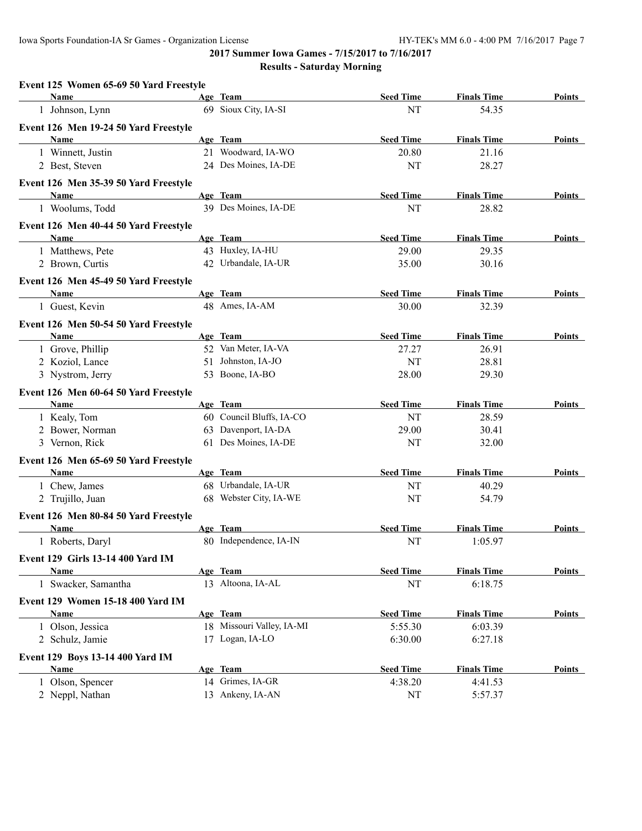| Event 125 Women 65-69 50 Yard Freestyle  |                           |                  |                    |               |
|------------------------------------------|---------------------------|------------------|--------------------|---------------|
| Name                                     | Age Team                  | <b>Seed Time</b> | <b>Finals Time</b> | Points        |
| 1 Johnson, Lynn                          | 69 Sioux City, IA-SI      | NT               | 54.35              |               |
| Event 126 Men 19-24 50 Yard Freestyle    |                           |                  |                    |               |
| Name                                     | Age Team                  | <b>Seed Time</b> | <b>Finals Time</b> | Points        |
| 1 Winnett, Justin                        | 21 Woodward, IA-WO        | 20.80            | 21.16              |               |
| 2 Best, Steven                           | 24 Des Moines, IA-DE      | NT               | 28.27              |               |
| Event 126 Men 35-39 50 Yard Freestyle    |                           |                  |                    |               |
| Name                                     | Age Team                  | <b>Seed Time</b> | <b>Finals Time</b> | Points        |
| 1 Woolums, Todd                          | 39 Des Moines, IA-DE      | <b>NT</b>        | 28.82              |               |
| Event 126 Men 40-44 50 Yard Freestyle    |                           |                  |                    |               |
| <b>Name</b>                              | Age Team                  | <b>Seed Time</b> | <b>Finals Time</b> | Points        |
| 1 Matthews, Pete                         | 43 Huxley, IA-HU          | 29.00            | 29.35              |               |
| 2 Brown, Curtis                          | 42 Urbandale, IA-UR       | 35.00            | 30.16              |               |
| Event 126 Men 45-49 50 Yard Freestyle    |                           |                  |                    |               |
| Name                                     | Age Team                  | <b>Seed Time</b> | <b>Finals Time</b> | Points        |
| 1 Guest, Kevin                           | 48 Ames, IA-AM            | 30.00            | 32.39              |               |
| Event 126 Men 50-54 50 Yard Freestyle    |                           |                  |                    |               |
| Name                                     | Age Team                  | <b>Seed Time</b> | <b>Finals Time</b> | Points        |
| 1 Grove, Phillip                         | 52 Van Meter, IA-VA       | 27.27            | 26.91              |               |
| 2 Koziol, Lance                          | 51 Johnston, IA-JO        | NT               | 28.81              |               |
| 3 Nystrom, Jerry                         | 53 Boone, IA-BO           | 28.00            | 29.30              |               |
| Event 126 Men 60-64 50 Yard Freestyle    |                           |                  |                    |               |
| <b>Name</b>                              | Age Team                  | <b>Seed Time</b> | <b>Finals Time</b> | Points        |
| 1 Kealy, Tom                             | 60 Council Bluffs, IA-CO  | NT               | 28.59              |               |
| 2 Bower, Norman                          | 63 Davenport, IA-DA       | 29.00            | 30.41              |               |
| 3 Vernon, Rick                           | 61 Des Moines, IA-DE      | NT               | 32.00              |               |
| Event 126 Men 65-69 50 Yard Freestyle    |                           |                  |                    |               |
| Name                                     | Age Team                  | <b>Seed Time</b> | <b>Finals Time</b> | Points        |
| 1 Chew, James                            | 68 Urbandale, IA-UR       | NT               | 40.29              |               |
| 2 Trujillo, Juan                         | 68 Webster City, IA-WE    | NT               | 54.79              |               |
| Event 126 Men 80-84 50 Yard Freestyle    |                           |                  |                    |               |
| Name                                     | Age Team                  | <b>Seed Time</b> | <b>Finals Time</b> | Points        |
| 1 Roberts, Daryl                         | 80 Independence, IA-IN    | NT               | 1:05.97            |               |
| Event 129 Girls 13-14 400 Yard IM        |                           |                  |                    |               |
| Name                                     | Age Team                  | <b>Seed Time</b> | <b>Finals Time</b> | Points        |
| 1 Swacker, Samantha                      | 13 Altoona, IA-AL         | $\rm{NT}$        | 6:18.75            |               |
| <b>Event 129 Women 15-18 400 Yard IM</b> |                           |                  |                    |               |
| Name                                     | Age Team                  | <b>Seed Time</b> | <b>Finals Time</b> | Points        |
| 1 Olson, Jessica                         | 18 Missouri Valley, IA-MI | 5:55.30          | 6:03.39            |               |
| 2 Schulz, Jamie                          | 17 Logan, IA-LO           | 6:30.00          | 6:27.18            |               |
| Event 129 Boys 13-14 400 Yard IM         |                           |                  |                    |               |
| <b>Name</b>                              | Age Team                  | <b>Seed Time</b> | <b>Finals Time</b> | <b>Points</b> |
| 1 Olson, Spencer                         | 14 Grimes, IA-GR          | 4:38.20          | 4:41.53            |               |
| 2 Neppl, Nathan                          | 13 Ankeny, IA-AN          | NT               | 5:57.37            |               |
|                                          |                           |                  |                    |               |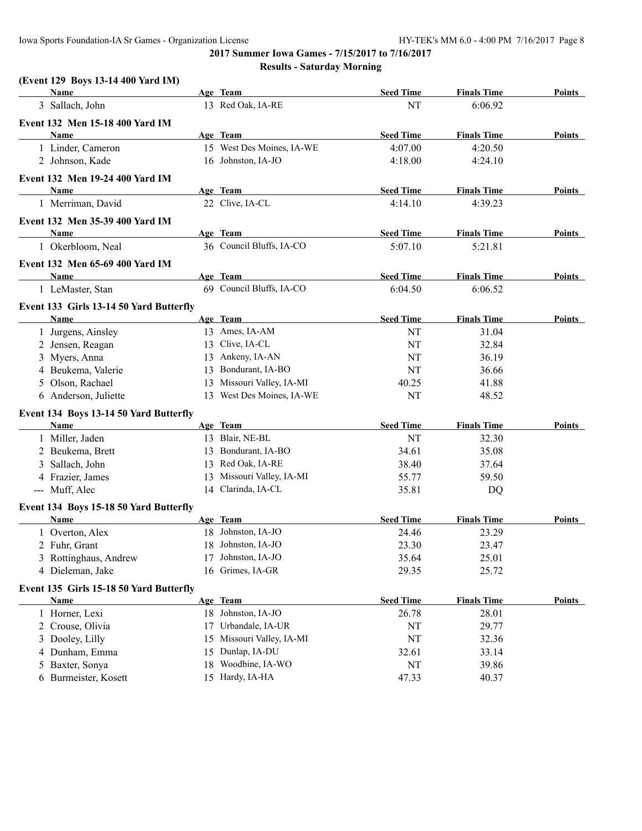#### **(Event 129 Boys 13-14 400 Yard IM)**

| Name                                                   |    | Age Team                             | <b>Seed Time</b> | <b>Finals Time</b> | <b>Points</b> |
|--------------------------------------------------------|----|--------------------------------------|------------------|--------------------|---------------|
| 3 Sallach, John                                        |    | 13 Red Oak, IA-RE                    | NT               | 6:06.92            |               |
| Event 132 Men 15-18 400 Yard IM                        |    |                                      |                  |                    |               |
| Name                                                   |    | Age Team                             | <b>Seed Time</b> | <b>Finals Time</b> | <b>Points</b> |
| 1 Linder, Cameron                                      |    | 15 West Des Moines, IA-WE            | 4:07.00          | 4:20.50            |               |
| 2 Johnson, Kade                                        |    | 16 Johnston, IA-JO                   | 4:18.00          | 4:24.10            |               |
| Event 132 Men 19-24 400 Yard IM                        |    |                                      |                  |                    |               |
| <b>Name</b>                                            |    | Age Team                             | <b>Seed Time</b> | <b>Finals Time</b> | Points        |
| 1 Merriman, David                                      |    | 22 Clive, IA-CL                      | 4:14.10          | 4:39.23            |               |
|                                                        |    |                                      |                  |                    |               |
| Event 132 Men 35-39 400 Yard IM<br><b>Name</b>         |    | Age Team                             | <b>Seed Time</b> | <b>Finals Time</b> | Points        |
| 1 Okerbloom, Neal                                      |    | 36 Council Bluffs, IA-CO             | 5:07.10          | 5:21.81            |               |
|                                                        |    |                                      |                  |                    |               |
| Event 132 Men 65-69 400 Yard IM                        |    |                                      |                  |                    |               |
| <b>Name</b>                                            |    | Age Team<br>69 Council Bluffs, IA-CO | <b>Seed Time</b> | <b>Finals Time</b> | Points        |
| 1 LeMaster, Stan                                       |    |                                      | 6:04.50          | 6:06.52            |               |
| Event 133 Girls 13-14 50 Yard Butterfly                |    |                                      |                  |                    |               |
| Name                                                   |    | Age Team                             | <b>Seed Time</b> | <b>Finals Time</b> | Points        |
| 1 Jurgens, Ainsley                                     |    | 13 Ames, IA-AM                       | NT               | 31.04              |               |
| 2 Jensen, Reagan                                       |    | 13 Clive, IA-CL                      | NT               | 32.84              |               |
| 3 Myers, Anna                                          | 13 | Ankeny, IA-AN                        | NT               | 36.19              |               |
| 4 Beukema, Valerie                                     | 13 | Bondurant, IA-BO                     | NT               | 36.66              |               |
| 5 Olson, Rachael                                       | 13 | Missouri Valley, IA-MI               | 40.25            | 41.88              |               |
| 6 Anderson, Juliette                                   |    | 13 West Des Moines, IA-WE            | NT               | 48.52              |               |
| Event 134 Boys 13-14 50 Yard Butterfly                 |    |                                      |                  |                    |               |
| Name                                                   |    | Age Team                             | <b>Seed Time</b> | <b>Finals Time</b> | Points        |
| 1 Miller, Jaden                                        |    | 13 Blair, NE-BL                      | NT               | 32.30              |               |
| 2 Beukema, Brett                                       |    | 13 Bondurant, IA-BO                  | 34.61            | 35.08              |               |
| 3 Sallach, John                                        |    | 13 Red Oak, IA-RE                    | 38.40            | 37.64              |               |
| 4 Frazier, James                                       |    | 13 Missouri Valley, IA-MI            | 55.77            | 59.50              |               |
| --- Muff, Alec                                         |    | 14 Clarinda, IA-CL                   | 35.81            | DQ                 |               |
| Event 134 Boys 15-18 50 Yard Butterfly                 |    |                                      |                  |                    |               |
| Name                                                   |    | Age Team                             | <b>Seed Time</b> | <b>Finals Time</b> | Points        |
| 1 Overton, Alex                                        |    | 18 Johnston, IA-JO                   | 24.46            | 23.29              |               |
| 2 Fuhr, Grant                                          |    | 18 Johnston, IA-JO                   | 23.30            | 23.47              |               |
| 3 Rottinghaus, Andrew                                  |    | 17 Johnston, IA-JO                   | 35.64            | 25.01              |               |
| 4 Dieleman, Jake                                       |    | 16 Grimes, IA-GR                     | 29.35            | 25.72              |               |
|                                                        |    |                                      |                  |                    |               |
| Event 135 Girls 15-18 50 Yard Butterfly<br><b>Name</b> |    | Age Team                             | <b>Seed Time</b> | <b>Finals Time</b> | <b>Points</b> |
|                                                        |    | 18 Johnston, IA-JO                   |                  |                    |               |
| 1 Horner, Lexi                                         |    |                                      | 26.78            | 28.01              |               |
| 2 Crouse, Olivia                                       |    | 17 Urbandale, IA-UR                  | NT               | 29.77              |               |
| 3 Dooley, Lilly                                        |    | 15 Missouri Valley, IA-MI            | NT               | 32.36              |               |
| 4 Dunham, Emma                                         |    | 15 Dunlap, IA-DU                     | 32.61            | 33.14              |               |
| 5 Baxter, Sonya                                        |    | 18 Woodbine, IA-WO                   | NT               | 39.86              |               |
| 6 Burmeister, Kosett                                   |    | 15 Hardy, IA-HA                      | 47.33            | 40.37              |               |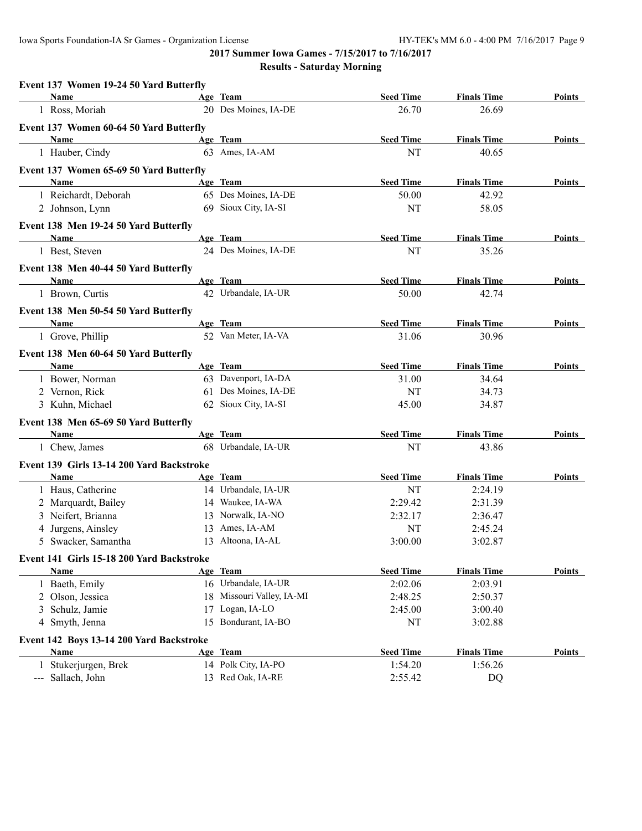| Age Team<br><b>Seed Time</b><br><b>Finals Time</b><br>Name<br>20 Des Moines, IA-DE<br>1 Ross, Moriah<br>26.70<br>26.69<br>Event 137 Women 60-64 50 Yard Butterfly<br>Age Team<br><b>Seed Time</b><br>Name<br><b>Finals Time</b><br>63 Ames, IA-AM<br>NT<br>1 Hauber, Cindy<br>40.65<br>Event 137 Women 65-69 50 Yard Butterfly<br>Age Team<br><b>Name</b><br><b>Seed Time</b><br><b>Finals Time</b><br>65 Des Moines, IA-DE<br>1 Reichardt, Deborah<br>50.00<br>42.92<br>69 Sioux City, IA-SI<br>2 Johnson, Lynn<br>NT<br>58.05<br>Event 138 Men 19-24 50 Yard Butterfly<br>Age Team<br><b>Seed Time</b><br>Name<br><b>Finals Time</b><br>24 Des Moines, IA-DE<br>NT<br>35.26<br>1 Best, Steven<br>Event 138 Men 40-44 50 Yard Butterfly<br>Age Team<br><b>Seed Time</b><br><b>Finals Time</b><br>Name<br>42 Urbandale, IA-UR<br>50.00<br>1 Brown, Curtis<br>42.74<br>Event 138 Men 50-54 50 Yard Butterfly<br>Age Team<br><b>Seed Time</b><br><b>Finals Time</b><br>Name<br>52 Van Meter, IA-VA<br>1 Grove, Phillip<br>31.06<br>30.96<br>Event 138 Men 60-64 50 Yard Butterfly<br>Age Team<br><b>Seed Time</b><br><b>Finals Time</b><br>Name<br>63 Davenport, IA-DA<br>1 Bower, Norman<br>31.00<br>34.64<br>61 Des Moines, IA-DE<br>2 Vernon, Rick<br>NT<br>34.73<br>62 Sioux City, IA-SI<br>3 Kuhn, Michael<br>45.00<br>34.87<br>Event 138 Men 65-69 50 Yard Butterfly<br>Age Team<br><b>Seed Time</b><br>Name<br><b>Finals Time</b><br>68 Urbandale, IA-UR<br>1 Chew, James<br>43.86<br>NT<br>Event 139 Girls 13-14 200 Yard Backstroke<br>Age Team<br><b>Seed Time</b><br><b>Finals Time</b><br>Name<br>14 Urbandale, IA-UR<br>1 Haus, Catherine<br>NT<br>2:24.19<br>14 Waukee, IA-WA<br>2 Marquardt, Bailey<br>2:29.42<br>2:31.39<br>3 Neifert, Brianna<br>13 Norwalk, IA-NO<br>2:32.17<br>2:36.47<br>4 Jurgens, Ainsley<br>13 Ames, IA-AM<br>NT<br>2:45.24<br>5 Swacker, Samantha<br>13 Altoona, IA-AL<br>3:00.00<br>3:02.87<br>Event 141 Girls 15-18 200 Yard Backstroke<br>Age Team<br><b>Name</b><br><b>Seed Time</b><br><b>Finals Time</b><br>16 Urbandale, IA-UR<br>2:03.91<br>1 Baeth, Emily<br>2:02.06<br>2 Olson, Jessica<br>18 Missouri Valley, IA-MI<br>2:48.25<br>2:50.37<br>17 Logan, IA-LO<br>3 Schulz, Jamie<br>2:45.00<br>3:00.40<br>15 Bondurant, IA-BO<br>4 Smyth, Jenna<br>$\rm{NT}$<br>3:02.88<br>Event 142 Boys 13-14 200 Yard Backstroke<br><b>Seed Time</b><br>Age Team<br><b>Finals Time</b><br>Name<br>14 Polk City, IA-PO<br>1 Stukerjurgen, Brek<br>1:54.20<br>1:56.26<br>13 Red Oak, IA-RE | Event 137 Women 19-24 50 Yard Butterfly |  |         |    |               |
|-----------------------------------------------------------------------------------------------------------------------------------------------------------------------------------------------------------------------------------------------------------------------------------------------------------------------------------------------------------------------------------------------------------------------------------------------------------------------------------------------------------------------------------------------------------------------------------------------------------------------------------------------------------------------------------------------------------------------------------------------------------------------------------------------------------------------------------------------------------------------------------------------------------------------------------------------------------------------------------------------------------------------------------------------------------------------------------------------------------------------------------------------------------------------------------------------------------------------------------------------------------------------------------------------------------------------------------------------------------------------------------------------------------------------------------------------------------------------------------------------------------------------------------------------------------------------------------------------------------------------------------------------------------------------------------------------------------------------------------------------------------------------------------------------------------------------------------------------------------------------------------------------------------------------------------------------------------------------------------------------------------------------------------------------------------------------------------------------------------------------------------------------------------------------------------------------------------------------------------------------------------------------------------------------------------------------------------------------------------------------------------------------------------------------------------------------------------------------------------------------------------------------------|-----------------------------------------|--|---------|----|---------------|
|                                                                                                                                                                                                                                                                                                                                                                                                                                                                                                                                                                                                                                                                                                                                                                                                                                                                                                                                                                                                                                                                                                                                                                                                                                                                                                                                                                                                                                                                                                                                                                                                                                                                                                                                                                                                                                                                                                                                                                                                                                                                                                                                                                                                                                                                                                                                                                                                                                                                                                                             |                                         |  |         |    | Points        |
|                                                                                                                                                                                                                                                                                                                                                                                                                                                                                                                                                                                                                                                                                                                                                                                                                                                                                                                                                                                                                                                                                                                                                                                                                                                                                                                                                                                                                                                                                                                                                                                                                                                                                                                                                                                                                                                                                                                                                                                                                                                                                                                                                                                                                                                                                                                                                                                                                                                                                                                             |                                         |  |         |    |               |
|                                                                                                                                                                                                                                                                                                                                                                                                                                                                                                                                                                                                                                                                                                                                                                                                                                                                                                                                                                                                                                                                                                                                                                                                                                                                                                                                                                                                                                                                                                                                                                                                                                                                                                                                                                                                                                                                                                                                                                                                                                                                                                                                                                                                                                                                                                                                                                                                                                                                                                                             |                                         |  |         |    |               |
|                                                                                                                                                                                                                                                                                                                                                                                                                                                                                                                                                                                                                                                                                                                                                                                                                                                                                                                                                                                                                                                                                                                                                                                                                                                                                                                                                                                                                                                                                                                                                                                                                                                                                                                                                                                                                                                                                                                                                                                                                                                                                                                                                                                                                                                                                                                                                                                                                                                                                                                             |                                         |  |         |    | Points        |
|                                                                                                                                                                                                                                                                                                                                                                                                                                                                                                                                                                                                                                                                                                                                                                                                                                                                                                                                                                                                                                                                                                                                                                                                                                                                                                                                                                                                                                                                                                                                                                                                                                                                                                                                                                                                                                                                                                                                                                                                                                                                                                                                                                                                                                                                                                                                                                                                                                                                                                                             |                                         |  |         |    |               |
|                                                                                                                                                                                                                                                                                                                                                                                                                                                                                                                                                                                                                                                                                                                                                                                                                                                                                                                                                                                                                                                                                                                                                                                                                                                                                                                                                                                                                                                                                                                                                                                                                                                                                                                                                                                                                                                                                                                                                                                                                                                                                                                                                                                                                                                                                                                                                                                                                                                                                                                             |                                         |  |         |    |               |
|                                                                                                                                                                                                                                                                                                                                                                                                                                                                                                                                                                                                                                                                                                                                                                                                                                                                                                                                                                                                                                                                                                                                                                                                                                                                                                                                                                                                                                                                                                                                                                                                                                                                                                                                                                                                                                                                                                                                                                                                                                                                                                                                                                                                                                                                                                                                                                                                                                                                                                                             |                                         |  |         |    | Points        |
|                                                                                                                                                                                                                                                                                                                                                                                                                                                                                                                                                                                                                                                                                                                                                                                                                                                                                                                                                                                                                                                                                                                                                                                                                                                                                                                                                                                                                                                                                                                                                                                                                                                                                                                                                                                                                                                                                                                                                                                                                                                                                                                                                                                                                                                                                                                                                                                                                                                                                                                             |                                         |  |         |    |               |
|                                                                                                                                                                                                                                                                                                                                                                                                                                                                                                                                                                                                                                                                                                                                                                                                                                                                                                                                                                                                                                                                                                                                                                                                                                                                                                                                                                                                                                                                                                                                                                                                                                                                                                                                                                                                                                                                                                                                                                                                                                                                                                                                                                                                                                                                                                                                                                                                                                                                                                                             |                                         |  |         |    |               |
|                                                                                                                                                                                                                                                                                                                                                                                                                                                                                                                                                                                                                                                                                                                                                                                                                                                                                                                                                                                                                                                                                                                                                                                                                                                                                                                                                                                                                                                                                                                                                                                                                                                                                                                                                                                                                                                                                                                                                                                                                                                                                                                                                                                                                                                                                                                                                                                                                                                                                                                             |                                         |  |         |    |               |
|                                                                                                                                                                                                                                                                                                                                                                                                                                                                                                                                                                                                                                                                                                                                                                                                                                                                                                                                                                                                                                                                                                                                                                                                                                                                                                                                                                                                                                                                                                                                                                                                                                                                                                                                                                                                                                                                                                                                                                                                                                                                                                                                                                                                                                                                                                                                                                                                                                                                                                                             |                                         |  |         |    | Points        |
|                                                                                                                                                                                                                                                                                                                                                                                                                                                                                                                                                                                                                                                                                                                                                                                                                                                                                                                                                                                                                                                                                                                                                                                                                                                                                                                                                                                                                                                                                                                                                                                                                                                                                                                                                                                                                                                                                                                                                                                                                                                                                                                                                                                                                                                                                                                                                                                                                                                                                                                             |                                         |  |         |    |               |
|                                                                                                                                                                                                                                                                                                                                                                                                                                                                                                                                                                                                                                                                                                                                                                                                                                                                                                                                                                                                                                                                                                                                                                                                                                                                                                                                                                                                                                                                                                                                                                                                                                                                                                                                                                                                                                                                                                                                                                                                                                                                                                                                                                                                                                                                                                                                                                                                                                                                                                                             |                                         |  |         |    |               |
|                                                                                                                                                                                                                                                                                                                                                                                                                                                                                                                                                                                                                                                                                                                                                                                                                                                                                                                                                                                                                                                                                                                                                                                                                                                                                                                                                                                                                                                                                                                                                                                                                                                                                                                                                                                                                                                                                                                                                                                                                                                                                                                                                                                                                                                                                                                                                                                                                                                                                                                             |                                         |  |         |    | Points        |
|                                                                                                                                                                                                                                                                                                                                                                                                                                                                                                                                                                                                                                                                                                                                                                                                                                                                                                                                                                                                                                                                                                                                                                                                                                                                                                                                                                                                                                                                                                                                                                                                                                                                                                                                                                                                                                                                                                                                                                                                                                                                                                                                                                                                                                                                                                                                                                                                                                                                                                                             |                                         |  |         |    |               |
|                                                                                                                                                                                                                                                                                                                                                                                                                                                                                                                                                                                                                                                                                                                                                                                                                                                                                                                                                                                                                                                                                                                                                                                                                                                                                                                                                                                                                                                                                                                                                                                                                                                                                                                                                                                                                                                                                                                                                                                                                                                                                                                                                                                                                                                                                                                                                                                                                                                                                                                             |                                         |  |         |    |               |
|                                                                                                                                                                                                                                                                                                                                                                                                                                                                                                                                                                                                                                                                                                                                                                                                                                                                                                                                                                                                                                                                                                                                                                                                                                                                                                                                                                                                                                                                                                                                                                                                                                                                                                                                                                                                                                                                                                                                                                                                                                                                                                                                                                                                                                                                                                                                                                                                                                                                                                                             |                                         |  |         |    | Points        |
|                                                                                                                                                                                                                                                                                                                                                                                                                                                                                                                                                                                                                                                                                                                                                                                                                                                                                                                                                                                                                                                                                                                                                                                                                                                                                                                                                                                                                                                                                                                                                                                                                                                                                                                                                                                                                                                                                                                                                                                                                                                                                                                                                                                                                                                                                                                                                                                                                                                                                                                             |                                         |  |         |    |               |
|                                                                                                                                                                                                                                                                                                                                                                                                                                                                                                                                                                                                                                                                                                                                                                                                                                                                                                                                                                                                                                                                                                                                                                                                                                                                                                                                                                                                                                                                                                                                                                                                                                                                                                                                                                                                                                                                                                                                                                                                                                                                                                                                                                                                                                                                                                                                                                                                                                                                                                                             |                                         |  |         |    |               |
|                                                                                                                                                                                                                                                                                                                                                                                                                                                                                                                                                                                                                                                                                                                                                                                                                                                                                                                                                                                                                                                                                                                                                                                                                                                                                                                                                                                                                                                                                                                                                                                                                                                                                                                                                                                                                                                                                                                                                                                                                                                                                                                                                                                                                                                                                                                                                                                                                                                                                                                             |                                         |  |         |    | Points        |
|                                                                                                                                                                                                                                                                                                                                                                                                                                                                                                                                                                                                                                                                                                                                                                                                                                                                                                                                                                                                                                                                                                                                                                                                                                                                                                                                                                                                                                                                                                                                                                                                                                                                                                                                                                                                                                                                                                                                                                                                                                                                                                                                                                                                                                                                                                                                                                                                                                                                                                                             |                                         |  |         |    |               |
|                                                                                                                                                                                                                                                                                                                                                                                                                                                                                                                                                                                                                                                                                                                                                                                                                                                                                                                                                                                                                                                                                                                                                                                                                                                                                                                                                                                                                                                                                                                                                                                                                                                                                                                                                                                                                                                                                                                                                                                                                                                                                                                                                                                                                                                                                                                                                                                                                                                                                                                             |                                         |  |         |    |               |
|                                                                                                                                                                                                                                                                                                                                                                                                                                                                                                                                                                                                                                                                                                                                                                                                                                                                                                                                                                                                                                                                                                                                                                                                                                                                                                                                                                                                                                                                                                                                                                                                                                                                                                                                                                                                                                                                                                                                                                                                                                                                                                                                                                                                                                                                                                                                                                                                                                                                                                                             |                                         |  |         |    |               |
|                                                                                                                                                                                                                                                                                                                                                                                                                                                                                                                                                                                                                                                                                                                                                                                                                                                                                                                                                                                                                                                                                                                                                                                                                                                                                                                                                                                                                                                                                                                                                                                                                                                                                                                                                                                                                                                                                                                                                                                                                                                                                                                                                                                                                                                                                                                                                                                                                                                                                                                             |                                         |  |         |    |               |
|                                                                                                                                                                                                                                                                                                                                                                                                                                                                                                                                                                                                                                                                                                                                                                                                                                                                                                                                                                                                                                                                                                                                                                                                                                                                                                                                                                                                                                                                                                                                                                                                                                                                                                                                                                                                                                                                                                                                                                                                                                                                                                                                                                                                                                                                                                                                                                                                                                                                                                                             |                                         |  |         |    | Points        |
|                                                                                                                                                                                                                                                                                                                                                                                                                                                                                                                                                                                                                                                                                                                                                                                                                                                                                                                                                                                                                                                                                                                                                                                                                                                                                                                                                                                                                                                                                                                                                                                                                                                                                                                                                                                                                                                                                                                                                                                                                                                                                                                                                                                                                                                                                                                                                                                                                                                                                                                             |                                         |  |         |    |               |
|                                                                                                                                                                                                                                                                                                                                                                                                                                                                                                                                                                                                                                                                                                                                                                                                                                                                                                                                                                                                                                                                                                                                                                                                                                                                                                                                                                                                                                                                                                                                                                                                                                                                                                                                                                                                                                                                                                                                                                                                                                                                                                                                                                                                                                                                                                                                                                                                                                                                                                                             |                                         |  |         |    |               |
|                                                                                                                                                                                                                                                                                                                                                                                                                                                                                                                                                                                                                                                                                                                                                                                                                                                                                                                                                                                                                                                                                                                                                                                                                                                                                                                                                                                                                                                                                                                                                                                                                                                                                                                                                                                                                                                                                                                                                                                                                                                                                                                                                                                                                                                                                                                                                                                                                                                                                                                             |                                         |  |         |    | Points        |
|                                                                                                                                                                                                                                                                                                                                                                                                                                                                                                                                                                                                                                                                                                                                                                                                                                                                                                                                                                                                                                                                                                                                                                                                                                                                                                                                                                                                                                                                                                                                                                                                                                                                                                                                                                                                                                                                                                                                                                                                                                                                                                                                                                                                                                                                                                                                                                                                                                                                                                                             |                                         |  |         |    |               |
|                                                                                                                                                                                                                                                                                                                                                                                                                                                                                                                                                                                                                                                                                                                                                                                                                                                                                                                                                                                                                                                                                                                                                                                                                                                                                                                                                                                                                                                                                                                                                                                                                                                                                                                                                                                                                                                                                                                                                                                                                                                                                                                                                                                                                                                                                                                                                                                                                                                                                                                             |                                         |  |         |    |               |
|                                                                                                                                                                                                                                                                                                                                                                                                                                                                                                                                                                                                                                                                                                                                                                                                                                                                                                                                                                                                                                                                                                                                                                                                                                                                                                                                                                                                                                                                                                                                                                                                                                                                                                                                                                                                                                                                                                                                                                                                                                                                                                                                                                                                                                                                                                                                                                                                                                                                                                                             |                                         |  |         |    |               |
|                                                                                                                                                                                                                                                                                                                                                                                                                                                                                                                                                                                                                                                                                                                                                                                                                                                                                                                                                                                                                                                                                                                                                                                                                                                                                                                                                                                                                                                                                                                                                                                                                                                                                                                                                                                                                                                                                                                                                                                                                                                                                                                                                                                                                                                                                                                                                                                                                                                                                                                             |                                         |  |         |    |               |
|                                                                                                                                                                                                                                                                                                                                                                                                                                                                                                                                                                                                                                                                                                                                                                                                                                                                                                                                                                                                                                                                                                                                                                                                                                                                                                                                                                                                                                                                                                                                                                                                                                                                                                                                                                                                                                                                                                                                                                                                                                                                                                                                                                                                                                                                                                                                                                                                                                                                                                                             |                                         |  |         |    |               |
|                                                                                                                                                                                                                                                                                                                                                                                                                                                                                                                                                                                                                                                                                                                                                                                                                                                                                                                                                                                                                                                                                                                                                                                                                                                                                                                                                                                                                                                                                                                                                                                                                                                                                                                                                                                                                                                                                                                                                                                                                                                                                                                                                                                                                                                                                                                                                                                                                                                                                                                             |                                         |  |         |    |               |
|                                                                                                                                                                                                                                                                                                                                                                                                                                                                                                                                                                                                                                                                                                                                                                                                                                                                                                                                                                                                                                                                                                                                                                                                                                                                                                                                                                                                                                                                                                                                                                                                                                                                                                                                                                                                                                                                                                                                                                                                                                                                                                                                                                                                                                                                                                                                                                                                                                                                                                                             |                                         |  |         |    | Points        |
|                                                                                                                                                                                                                                                                                                                                                                                                                                                                                                                                                                                                                                                                                                                                                                                                                                                                                                                                                                                                                                                                                                                                                                                                                                                                                                                                                                                                                                                                                                                                                                                                                                                                                                                                                                                                                                                                                                                                                                                                                                                                                                                                                                                                                                                                                                                                                                                                                                                                                                                             |                                         |  |         |    |               |
|                                                                                                                                                                                                                                                                                                                                                                                                                                                                                                                                                                                                                                                                                                                                                                                                                                                                                                                                                                                                                                                                                                                                                                                                                                                                                                                                                                                                                                                                                                                                                                                                                                                                                                                                                                                                                                                                                                                                                                                                                                                                                                                                                                                                                                                                                                                                                                                                                                                                                                                             |                                         |  |         |    |               |
|                                                                                                                                                                                                                                                                                                                                                                                                                                                                                                                                                                                                                                                                                                                                                                                                                                                                                                                                                                                                                                                                                                                                                                                                                                                                                                                                                                                                                                                                                                                                                                                                                                                                                                                                                                                                                                                                                                                                                                                                                                                                                                                                                                                                                                                                                                                                                                                                                                                                                                                             |                                         |  |         |    |               |
|                                                                                                                                                                                                                                                                                                                                                                                                                                                                                                                                                                                                                                                                                                                                                                                                                                                                                                                                                                                                                                                                                                                                                                                                                                                                                                                                                                                                                                                                                                                                                                                                                                                                                                                                                                                                                                                                                                                                                                                                                                                                                                                                                                                                                                                                                                                                                                                                                                                                                                                             |                                         |  |         |    |               |
|                                                                                                                                                                                                                                                                                                                                                                                                                                                                                                                                                                                                                                                                                                                                                                                                                                                                                                                                                                                                                                                                                                                                                                                                                                                                                                                                                                                                                                                                                                                                                                                                                                                                                                                                                                                                                                                                                                                                                                                                                                                                                                                                                                                                                                                                                                                                                                                                                                                                                                                             |                                         |  |         |    |               |
|                                                                                                                                                                                                                                                                                                                                                                                                                                                                                                                                                                                                                                                                                                                                                                                                                                                                                                                                                                                                                                                                                                                                                                                                                                                                                                                                                                                                                                                                                                                                                                                                                                                                                                                                                                                                                                                                                                                                                                                                                                                                                                                                                                                                                                                                                                                                                                                                                                                                                                                             |                                         |  |         |    | <b>Points</b> |
|                                                                                                                                                                                                                                                                                                                                                                                                                                                                                                                                                                                                                                                                                                                                                                                                                                                                                                                                                                                                                                                                                                                                                                                                                                                                                                                                                                                                                                                                                                                                                                                                                                                                                                                                                                                                                                                                                                                                                                                                                                                                                                                                                                                                                                                                                                                                                                                                                                                                                                                             |                                         |  |         |    |               |
|                                                                                                                                                                                                                                                                                                                                                                                                                                                                                                                                                                                                                                                                                                                                                                                                                                                                                                                                                                                                                                                                                                                                                                                                                                                                                                                                                                                                                                                                                                                                                                                                                                                                                                                                                                                                                                                                                                                                                                                                                                                                                                                                                                                                                                                                                                                                                                                                                                                                                                                             | --- Sallach, John                       |  | 2:55.42 | DQ |               |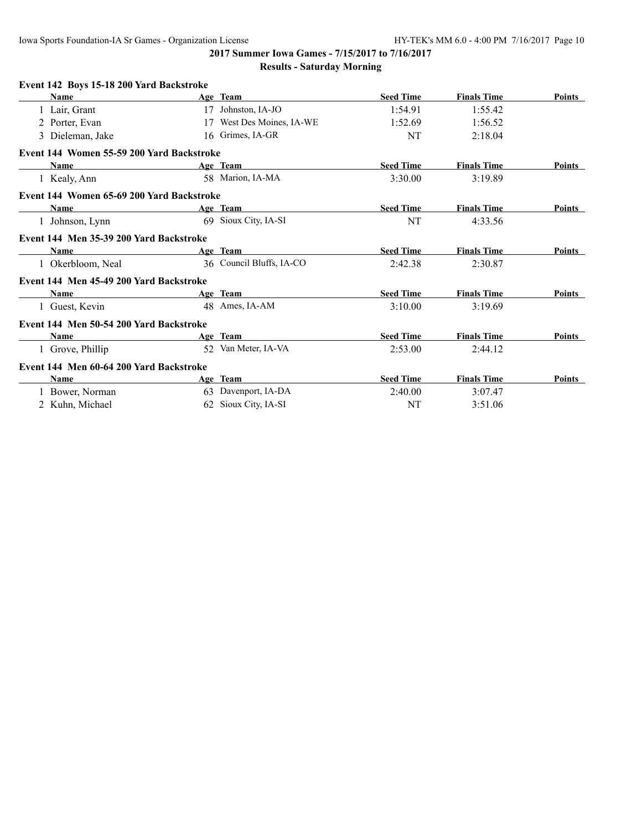Iowa Sports Foundation-IA Sr Games - Organization License HY-TEK's MM 6.0 - 4:00 PM 7/16/2017 Page 10

**2017 Summer Iowa Games - 7/15/2017 to 7/16/2017 Results - Saturday Morning**

| Event 142 Boys 15-18 200 Yard Backstroke    |    |                          |                  |                    |        |
|---------------------------------------------|----|--------------------------|------------------|--------------------|--------|
| Name                                        |    | Age Team                 | <b>Seed Time</b> | <b>Finals Time</b> | Points |
| 1 Lair, Grant                               | 17 | Johnston, IA-JO          | 1:54.91          | 1:55.42            |        |
| 2 Porter, Evan                              | 17 | West Des Moines, IA-WE   | 1:52.69          | 1:56.52            |        |
| 3 Dieleman, Jake                            |    | 16 Grimes, IA-GR         | NT               | 2:18.04            |        |
| Event 144 Women 55-59 200 Yard Backstroke   |    |                          |                  |                    |        |
| <b>Name</b>                                 |    | Age Team                 | <b>Seed Time</b> | <b>Finals Time</b> | Points |
| 1 Kealy, Ann                                |    | 58 Marion, IA-MA         | 3:30.00          | 3:19.89            |        |
| Event 144 Women 65-69 200 Yard Backstroke   |    |                          |                  |                    |        |
| <b>Name</b><br><u> Andrew Maria (</u> 1985) |    | Age Team                 | <b>Seed Time</b> | <b>Finals Time</b> | Points |
| 1 Johnson, Lynn                             |    | 69 Sioux City, IA-SI     | NT               | 4:33.56            |        |
| Event 144 Men 35-39 200 Yard Backstroke     |    |                          |                  |                    |        |
| <b>Name</b>                                 |    | Age Team                 | <b>Seed Time</b> | <b>Finals Time</b> | Points |
| 1 Okerbloom, Neal                           |    | 36 Council Bluffs, IA-CO | 2:42.38          | 2:30.87            |        |
| Event 144 Men 45-49 200 Yard Backstroke     |    |                          |                  |                    |        |
| <b>Name</b>                                 |    | Age Team                 | <b>Seed Time</b> | <b>Finals Time</b> | Points |
| 1 Guest, Kevin                              |    | 48 Ames, IA-AM           | 3:10.00          | 3:19.69            |        |
| Event 144 Men 50-54 200 Yard Backstroke     |    |                          |                  |                    |        |
| Name                                        |    | Age Team                 | <b>Seed Time</b> | <b>Finals Time</b> | Points |
| 1 Grove, Phillip                            |    | 52 Van Meter, IA-VA      | 2:53.00          | 2:44.12            |        |
| Event 144 Men 60-64 200 Yard Backstroke     |    |                          |                  |                    |        |
| Name                                        |    | Age Team                 | <b>Seed Time</b> | <b>Finals Time</b> | Points |
| 1 Bower, Norman                             |    | 63 Davenport, IA-DA      | 2:40.00          | 3:07.47            |        |
| 2 Kuhn, Michael                             |    | 62 Sioux City, IA-SI     | NT               | 3:51.06            |        |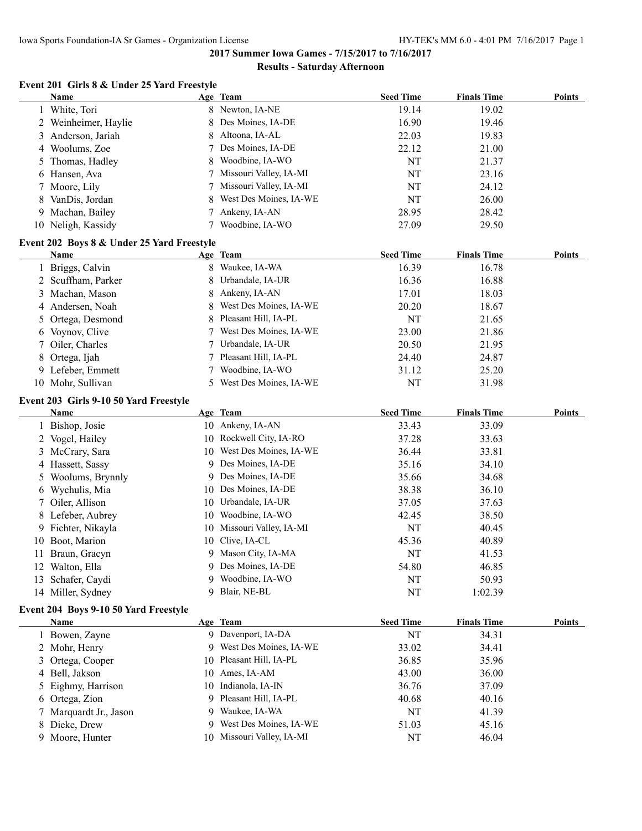#### **Results - Saturday Afternoon**

### **Event 201 Girls 8 & Under 25 Yard Freestyle**

|   | <b>Name</b>                                |        | Age Team                       | <b>Seed Time</b>       | <b>Finals Time</b>          | <b>Points</b> |
|---|--------------------------------------------|--------|--------------------------------|------------------------|-----------------------------|---------------|
|   | 1 White, Tori                              |        | 8 Newton, IA-NE                | 19.14                  | 19.02                       |               |
|   | 2 Weinheimer, Haylie                       | 8      | Des Moines, IA-DE              | 16.90                  | 19.46                       |               |
|   | 3 Anderson, Jariah                         | 8      | Altoona, IA-AL                 | 22.03                  | 19.83                       |               |
|   | 4 Woolums, Zoe                             |        | Des Moines, IA-DE              | 22.12                  | 21.00                       |               |
|   | 5 Thomas, Hadley                           | 8      | Woodbine, IA-WO                | NT                     | 21.37                       |               |
|   | 6 Hansen, Ava                              |        | Missouri Valley, IA-MI         | NT                     | 23.16                       |               |
|   | 7 Moore, Lily                              | 7      | Missouri Valley, IA-MI         | NT                     | 24.12                       |               |
| 8 | VanDis, Jordan                             | 8      | West Des Moines, IA-WE         | NT                     | 26.00                       |               |
|   | 9 Machan, Bailey                           | $\tau$ | Ankeny, IA-AN                  | 28.95                  | 28.42                       |               |
|   | 10 Neligh, Kassidy                         |        | Woodbine, IA-WO                | 27.09                  | 29.50                       |               |
|   | Event 202 Boys 8 & Under 25 Yard Freestyle |        |                                |                        |                             |               |
|   | Name                                       |        | Age Team                       | <b>Seed Time</b>       | <b>Finals Time</b>          | <b>Points</b> |
|   | 1 Briggs, Calvin                           |        | 8 Waukee, IA-WA                | 16.39                  | 16.78                       |               |
|   | 2 Scuffham, Parker                         | 8      | Urbandale, IA-UR               | 16.36                  | 16.88                       |               |
|   | 3 Machan, Mason                            | 8      | Ankeny, IA-AN                  | 17.01                  | 18.03                       |               |
| 4 | Andersen, Noah                             | 8      | West Des Moines, IA-WE         | 20.20                  | 18.67                       |               |
|   | 5 Ortega, Desmond                          | 8      | Pleasant Hill, IA-PL           | NT                     | 21.65                       |               |
|   | 6 Voynov, Clive                            | 7      | West Des Moines, IA-WE         | 23.00                  | 21.86                       |               |
| 7 | Oiler, Charles                             | 7      | Urbandale, IA-UR               | 20.50                  | 21.95                       |               |
|   | 8 Ortega, Ijah                             | 7      | Pleasant Hill, IA-PL           | 24.40                  | 24.87                       |               |
|   | 9 Lefeber, Emmett                          |        | Woodbine, IA-WO                | 31.12                  | 25.20                       |               |
|   | 10 Mohr, Sullivan                          | 5.     | West Des Moines, IA-WE         | NT                     | 31.98                       |               |
|   | Event 203 Girls 9-10 50 Yard Freestyle     |        |                                |                        |                             |               |
|   | <b>Name</b>                                |        | Age Team                       | <b>Seed Time</b>       | <b>Finals Time</b>          | <b>Points</b> |
|   | 1 Bishop, Josie                            |        | 10 Ankeny, IA-AN               | 33.43                  | 33.09                       |               |
|   | 2 Vogel, Hailey                            | 10     | Rockwell City, IA-RO           | 37.28                  | 33.63                       |               |
|   | 3 McCrary, Sara                            | 10     | West Des Moines, IA-WE         | 36.44                  | 33.81                       |               |
|   | 4 Hassett, Sassy                           | 9      | Des Moines, IA-DE              | 35.16                  | 34.10                       |               |
|   | 5 Woolums, Brynnly                         | 9      | Des Moines, IA-DE              | 35.66                  | 34.68                       |               |
|   | 6 Wychulis, Mia                            | 10     | Des Moines, IA-DE              | 38.38                  | 36.10                       |               |
| 7 | Oiler, Allison                             | 10     | Urbandale, IA-UR               | 37.05                  | 37.63                       |               |
|   | 8 Lefeber, Aubrey                          | 10     | Woodbine, IA-WO                | 42.45                  | 38.50                       |               |
|   | 9 Fichter, Nikayla                         | 10     | Missouri Valley, IA-MI         | NT                     | 40.45                       |               |
|   | 10 Boot, Marion                            | 10     | Clive, IA-CL                   | 45.36                  | 40.89                       |               |
|   | 11 Braun, Gracyn                           |        | 9 Mason City, IA-MA            | NT                     | 41.53                       |               |
|   | 12 Walton, Ella                            |        | 9 Des Moines, IA-DE            | 54.80                  | 46.85                       |               |
|   | 13 Schafer, Caydi                          |        | 9 Woodbine, IA-WO              | NT                     | 50.93                       |               |
|   | 14 Miller, Sydney                          | 9.     | Blair, NE-BL                   | NT                     | 1:02.39                     |               |
|   |                                            |        |                                |                        |                             |               |
|   | Event 204 Boys 9-10 50 Yard Freestyle      |        |                                |                        |                             |               |
|   | <b>Name</b><br>1 Bowen, Zayne              |        | Age Team<br>9 Davenport, IA-DA | <b>Seed Time</b><br>NT | <b>Finals Time</b><br>34.31 | <b>Points</b> |
|   |                                            |        | 9 West Des Moines, IA-WE       |                        |                             |               |
|   | 2 Mohr, Henry                              |        | Pleasant Hill, IA-PL           | 33.02                  | 34.41                       |               |
| 3 | Ortega, Cooper                             | 10     |                                | 36.85                  | 35.96                       |               |
|   | 4 Bell, Jakson                             | 10     | Ames, IA-AM                    | 43.00                  | 36.00                       |               |
|   | 5 Eighmy, Harrison                         | 10     | Indianola, IA-IN               | 36.76                  | 37.09                       |               |
|   | 6 Ortega, Zion                             | 9      | Pleasant Hill, IA-PL           | 40.68                  | 40.16                       |               |
|   | 7 Marquardt Jr., Jason                     | 9.     | Waukee, IA-WA                  | NT                     | 41.39                       |               |
|   | 8 Dieke, Drew                              | 9.     | West Des Moines, IA-WE         | 51.03                  | 45.16                       |               |
|   | 9 Moore, Hunter                            | 10     | Missouri Valley, IA-MI         | NT                     | 46.04                       |               |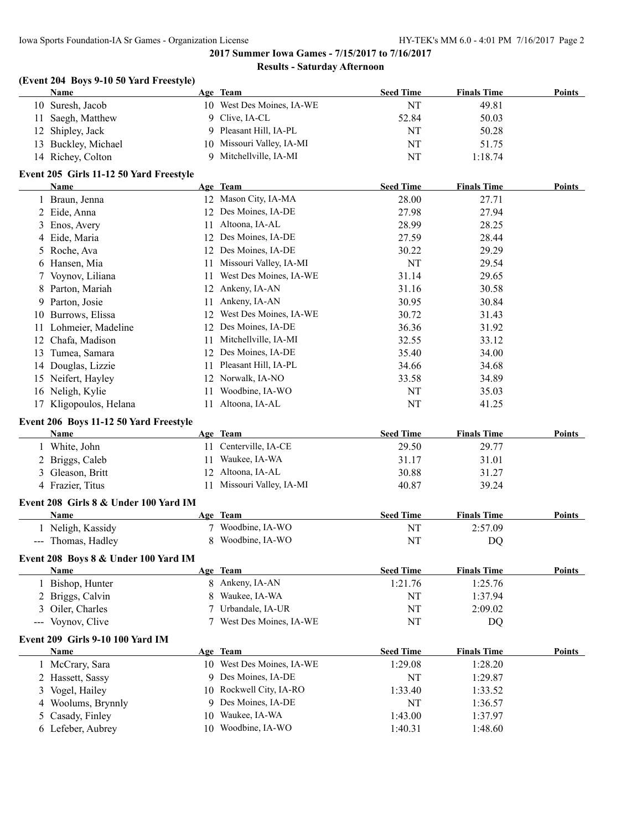#### **Results - Saturday Afternoon**

#### **(Event 204 Boys 9-10 50 Yard Freestyle)**

| Name                | Age Team                  | <b>Seed Time</b> | <b>Finals Time</b> | Points |
|---------------------|---------------------------|------------------|--------------------|--------|
| 10 Suresh, Jacob    | 10 West Des Moines, IA-WE | NT               | 49.81              |        |
| 11 Saegh, Matthew   | 9 Clive, IA-CL            | 52.84            | 50.03              |        |
| 12 Shipley, Jack    | 9 Pleasant Hill, IA-PL    | NT               | 50.28              |        |
| 13 Buckley, Michael | 10 Missouri Valley, IA-MI | NT               | 51.75              |        |
| 14 Richey, Colton   | Mitchellville, IA-MI      | NT               | 1:18.74            |        |

#### **Event 205 Girls 11-12 50 Yard Freestyle**

|     | Name                   |     | Age Team               | <b>Seed Time</b> | <b>Finals Time</b> | <b>Points</b> |
|-----|------------------------|-----|------------------------|------------------|--------------------|---------------|
|     | 1 Braun, Jenna         | 12  | Mason City, IA-MA      | 28.00            | 27.71              |               |
|     | 2 Eide, Anna           | 12  | Des Moines, IA-DE      | 27.98            | 27.94              |               |
|     | 3 Enos, Avery          | 11  | Altoona, IA-AL         | 28.99            | 28.25              |               |
|     | 4 Eide, Maria          | 12  | Des Moines, IA-DE      | 27.59            | 28.44              |               |
|     | 5 Roche, Ava           | 12. | Des Moines, IA-DE      | 30.22            | 29.29              |               |
|     | 6 Hansen, Mia          |     | Missouri Valley, IA-MI | NT               | 29.54              |               |
|     | 7 Voynov, Liliana      | 11  | West Des Moines, IA-WE | 31.14            | 29.65              |               |
|     | 8 Parton, Mariah       | 12  | Ankeny, IA-AN          | 31.16            | 30.58              |               |
|     | 9 Parton, Josie        | 11  | Ankeny, IA-AN          | 30.95            | 30.84              |               |
| 10  | Burrows, Elissa        | 12  | West Des Moines, IA-WE | 30.72            | 31.43              |               |
| 11  | Lohmeier, Madeline     | 12  | Des Moines, IA-DE      | 36.36            | 31.92              |               |
| 12. | Chafa, Madison         | 11  | Mitchellville, IA-MI   | 32.55            | 33.12              |               |
| 13  | Tumea, Samara          | 12  | Des Moines, IA-DE      | 35.40            | 34.00              |               |
| 14  | Douglas, Lizzie        | 11  | Pleasant Hill, IA-PL   | 34.66            | 34.68              |               |
|     | 15 Neifert, Hayley     | 12  | Norwalk, IA-NO         | 33.58            | 34.89              |               |
|     | 16 Neligh, Kylie       | 11  | Woodbine, IA-WO        | NT               | 35.03              |               |
|     | 17 Kligopoulos, Helana |     | Altoona, IA-AL         | NT               | 41.25              |               |

#### **Event 206 Boys 11-12 50 Yard Freestyle**

| <b>Name</b>      | Age Team                  | <b>Seed Time</b> | <b>Finals Time</b> | <b>Points</b> |
|------------------|---------------------------|------------------|--------------------|---------------|
| White, John      | Centerville, IA-CE        | 29.50            | 29.77              |               |
| 2 Briggs, Caleb  | Waukee, IA-WA             | 31.17            | 31.01              |               |
| 3 Gleason, Britt | 12 Altoona, IA-AL         | 30.88            | 31.27              |               |
| 4 Frazier, Titus | 11 Missouri Valley, IA-MI | 40.87            | 39.24              |               |

#### **Event 208 Girls 8 & Under 100 Yard IM**

| Name                                                                                                                                                                                                                                                                                                                                                                                                                                                                                         | <b>Team</b><br>Age | <b>Seed Time</b> | <b>Finals Time</b> | <b>Points</b> |
|----------------------------------------------------------------------------------------------------------------------------------------------------------------------------------------------------------------------------------------------------------------------------------------------------------------------------------------------------------------------------------------------------------------------------------------------------------------------------------------------|--------------------|------------------|--------------------|---------------|
| Neligh, Kassidy                                                                                                                                                                                                                                                                                                                                                                                                                                                                              | Woodbine, IA-WO    |                  | 2:57.09            |               |
| Thomas, Hadley<br>$\frac{1}{2} \left( \frac{1}{2} \right) \left( \frac{1}{2} \right) \left( \frac{1}{2} \right) \left( \frac{1}{2} \right) \left( \frac{1}{2} \right) \left( \frac{1}{2} \right) \left( \frac{1}{2} \right) \left( \frac{1}{2} \right) \left( \frac{1}{2} \right) \left( \frac{1}{2} \right) \left( \frac{1}{2} \right) \left( \frac{1}{2} \right) \left( \frac{1}{2} \right) \left( \frac{1}{2} \right) \left( \frac{1}{2} \right) \left( \frac{1}{2} \right) \left( \frac$ | Woodbine, IA-WO    |                  | DC                 |               |

#### **Event 208 Boys 8 & Under 100 Yard IM**

| Name                                    | Age Team                      | <b>Seed Time</b> | <b>Finals Time</b> | <b>Points</b> |
|-----------------------------------------|-------------------------------|------------------|--------------------|---------------|
| 1 Bishop, Hunter                        | 8 Ankeny, IA-AN               | 1:21.76          | 1:25.76            |               |
| 2 Briggs, Calvin                        | Waukee, IA-WA<br>8.           | NT               | 1:37.94            |               |
| 3 Oiler, Charles                        | Urbandale, IA-UR              | NT               | 2:09.02            |               |
| --- Voynov, Clive                       | West Des Moines, IA-WE        | NT               | DQ                 |               |
| <b>Event 209 Girls 9-10 100 Yard IM</b> |                               |                  |                    |               |
| <b>Name</b>                             | Age Team                      | <b>Seed Time</b> | <b>Finals Time</b> | <b>Points</b> |
| 1 McCrary, Sara                         | West Des Moines, IA-WE<br>10- | 1:29.08          | 1:28.20            |               |
| 2 Hassett, Sassy                        | 9 Des Moines, IA-DE           | NT               | 1:29.87            |               |
| 3 Vogel, Hailey                         | 10 Rockwell City, IA-RO       | 1:33.40          | 1:33.52            |               |
| 4 Woolums, Brynnly                      | 9 Des Moines, IA-DE           | NT               | 1:36.57            |               |
| 5 Casady, Finley                        | Waukee, IA-WA<br>10.          | 1:43.00          | 1:37.97            |               |
| 6 Lefeber, Aubrev                       | Woodbine, IA-WO<br>10.        | 1:40.31          | 1:48.60            |               |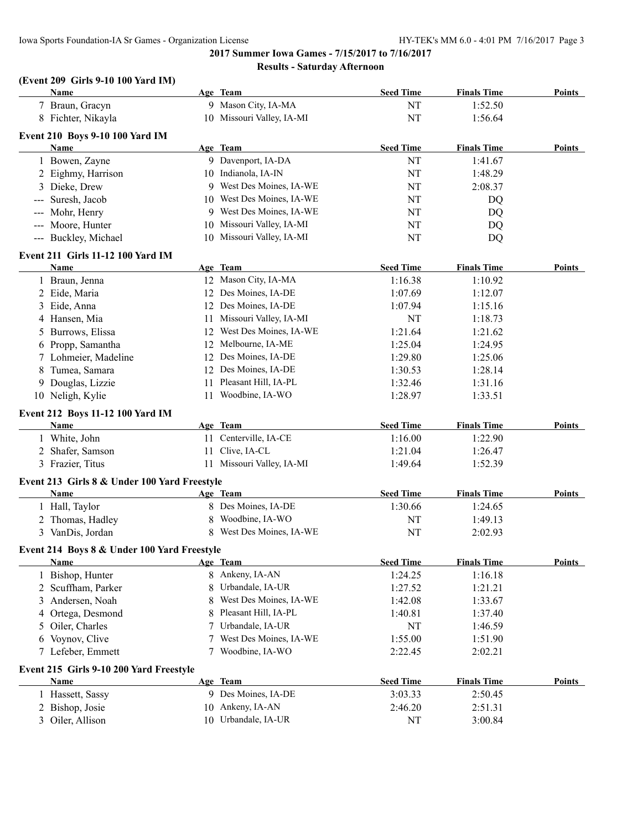#### **(Event 209 Girls 9-10 100 Yard IM)**

|                           | <b>Name</b>                                  |    | Age Team                  | <b>Seed Time</b> | <b>Finals Time</b> | Points        |
|---------------------------|----------------------------------------------|----|---------------------------|------------------|--------------------|---------------|
|                           | 7 Braun, Gracyn                              |    | 9 Mason City, IA-MA       | NT               | 1:52.50            |               |
|                           | 8 Fichter, Nikayla                           |    | 10 Missouri Valley, IA-MI | NT               | 1:56.64            |               |
|                           | <b>Event 210 Boys 9-10 100 Yard IM</b>       |    |                           |                  |                    |               |
|                           | <b>Name</b>                                  |    | Age Team                  | <b>Seed Time</b> | <b>Finals Time</b> | Points        |
|                           | 1 Bowen, Zayne                               |    | 9 Davenport, IA-DA        | NT               | 1:41.67            |               |
|                           | 2 Eighmy, Harrison                           |    | 10 Indianola, IA-IN       | NT               | 1:48.29            |               |
|                           | 3 Dieke, Drew                                |    | 9 West Des Moines, IA-WE  | NT               | 2:08.37            |               |
| $\qquad \qquad -\qquad -$ | Suresh, Jacob                                |    | 10 West Des Moines, IA-WE | NT               | DQ                 |               |
| $\qquad \qquad - -$       | Mohr, Henry                                  |    | 9 West Des Moines, IA-WE  | NT               | DQ                 |               |
|                           | --- Moore, Hunter                            | 10 | Missouri Valley, IA-MI    | NT               | DQ                 |               |
|                           | --- Buckley, Michael                         |    | 10 Missouri Valley, IA-MI | NT               | DQ                 |               |
|                           |                                              |    |                           |                  |                    |               |
|                           | Event 211 Girls 11-12 100 Yard IM            |    |                           |                  |                    |               |
|                           | Name                                         |    | Age Team                  | <b>Seed Time</b> | <b>Finals Time</b> | Points        |
|                           | 1 Braun, Jenna                               |    | 12 Mason City, IA-MA      | 1:16.38          | 1:10.92            |               |
|                           | 2 Eide, Maria                                |    | 12 Des Moines, IA-DE      | 1:07.69          | 1:12.07            |               |
|                           | 3 Eide, Anna                                 |    | 12 Des Moines, IA-DE      | 1:07.94          | 1:15.16            |               |
|                           | 4 Hansen, Mia                                |    | 11 Missouri Valley, IA-MI | NT               | 1:18.73            |               |
| 5                         | Burrows, Elissa                              |    | 12 West Des Moines, IA-WE | 1:21.64          | 1:21.62            |               |
| 6                         | Propp, Samantha                              |    | 12 Melbourne, IA-ME       | 1:25.04          | 1:24.95            |               |
|                           | 7 Lohmeier, Madeline                         |    | 12 Des Moines, IA-DE      | 1:29.80          | 1:25.06            |               |
| 8                         | Tumea, Samara                                |    | 12 Des Moines, IA-DE      | 1:30.53          | 1:28.14            |               |
| 9                         | Douglas, Lizzie                              | 11 | Pleasant Hill, IA-PL      | 1:32.46          | 1:31.16            |               |
|                           | 10 Neligh, Kylie                             | 11 | Woodbine, IA-WO           | 1:28.97          | 1:33.51            |               |
|                           | Event 212 Boys 11-12 100 Yard IM             |    |                           |                  |                    |               |
|                           | Name                                         |    | Age Team                  | <b>Seed Time</b> | <b>Finals Time</b> | Points        |
|                           | 1 White, John                                |    | 11 Centerville, IA-CE     | 1:16.00          | 1:22.90            |               |
|                           | 2 Shafer, Samson                             | 11 | Clive, IA-CL              | 1:21.04          | 1:26.47            |               |
|                           | 3 Frazier, Titus                             |    | 11 Missouri Valley, IA-MI | 1:49.64          | 1:52.39            |               |
|                           |                                              |    |                           |                  |                    |               |
|                           | Event 213 Girls 8 & Under 100 Yard Freestyle |    |                           |                  |                    |               |
|                           | Name                                         |    | Age Team                  | <b>Seed Time</b> | <b>Finals Time</b> | Points        |
|                           | 1 Hall, Taylor                               |    | 8 Des Moines, IA-DE       | 1:30.66          | 1:24.65            |               |
|                           | 2 Thomas, Hadley                             | 8  | Woodbine, IA-WO           | NT               | 1:49.13            |               |
|                           | 3 VanDis, Jordan                             |    | 8 West Des Moines, IA-WE  | NT               | 2:02.93            |               |
|                           | Event 214 Boys 8 & Under 100 Yard Freestyle  |    |                           |                  |                    |               |
|                           | Name                                         |    | <u>Age Team</u>           | <b>Seed Time</b> | <b>Finals Time</b> | Points        |
|                           | 1 Bishop, Hunter                             | 8  | Ankeny, IA-AN             | 1:24.25          | 1:16.18            |               |
| 2                         | Scuffham, Parker                             | 8  | Urbandale, IA-UR          | 1:27.52          | 1:21.21            |               |
| 3                         | Andersen, Noah                               | 8  | West Des Moines, IA-WE    | 1:42.08          | 1:33.67            |               |
| 4                         | Ortega, Desmond                              | 8  | Pleasant Hill, IA-PL      | 1:40.81          | 1:37.40            |               |
| 5                         | Oiler, Charles                               | 7  | Urbandale, IA-UR          | NT               | 1:46.59            |               |
|                           | 6 Voynov, Clive                              | 7  | West Des Moines, IA-WE    | 1:55.00          | 1:51.90            |               |
|                           | 7 Lefeber, Emmett                            | 7  | Woodbine, IA-WO           | 2:22.45          | 2:02.21            |               |
|                           |                                              |    |                           |                  |                    |               |
|                           | Event 215 Girls 9-10 200 Yard Freestyle      |    |                           |                  |                    |               |
|                           | <b>Name</b>                                  |    | Age Team                  | <b>Seed Time</b> | <b>Finals Time</b> | <b>Points</b> |
|                           | 1 Hassett, Sassy                             |    | 9 Des Moines, IA-DE       | 3:03.33          | 2:50.45            |               |
| 2                         | Bishop, Josie                                |    | 10 Ankeny, IA-AN          | 2:46.20          | 2:51.31            |               |
|                           | 3 Oiler, Allison                             |    | 10 Urbandale, IA-UR       | NT               | 3:00.84            |               |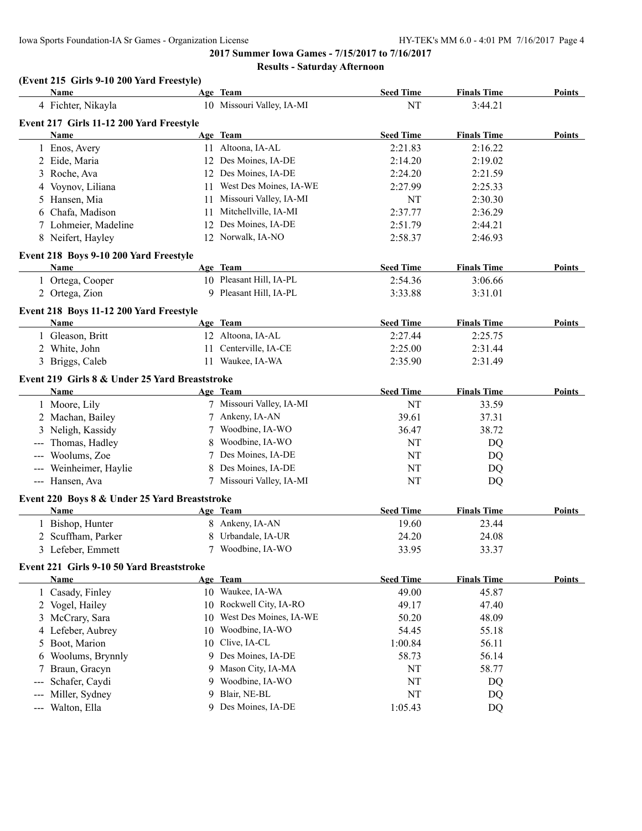#### **Results - Saturday Afternoon**

# **(Event 215 Girls 9-10 200 Yard Freestyle)**

| <b>Name</b>                                    |    | Age Team                  | <b>Seed Time</b> | <b>Finals Time</b> | <b>Points</b> |
|------------------------------------------------|----|---------------------------|------------------|--------------------|---------------|
| 4 Fichter, Nikayla                             |    | 10 Missouri Valley, IA-MI | NT               | 3:44.21            |               |
| Event 217 Girls 11-12 200 Yard Freestyle       |    |                           |                  |                    |               |
| <b>Name</b>                                    |    | Age Team                  | <b>Seed Time</b> | <b>Finals Time</b> | Points        |
| 1 Enos, Avery                                  |    | 11 Altoona, IA-AL         | 2:21.83          | 2:16.22            |               |
| 2 Eide, Maria                                  |    | 12 Des Moines, IA-DE      | 2:14.20          | 2:19.02            |               |
| 3 Roche, Ava                                   |    | 12 Des Moines, IA-DE      | 2:24.20          | 2:21.59            |               |
| 4 Voynov, Liliana                              |    | 11 West Des Moines, IA-WE | 2:27.99          | 2:25.33            |               |
| 5 Hansen, Mia                                  |    | 11 Missouri Valley, IA-MI | NT               | 2:30.30            |               |
| 6 Chafa, Madison                               |    | 11 Mitchellville, IA-MI   | 2:37.77          | 2:36.29            |               |
| 7 Lohmeier, Madeline                           |    | 12 Des Moines, IA-DE      | 2:51.79          | 2:44.21            |               |
| 8 Neifert, Hayley                              |    | 12 Norwalk, IA-NO         | 2:58.37          | 2:46.93            |               |
| Event 218 Boys 9-10 200 Yard Freestyle         |    |                           |                  |                    |               |
| <b>Name</b>                                    |    | Age Team                  | <b>Seed Time</b> | <b>Finals Time</b> | Points        |
| 1 Ortega, Cooper                               |    | 10 Pleasant Hill, IA-PL   | 2:54.36          | 3:06.66            |               |
| 2 Ortega, Zion                                 |    | 9 Pleasant Hill, IA-PL    | 3:33.88          | 3:31.01            |               |
| Event 218 Boys 11-12 200 Yard Freestyle        |    |                           |                  |                    |               |
| Name                                           |    | Age Team                  | <b>Seed Time</b> | <b>Finals Time</b> | Points        |
| 1 Gleason, Britt                               |    | 12 Altoona, IA-AL         | 2:27.44          | 2:25.75            |               |
| 2 White, John                                  |    | 11 Centerville, IA-CE     | 2:25.00          | 2:31.44            |               |
| 3 Briggs, Caleb                                |    | 11 Waukee, IA-WA          | 2:35.90          | 2:31.49            |               |
| Event 219 Girls 8 & Under 25 Yard Breaststroke |    |                           |                  |                    |               |
| Name                                           |    | Age Team                  | <b>Seed Time</b> | <b>Finals Time</b> | Points        |
| 1 Moore, Lily                                  |    | 7 Missouri Valley, IA-MI  | NT               | 33.59              |               |
| 2 Machan, Bailey                               |    | 7 Ankeny, IA-AN           | 39.61            | 37.31              |               |
| 3 Neligh, Kassidy                              | 7  | Woodbine, IA-WO           | 36.47            | 38.72              |               |
| --- Thomas, Hadley                             | 8  | Woodbine, IA-WO           | NT               | DQ                 |               |
| --- Woolums, Zoe                               | 7  | Des Moines, IA-DE         | NT               | DQ                 |               |
| --- Weinheimer, Haylie                         | 8  | Des Moines, IA-DE         | NT               | DQ                 |               |
| --- Hansen, Ava                                |    | 7 Missouri Valley, IA-MI  | NT               | DQ                 |               |
| Event 220 Boys 8 & Under 25 Yard Breaststroke  |    |                           |                  |                    |               |
| Name                                           |    | Age Team                  | <b>Seed Time</b> | <b>Finals Time</b> | Points        |
| 1 Bishop, Hunter                               |    | 8 Ankeny, IA-AN           | 19.60            | 23.44              |               |
| 2 Scuffham, Parker                             | 8  | Urbandale, IA-UR          | 24.20            | 24.08              |               |
| 3 Lefeber, Emmett                              |    | 7 Woodbine, IA-WO         | 33.95            | 33.37              |               |
| Event 221 Girls 9-10 50 Yard Breaststroke      |    |                           |                  |                    |               |
| Name                                           |    | Age Team                  | <b>Seed Time</b> | <b>Finals Time</b> | Points        |
| 1 Casady, Finley                               |    | 10 Waukee, IA-WA          | 49.00            | 45.87              |               |
| 2 Vogel, Hailey                                | 10 | Rockwell City, IA-RO      | 49.17            | 47.40              |               |
| 3 McCrary, Sara                                | 10 | West Des Moines, IA-WE    | 50.20            | 48.09              |               |
| 4 Lefeber, Aubrey                              | 10 | Woodbine, IA-WO           | 54.45            | 55.18              |               |
| 5 Boot, Marion                                 | 10 | Clive, IA-CL              | 1:00.84          | 56.11              |               |
| Woolums, Brynnly<br>6                          |    | 9 Des Moines, IA-DE       | 58.73            | 56.14              |               |
| Braun, Gracyn<br>7                             | 9  | Mason City, IA-MA         | NT               | 58.77              |               |
| Schafer, Caydi<br>$---$                        | 9  | Woodbine, IA-WO           | NT               | DQ                 |               |
| Miller, Sydney<br>$---$                        | 9  | Blair, NE-BL              | NT               | DQ                 |               |
| Walton, Ella<br>$\sim$ $\sim$                  |    | 9 Des Moines, IA-DE       | 1:05.43          | DQ                 |               |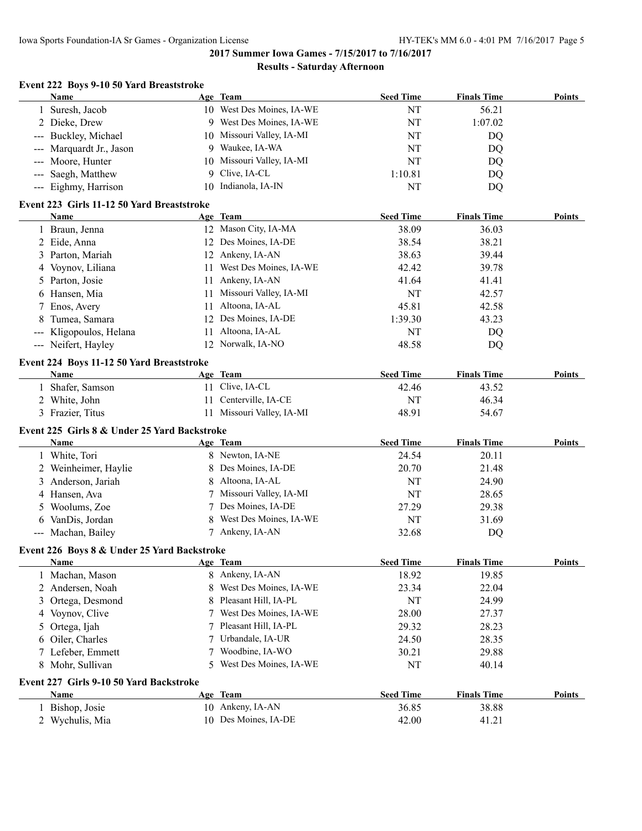#### **Results - Saturday Afternoon**

| Name                     | Event 222 Boys 9-10 50 Yard Breaststroke     | Age Team                  | <b>Seed Time</b> | <b>Finals Time</b> | <b>Points</b> |
|--------------------------|----------------------------------------------|---------------------------|------------------|--------------------|---------------|
| 1 Suresh, Jacob          |                                              | 10 West Des Moines, IA-WE | NT               | 56.21              |               |
| 2 Dieke, Drew            |                                              | 9 West Des Moines, IA-WE  | NT               | 1:07.02            |               |
| --- Buckley, Michael     |                                              | 10 Missouri Valley, IA-MI | NT               | DQ                 |               |
| --- Marquardt Jr., Jason | 9.                                           | Waukee, IA-WA             | NT               | DQ                 |               |
| --- Moore, Hunter        | 10                                           | Missouri Valley, IA-MI    | NT               | DQ                 |               |
| --- Saegh, Matthew       | 9                                            | Clive, IA-CL              | 1:10.81          | DQ                 |               |
| --- Eighmy, Harrison     | 10                                           | Indianola, IA-IN          | NT               | DQ                 |               |
|                          | Event 223 Girls 11-12 50 Yard Breaststroke   |                           |                  |                    |               |
| Name                     |                                              | Age Team                  | <b>Seed Time</b> | <b>Finals Time</b> | Points        |
| 1 Braun, Jenna           |                                              | 12 Mason City, IA-MA      | 38.09            | 36.03              |               |
| 2 Eide, Anna             |                                              | 12 Des Moines, IA-DE      | 38.54            | 38.21              |               |
| 3 Parton, Mariah         |                                              | 12 Ankeny, IA-AN          | 38.63            | 39.44              |               |
| Voynov, Liliana<br>4     | 11                                           | West Des Moines, IA-WE    | 42.42            | 39.78              |               |
| Parton, Josie<br>5       | 11                                           | Ankeny, IA-AN             | 41.64            | 41.41              |               |
| Hansen, Mia<br>6         | 11                                           | Missouri Valley, IA-MI    | NT               | 42.57              |               |
| Enos, Avery<br>7         | 11                                           | Altoona, IA-AL            | 45.81            | 42.58              |               |
| Tumea, Samara<br>8       | 12                                           | Des Moines, IA-DE         | 1:39.30          | 43.23              |               |
| Kligopoulos, Helana      |                                              | 11 Altoona, IA-AL         | NT               | DQ                 |               |
| --- Neifert, Hayley      |                                              | 12 Norwalk, IA-NO         | 48.58            | DQ                 |               |
|                          | Event 224 Boys 11-12 50 Yard Breaststroke    |                           |                  |                    |               |
| Name                     |                                              | Age Team                  | <b>Seed Time</b> | <b>Finals Time</b> | Points        |
| Shafer, Samson           |                                              | 11 Clive, IA-CL           | 42.46            | 43.52              |               |
| 2 White, John            | 11                                           | Centerville, IA-CE        | <b>NT</b>        | 46.34              |               |
| 3 Frazier, Titus         | 11                                           | Missouri Valley, IA-MI    | 48.91            | 54.67              |               |
|                          | Event 225 Girls 8 & Under 25 Yard Backstroke |                           |                  |                    |               |
| Name                     |                                              | Age Team                  | <b>Seed Time</b> | <b>Finals Time</b> | <b>Points</b> |
| 1 White, Tori            |                                              | 8 Newton, IA-NE           | 24.54            | 20.11              |               |
| Weinheimer, Haylie       |                                              | Des Moines, IA-DE         | 20.70            | 21.48              |               |
| Anderson, Jariah<br>3    | 8                                            | Altoona, IA-AL            | NT               | 24.90              |               |
| Hansen, Ava<br>4         |                                              | Missouri Valley, IA-MI    | NT               | 28.65              |               |
| Woolums, Zoe<br>5        |                                              | Des Moines, IA-DE         | 27.29            | 29.38              |               |
| VanDis, Jordan<br>6      |                                              | West Des Moines, IA-WE    | NT               | 31.69              |               |
| --- Machan, Bailey       |                                              | 7 Ankeny, IA-AN           | 32.68            | DQ                 |               |
|                          | Event 226 Boys 8 & Under 25 Yard Backstroke  |                           |                  |                    |               |
| Name                     |                                              | Age Team                  | <b>Seed Time</b> | <b>Finals Time</b> | <b>Points</b> |
| 1 Machan, Mason          |                                              | 8 Ankeny, IA-AN           | 18.92            | 19.85              |               |
| 2 Andersen, Noah         | 8                                            | West Des Moines, IA-WE    | 23.34            | 22.04              |               |
| Ortega, Desmond<br>3     | 8                                            | Pleasant Hill, IA-PL      | NT               | 24.99              |               |
| Voynov, Clive<br>4       |                                              | West Des Moines, IA-WE    | 28.00            | 27.37              |               |
| Ortega, Ijah<br>5        |                                              | Pleasant Hill, IA-PL      | 29.32            | 28.23              |               |
| Oiler, Charles<br>6      |                                              | Urbandale, IA-UR          | 24.50            | 28.35              |               |
| 7 Lefeber, Emmett        | 7                                            | Woodbine, IA-WO           | 30.21            | 29.88              |               |
| 8 Mohr, Sullivan         | 5                                            | West Des Moines, IA-WE    | NT               | 40.14              |               |
|                          | Event 227 Girls 9-10 50 Yard Backstroke      |                           |                  |                    |               |
| <b>Name</b>              |                                              | Age Team                  | <b>Seed Time</b> | <b>Finals Time</b> | <b>Points</b> |
| 1 Bishop, Josie          |                                              | 10 Ankeny, IA-AN          | 36.85            | 38.88              |               |
| 2 Wychulis, Mia          |                                              | 10 Des Moines, IA-DE      | 42.00            | 41.21              |               |
|                          |                                              |                           |                  |                    |               |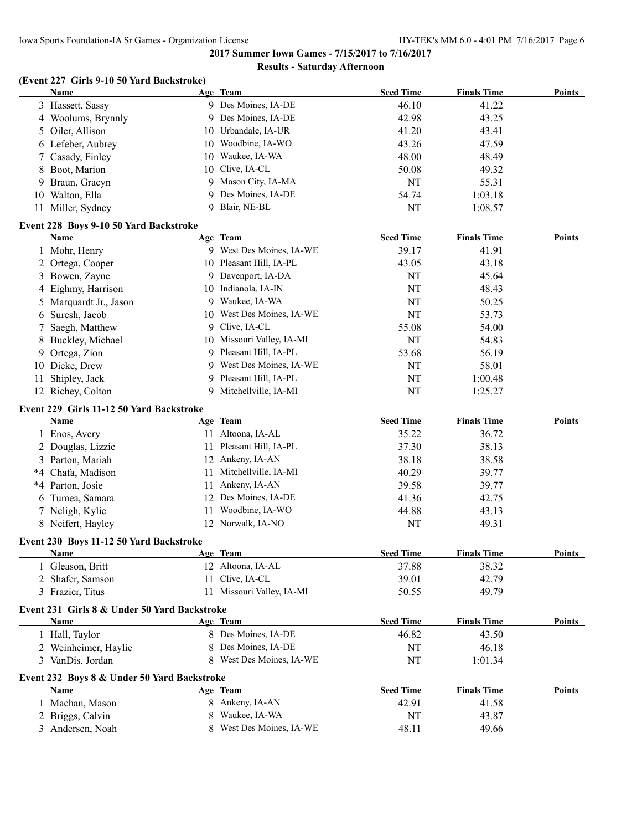#### **Results - Saturday Afternoon**

# **(Event 227 Girls 9-10 50 Yard Backstroke)**

|                | <b>Name</b>                                  |          | Age Team                               | <b>Seed Time</b> | <b>Finals Time</b> | <b>Points</b> |
|----------------|----------------------------------------------|----------|----------------------------------------|------------------|--------------------|---------------|
|                | 3 Hassett, Sassy                             |          | 9 Des Moines, IA-DE                    | 46.10            | 41.22              |               |
|                | 4 Woolums, Brynnly                           | 9.       | Des Moines, IA-DE                      | 42.98            | 43.25              |               |
| 5.             | Oiler, Allison                               | 10       | Urbandale, IA-UR                       | 41.20            | 43.41              |               |
|                | 6 Lefeber, Aubrey                            | 10       | Woodbine, IA-WO                        | 43.26            | 47.59              |               |
| 7              | Casady, Finley                               | 10       | Waukee, IA-WA                          | 48.00            | 48.49              |               |
| 8              | Boot, Marion                                 | 10       | Clive, IA-CL                           | 50.08            | 49.32              |               |
| 9              | Braun, Gracyn                                | 9        | Mason City, IA-MA                      | NT               | 55.31              |               |
|                | 10 Walton, Ella                              | 9        | Des Moines, IA-DE                      | 54.74            | 1:03.18            |               |
|                | 11 Miller, Sydney                            | 9        | Blair, NE-BL                           | NT               | 1:08.57            |               |
|                | Event 228 Boys 9-10 50 Yard Backstroke       |          |                                        |                  |                    |               |
|                | Name                                         |          | Age Team                               | <b>Seed Time</b> | <b>Finals Time</b> | <b>Points</b> |
|                | 1 Mohr, Henry                                |          | 9 West Des Moines, IA-WE               | 39.17            | 41.91              |               |
| $\overline{2}$ | Ortega, Cooper                               |          | 10 Pleasant Hill, IA-PL                | 43.05            | 43.18              |               |
|                | 3 Bowen, Zayne                               |          | 9 Davenport, IA-DA                     | NT               | 45.64              |               |
| 4              | Eighmy, Harrison                             | 10       | Indianola, IA-IN                       | NT               | 48.43              |               |
| 5              | Marquardt Jr., Jason                         | 9.       | Waukee, IA-WA                          | NT               | 50.25              |               |
| 6              | Suresh, Jacob                                |          | 10 West Des Moines, IA-WE              | NT               | 53.73              |               |
| 7              | Saegh, Matthew                               |          | 9 Clive, IA-CL                         | 55.08            | 54.00              |               |
| 8              | Buckley, Michael                             |          | 10 Missouri Valley, IA-MI              | NT               | 54.83              |               |
| 9.             | Ortega, Zion                                 | 9        | Pleasant Hill, IA-PL                   | 53.68            | 56.19              |               |
| 10             | Dieke, Drew                                  | 9        | West Des Moines, IA-WE                 | NT               | 58.01              |               |
| 11             | Shipley, Jack                                | 9.       | Pleasant Hill, IA-PL                   | NT               | 1:00.48            |               |
|                | 12 Richey, Colton                            | 9        | Mitchellville, IA-MI                   | NT               | 1:25.27            |               |
|                |                                              |          |                                        |                  |                    |               |
|                | Event 229 Girls 11-12 50 Yard Backstroke     |          |                                        |                  |                    |               |
|                | Name                                         |          | Age Team                               | <b>Seed Time</b> | <b>Finals Time</b> | Points        |
|                | 1 Enos, Avery                                |          | 11 Altoona, IA-AL                      | 35.22            | 36.72              |               |
|                | 2 Douglas, Lizzie                            | 11       | Pleasant Hill, IA-PL                   | 37.30            | 38.13              |               |
|                |                                              |          |                                        |                  |                    |               |
|                | 3 Parton, Mariah                             |          | 12 Ankeny, IA-AN                       | 38.18            | 38.58              |               |
|                | *4 Chafa, Madison                            | 11       | Mitchellville, IA-MI                   | 40.29            | 39.77              |               |
|                | *4 Parton, Josie                             | 11.      | Ankeny, IA-AN                          | 39.58            | 39.77              |               |
| 6              | Tumea, Samara                                | 12       | Des Moines, IA-DE                      | 41.36            | 42.75              |               |
|                | 7 Neligh, Kylie                              | 11       | Woodbine, IA-WO                        | 44.88            | 43.13              |               |
|                | 8 Neifert, Hayley                            |          | 12 Norwalk, IA-NO                      | NT               | 49.31              |               |
|                |                                              |          |                                        |                  |                    |               |
|                | Event 230 Boys 11-12 50 Yard Backstroke      |          |                                        |                  |                    | Points        |
|                | <b>Name</b>                                  |          | Age Team                               | <b>Seed Time</b> | <b>Finals Time</b> |               |
|                | 1 Gleason, Britt                             |          | 12 Altoona, IA-AL                      | 37.88            | 38.32              |               |
|                | 2 Shafer, Samson                             | 11<br>11 | Clive, IA-CL<br>Missouri Valley, IA-MI | 39.01            | 42.79              |               |
|                | 3 Frazier, Titus                             |          |                                        | 50.55            | 49.79              |               |
|                | Event 231 Girls 8 & Under 50 Yard Backstroke |          |                                        |                  |                    |               |
|                | Name                                         |          | Age Team                               | <b>Seed Time</b> | <b>Finals Time</b> | <b>Points</b> |
|                | 1 Hall, Taylor                               |          | 8 Des Moines, IA-DE                    | 46.82            | 43.50              |               |
|                | 2 Weinheimer, Haylie                         | 8        | Des Moines, IA-DE                      | NT               | 46.18              |               |
|                | 3 VanDis, Jordan                             | 8        | West Des Moines, IA-WE                 | NT               | 1:01.34            |               |
|                | Event 232 Boys 8 & Under 50 Yard Backstroke  |          |                                        |                  |                    |               |
|                | Name                                         |          | Age Team                               | <b>Seed Time</b> | <b>Finals Time</b> | <b>Points</b> |
|                | 1 Machan, Mason                              |          | 8 Ankeny, IA-AN                        | 42.91            | 41.58              |               |
|                | 2 Briggs, Calvin                             | 8        | Waukee, IA-WA                          | NT               | 43.87              |               |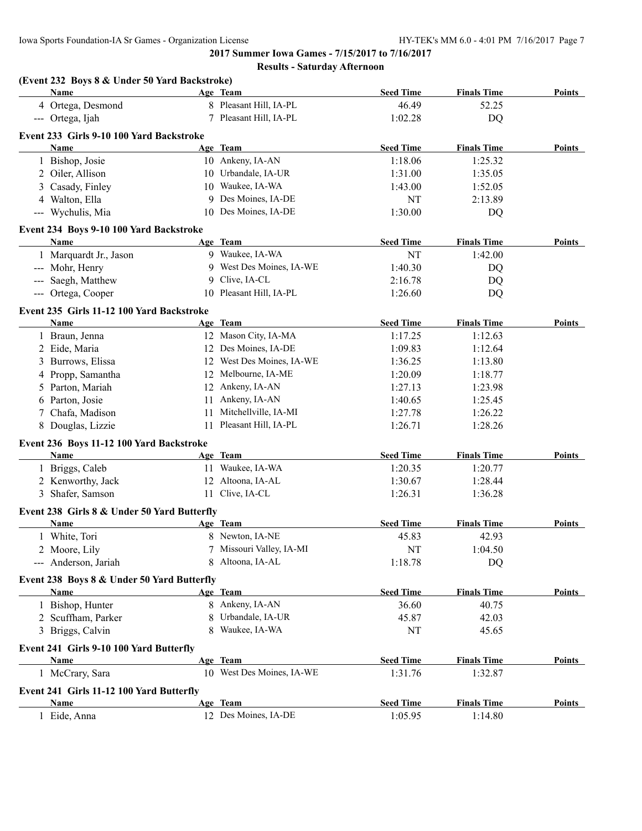| (Event 232 Boys 8 & Under 50 Yard Backstroke) |     |                           |                  |                    |               |
|-----------------------------------------------|-----|---------------------------|------------------|--------------------|---------------|
| Name                                          |     | Age Team                  | <b>Seed Time</b> | <b>Finals Time</b> | <b>Points</b> |
| 4 Ortega, Desmond                             |     | 8 Pleasant Hill, IA-PL    | 46.49            | 52.25              |               |
| --- Ortega, Ijah                              |     | 7 Pleasant Hill, IA-PL    | 1:02.28          | DQ                 |               |
| Event 233 Girls 9-10 100 Yard Backstroke      |     |                           |                  |                    |               |
| Name                                          |     | Age Team                  | <b>Seed Time</b> | <b>Finals Time</b> | Points        |
| 1 Bishop, Josie                               |     | 10 Ankeny, IA-AN          | 1:18.06          | 1:25.32            |               |
| 2 Oiler, Allison                              |     | 10 Urbandale, IA-UR       | 1:31.00          | 1:35.05            |               |
| 3 Casady, Finley                              |     | 10 Waukee, IA-WA          | 1:43.00          | 1:52.05            |               |
| 4 Walton, Ella                                |     | 9 Des Moines, IA-DE       | NT               | 2:13.89            |               |
| --- Wychulis, Mia                             |     | 10 Des Moines, IA-DE      | 1:30.00          | DQ                 |               |
| Event 234 Boys 9-10 100 Yard Backstroke       |     |                           |                  |                    |               |
| Name                                          |     | Age Team                  | <b>Seed Time</b> | <b>Finals Time</b> | Points        |
| 1 Marquardt Jr., Jason                        |     | 9 Waukee, IA-WA           | NT               | 1:42.00            |               |
| --- Mohr, Henry                               |     | 9 West Des Moines, IA-WE  | 1:40.30          | DQ                 |               |
| --- Saegh, Matthew                            |     | 9 Clive, IA-CL            | 2:16.78          | DQ                 |               |
| --- Ortega, Cooper                            |     | 10 Pleasant Hill, IA-PL   | 1:26.60          | DQ                 |               |
| Event 235 Girls 11-12 100 Yard Backstroke     |     |                           |                  |                    |               |
| <b>Name</b>                                   |     | Age Team                  | <b>Seed Time</b> | <b>Finals Time</b> | Points        |
| 1 Braun, Jenna                                |     | 12 Mason City, IA-MA      | 1:17.25          | 1:12.63            |               |
| 2 Eide, Maria                                 |     | 12 Des Moines, IA-DE      | 1:09.83          | 1:12.64            |               |
| 3 Burrows, Elissa                             |     | 12 West Des Moines, IA-WE | 1:36.25          | 1:13.80            |               |
| 4 Propp, Samantha                             |     | 12 Melbourne, IA-ME       | 1:20.09          | 1:18.77            |               |
| 5 Parton, Mariah                              |     | 12 Ankeny, IA-AN          | 1:27.13          | 1:23.98            |               |
| 6 Parton, Josie                               |     | 11 Ankeny, IA-AN          | 1:40.65          | 1:25.45            |               |
| 7 Chafa, Madison                              | 11. | Mitchellville, IA-MI      | 1:27.78          | 1:26.22            |               |
| 8 Douglas, Lizzie                             | 11  | Pleasant Hill, IA-PL      | 1:26.71          | 1:28.26            |               |
| Event 236 Boys 11-12 100 Yard Backstroke      |     |                           |                  |                    |               |
| Name                                          |     | Age Team                  | <b>Seed Time</b> | <b>Finals Time</b> | Points        |
| 1 Briggs, Caleb                               |     | 11 Waukee, IA-WA          | 1:20.35          | 1:20.77            |               |
| 2 Kenworthy, Jack                             |     | 12 Altoona, IA-AL         | 1:30.67          | 1:28.44            |               |
| 3 Shafer, Samson                              |     | 11 Clive, IA-CL           | 1:26.31          | 1:36.28            |               |
| Event 238 Girls 8 & Under 50 Yard Butterfly   |     |                           |                  |                    |               |
| <b>Name</b>                                   |     | Age Team                  | <b>Seed Time</b> | <b>Finals Time</b> | Points        |
| 1 White, Tori                                 |     | 8 Newton, IA-NE           | 45.83            | 42.93              |               |
| 2 Moore, Lily                                 |     | 7 Missouri Valley, IA-MI  | NT               | 1:04.50            |               |
| --- Anderson, Jariah                          | 8.  | Altoona, IA-AL            | 1:18.78          | DQ                 |               |
| Event 238 Boys 8 & Under 50 Yard Butterfly    |     |                           |                  |                    |               |
| Name                                          |     | Age Team                  | <b>Seed Time</b> | <b>Finals Time</b> | Points        |
| 1 Bishop, Hunter                              |     | 8 Ankeny, IA-AN           | 36.60            | 40.75              |               |
| 2 Scuffham, Parker                            |     | 8 Urbandale, IA-UR        | 45.87            | 42.03              |               |
| 3 Briggs, Calvin                              |     | 8 Waukee, IA-WA           | NT               | 45.65              |               |
| Event 241 Girls 9-10 100 Yard Butterfly       |     |                           |                  |                    |               |
| <b>Name</b>                                   |     | Age Team                  | <b>Seed Time</b> | <b>Finals Time</b> | Points        |
| 1 McCrary, Sara                               |     | 10 West Des Moines, IA-WE | 1:31.76          | 1:32.87            |               |
| Event 241 Girls 11-12 100 Yard Butterfly      |     |                           |                  |                    |               |
| <b>Name</b>                                   |     | Age Team                  | <b>Seed Time</b> | <b>Finals Time</b> | <b>Points</b> |
| 1 Eide, Anna                                  |     | 12 Des Moines, IA-DE      | 1:05.95          | 1:14.80            |               |
|                                               |     |                           |                  |                    |               |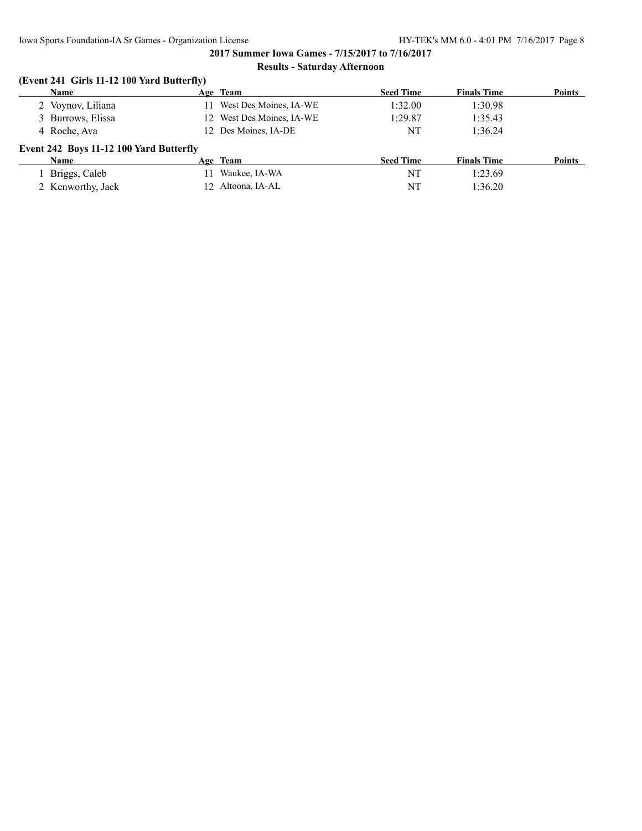# **(Event 241 Girls 11-12 100 Yard Butterfly)**

| <b>Name</b>                             | Age Team                  | <b>Seed Time</b> | <b>Finals Time</b> | <b>Points</b> |
|-----------------------------------------|---------------------------|------------------|--------------------|---------------|
| 2 Voynov, Liliana                       | West Des Moines, IA-WE    | 1:32.00          | 1:30.98            |               |
| 3 Burrows, Elissa                       | 12 West Des Moines, IA-WE | 1:29.87          | 1:35.43            |               |
| 4 Roche, Ava                            | 12 Des Moines, IA-DE      | NT               | 1:36.24            |               |
| Event 242 Boys 11-12 100 Yard Butterfly |                           |                  |                    |               |
| <b>Name</b>                             | Age Team                  | <b>Seed Time</b> | <b>Finals Time</b> | Points        |
| Briggs, Caleb                           | Waukee, IA-WA             | NT               | 1:23.69            |               |
| 2 Kenworthy, Jack                       | 12 Altoona, IA-AL         | NT               | 1:36.20            |               |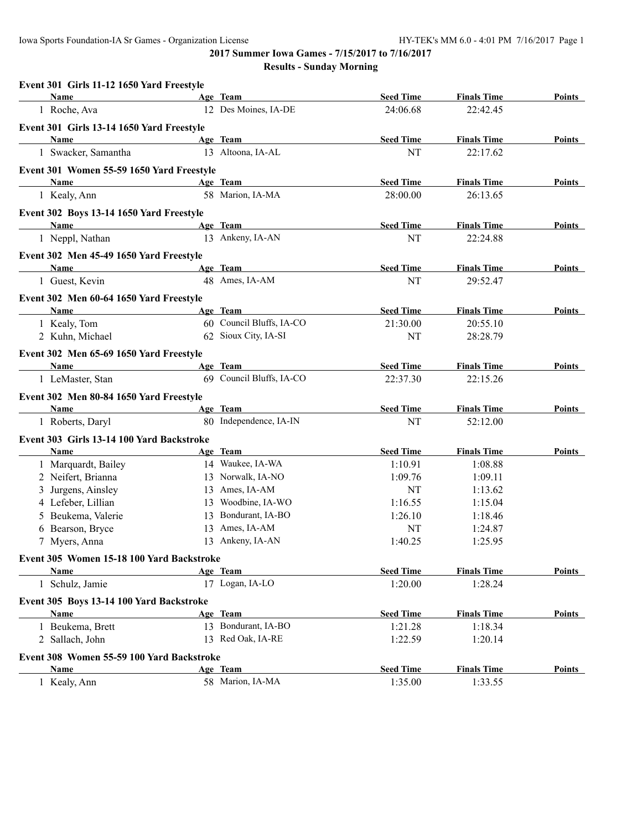| Event 301 Girls 11-12 1650 Yard Freestyle |                             |                             |                    |               |
|-------------------------------------------|-----------------------------|-----------------------------|--------------------|---------------|
| Name                                      | Age Team                    | <b>Seed Time</b>            | <b>Finals Time</b> | Points        |
| 1 Roche, Ava                              | 12 Des Moines, IA-DE        | 24:06.68                    | 22:42.45           |               |
| Event 301 Girls 13-14 1650 Yard Freestyle |                             |                             |                    |               |
| Name                                      | Age Team                    | <b>Seed Time</b>            | <b>Finals Time</b> | Points        |
| 1 Swacker, Samantha                       | 13 Altoona, IA-AL           | NT                          | 22:17.62           |               |
| Event 301 Women 55-59 1650 Yard Freestyle |                             |                             |                    |               |
| Name                                      | Age Team                    | <b>Seed Time</b>            | <b>Finals Time</b> | Points        |
| 1 Kealy, Ann                              | 58 Marion, IA-MA            | 28:00.00                    | 26:13.65           |               |
| Event 302 Boys 13-14 1650 Yard Freestyle  |                             |                             |                    |               |
| Name                                      | Age Team                    | <b>Seed Time</b>            | <b>Finals Time</b> | Points        |
| 1 Neppl, Nathan                           | 13 Ankeny, IA-AN            | NT                          | 22:24.88           |               |
| Event 302 Men 45-49 1650 Yard Freestyle   |                             |                             |                    |               |
| <b>Name</b>                               | Age Team                    | <b>Seed Time</b>            | <b>Finals Time</b> | Points        |
| 1 Guest, Kevin                            | 48 Ames, IA-AM              | NT                          | 29:52.47           |               |
| Event 302 Men 60-64 1650 Yard Freestyle   |                             |                             |                    |               |
| Name                                      | Age Team                    | <b>Seed Time</b>            | <b>Finals Time</b> | Points        |
| 1 Kealy, Tom                              | 60 Council Bluffs, IA-CO    | 21:30.00                    | 20:55.10           |               |
| 2 Kuhn, Michael                           | 62 Sioux City, IA-SI        | NT                          | 28:28.79           |               |
| Event 302 Men 65-69 1650 Yard Freestyle   |                             |                             |                    |               |
| <b>Name</b>                               | Age Team                    | <b>Seed Time</b>            | <b>Finals Time</b> | Points        |
| 1 LeMaster, Stan                          | 69 Council Bluffs, IA-CO    | 22:37.30                    | 22:15.26           |               |
| Event 302 Men 80-84 1650 Yard Freestyle   |                             |                             |                    |               |
| Name                                      | Age Team                    | <b>Seed Time</b>            | <b>Finals Time</b> | Points        |
| 1 Roberts, Daryl                          | 80 Independence, IA-IN      | NT                          | 52:12.00           |               |
| Event 303 Girls 13-14 100 Yard Backstroke |                             |                             |                    |               |
| Name                                      | Age Team                    | <b>Seed Time</b>            | <b>Finals Time</b> | Points        |
| 1 Marquardt, Bailey                       | 14 Waukee, IA-WA            | 1:10.91                     | 1:08.88            |               |
| 2 Neifert, Brianna                        | 13 Norwalk, IA-NO           | 1:09.76                     | 1:09.11            |               |
| 3 Jurgens, Ainsley                        | 13 Ames, IA-AM              | NT                          | 1:13.62            |               |
| 4 Lefeber, Lillian                        | 13 Woodbine, IA-WO          | 1:16.55                     | 1:15.04            |               |
| 5 Beukema, Valerie                        | 13 Bondurant, IA-BO         | 1:26.10                     | 1:18.46            |               |
| 6 Bearson, Bryce                          | 13 Ames, IA-AM              | NT                          | 1:24.87            |               |
| 7 Myers, Anna                             | 13 Ankeny, IA-AN            | 1:40.25                     | 1:25.95            |               |
|                                           |                             |                             |                    |               |
| Event 305 Women 15-18 100 Yard Backstroke |                             |                             | <b>Finals Time</b> |               |
| Name<br>1 Schulz, Jamie                   | Age Team<br>17 Logan, IA-LO | <b>Seed Time</b><br>1:20.00 | 1:28.24            | Points        |
|                                           |                             |                             |                    |               |
| Event 305 Boys 13-14 100 Yard Backstroke  |                             |                             |                    |               |
| Name                                      | Age Team                    | <b>Seed Time</b>            | <b>Finals Time</b> | Points        |
| 1 Beukema, Brett                          | 13 Bondurant, IA-BO         | 1:21.28                     | 1:18.34            |               |
| 2 Sallach, John                           | 13 Red Oak, IA-RE           | 1:22.59                     | 1:20.14            |               |
| Event 308 Women 55-59 100 Yard Backstroke |                             |                             |                    |               |
| Name                                      | Age Team                    | <b>Seed Time</b>            | <b>Finals Time</b> | <b>Points</b> |
| 1 Kealy, Ann                              | 58 Marion, IA-MA            | 1:35.00                     | 1:33.55            |               |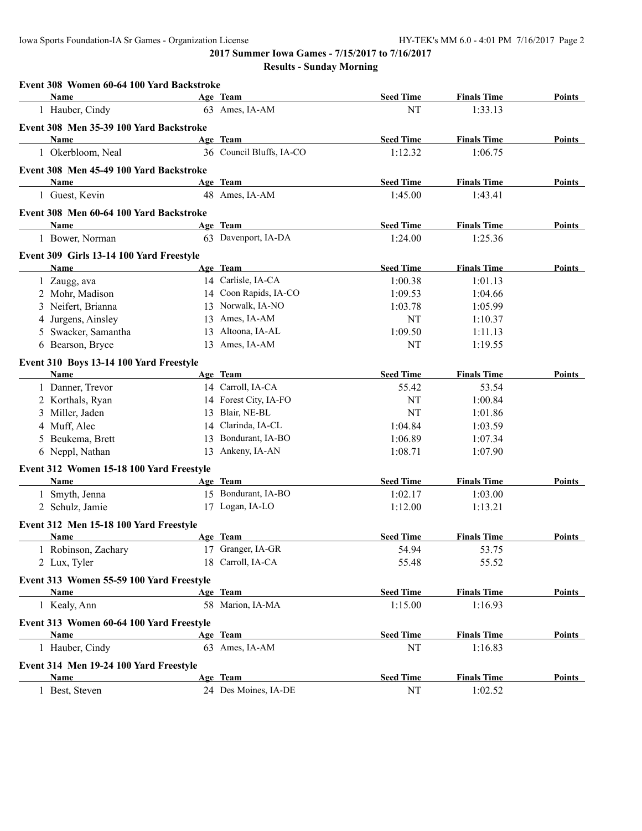Iowa Sports Foundation-IA Sr Games - Organization License HY-TEK's MM 6.0 - 4:01 PM 7/16/2017 Page 2

**2017 Summer Iowa Games - 7/15/2017 to 7/16/2017**

| Event 308 Women 60-64 100 Yard Backstroke        |                          |                  |                    |               |
|--------------------------------------------------|--------------------------|------------------|--------------------|---------------|
| Name                                             | Age Team                 | <b>Seed Time</b> | <b>Finals Time</b> | Points        |
| 1 Hauber, Cindy                                  | 63 Ames, IA-AM           | NT               | 1:33.13            |               |
| Event 308 Men 35-39 100 Yard Backstroke          |                          |                  |                    |               |
| Name                                             | Age Team                 | <b>Seed Time</b> | <b>Finals Time</b> | Points        |
| 1 Okerbloom, Neal                                | 36 Council Bluffs, IA-CO | 1:12.32          | 1:06.75            |               |
| Event 308 Men 45-49 100 Yard Backstroke          |                          |                  |                    |               |
| Name                                             | Age Team                 | <b>Seed Time</b> | <b>Finals Time</b> | Points        |
| 1 Guest, Kevin                                   | 48 Ames, IA-AM           | 1:45.00          | 1:43.41            |               |
| Event 308 Men 60-64 100 Yard Backstroke          |                          |                  |                    |               |
| Name                                             | Age Team                 | <b>Seed Time</b> | <b>Finals Time</b> | Points        |
| 1 Bower, Norman                                  | 63 Davenport, IA-DA      | 1:24.00          | 1:25.36            |               |
| Event 309 Girls 13-14 100 Yard Freestyle         |                          |                  |                    |               |
| Name                                             | Age Team                 | <b>Seed Time</b> | <b>Finals Time</b> | Points        |
| 1 Zaugg, ava                                     | 14 Carlisle, IA-CA       | 1:00.38          | 1:01.13            |               |
| 2 Mohr, Madison                                  | 14 Coon Rapids, IA-CO    | 1:09.53          | 1:04.66            |               |
| 3 Neifert, Brianna                               | 13 Norwalk, IA-NO        | 1:03.78          | 1:05.99            |               |
| 4 Jurgens, Ainsley                               | 13 Ames, IA-AM           | NT               | 1:10.37            |               |
| 5 Swacker, Samantha                              | 13 Altoona, IA-AL        | 1:09.50          | 1:11.13            |               |
| 6 Bearson, Bryce                                 | 13 Ames, IA-AM           | NT               | 1:19.55            |               |
| Event 310 Boys 13-14 100 Yard Freestyle          |                          |                  |                    |               |
| Name                                             | Age Team                 | <b>Seed Time</b> | <b>Finals Time</b> | Points        |
| 1 Danner, Trevor                                 | 14 Carroll, IA-CA        | 55.42            | 53.54              |               |
| 2 Korthals, Ryan                                 | 14 Forest City, IA-FO    | NT               | 1:00.84            |               |
| 3 Miller, Jaden                                  | 13 Blair, NE-BL          | NT               | 1:01.86            |               |
| 4 Muff, Alec                                     | 14 Clarinda, IA-CL       | 1:04.84          | 1:03.59            |               |
| 5 Beukema, Brett                                 | 13 Bondurant, IA-BO      | 1:06.89          | 1:07.34            |               |
| 6 Neppl, Nathan                                  | 13 Ankeny, IA-AN         | 1:08.71          | 1:07.90            |               |
| Event 312 Women 15-18 100 Yard Freestyle         |                          |                  |                    |               |
| Name                                             | Age Team                 | <b>Seed Time</b> | <b>Finals Time</b> | Points        |
| 1 Smyth, Jenna                                   | 15 Bondurant, IA-BO      | 1:02.17          | 1:03.00            |               |
| 2 Schulz, Jamie                                  | 17 Logan, IA-LO          | 1:12.00          | 1:13.21            |               |
| Event 312 Men 15-18 100 Yard Freestyle           |                          |                  |                    |               |
| Name                                             | Age Team                 | <b>Seed Time</b> | <b>Finals Time</b> | <b>Points</b> |
| 1 Robinson, Zachary                              | 17 Granger, IA-GR        | 54.94            | 53.75              |               |
| 2 Lux, Tyler                                     | 18 Carroll, IA-CA        | 55.48            | 55.52              |               |
| Event 313 Women 55-59 100 Yard Freestyle         |                          |                  |                    |               |
| Name                                             | Age Team                 | <b>Seed Time</b> | <b>Finals Time</b> | <b>Points</b> |
| 1 Kealy, Ann                                     | 58 Marion, IA-MA         | 1:15.00          | 1:16.93            |               |
|                                                  |                          |                  |                    |               |
| Event 313 Women 60-64 100 Yard Freestyle<br>Name | Age Team                 | <b>Seed Time</b> | <b>Finals Time</b> | Points        |
| 1 Hauber, Cindy                                  | 63 Ames, IA-AM           | NT               | 1:16.83            |               |
|                                                  |                          |                  |                    |               |
| Event 314 Men 19-24 100 Yard Freestyle           | Age Team                 |                  |                    |               |
| Name                                             |                          | <b>Seed Time</b> | <b>Finals Time</b> | <b>Points</b> |
| 1 Best, Steven                                   | 24 Des Moines, IA-DE     | NT               | 1:02.52            |               |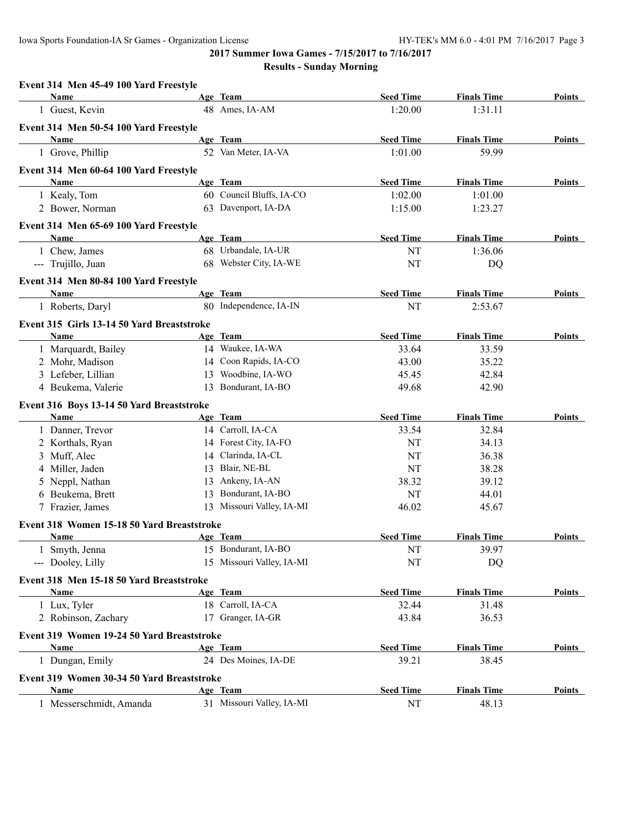| Event 314 Men 45-49 100 Yard Freestyle     |    |                           |                  |                    |               |
|--------------------------------------------|----|---------------------------|------------------|--------------------|---------------|
| Name                                       |    | Age Team                  | <b>Seed Time</b> | <b>Finals Time</b> | Points        |
| 1 Guest, Kevin                             |    | 48 Ames, IA-AM            | 1:20.00          | 1:31.11            |               |
| Event 314 Men 50-54 100 Yard Freestyle     |    |                           |                  |                    |               |
| Name                                       |    | Age Team                  | <b>Seed Time</b> | <b>Finals Time</b> | Points        |
| 1 Grove, Phillip                           |    | 52 Van Meter, IA-VA       | 1:01.00          | 59.99              |               |
| Event 314 Men 60-64 100 Yard Freestyle     |    |                           |                  |                    |               |
| Name                                       |    | Age Team                  | <b>Seed Time</b> | <b>Finals Time</b> | <b>Points</b> |
| 1 Kealy, Tom                               |    | 60 Council Bluffs, IA-CO  | 1:02.00          | 1:01.00            |               |
| 2 Bower, Norman                            |    | 63 Davenport, IA-DA       | 1:15.00          | 1:23.27            |               |
| Event 314 Men 65-69 100 Yard Freestyle     |    |                           |                  |                    |               |
| Name                                       |    | Age Team                  | <b>Seed Time</b> | <b>Finals Time</b> | Points        |
| 1 Chew, James                              |    | 68 Urbandale, IA-UR       | NT               | 1:36.06            |               |
| --- Trujillo, Juan                         |    | 68 Webster City, IA-WE    | NT               | DQ                 |               |
| Event 314 Men 80-84 100 Yard Freestyle     |    |                           |                  |                    |               |
| Name                                       |    | Age Team                  | <b>Seed Time</b> | <b>Finals Time</b> | Points        |
| 1 Roberts, Daryl                           |    | 80 Independence, IA-IN    | NT               | 2:53.67            |               |
| Event 315 Girls 13-14 50 Yard Breaststroke |    |                           |                  |                    |               |
| <b>Name</b>                                |    | Age Team                  | <b>Seed Time</b> | <b>Finals Time</b> | Points        |
| 1 Marquardt, Bailey                        |    | 14 Waukee, IA-WA          | 33.64            | 33.59              |               |
| 2 Mohr, Madison                            |    | 14 Coon Rapids, IA-CO     | 43.00            | 35.22              |               |
| 3 Lefeber, Lillian                         | 13 | Woodbine, IA-WO           | 45.45            | 42.84              |               |
| 4 Beukema, Valerie                         |    | 13 Bondurant, IA-BO       | 49.68            | 42.90              |               |
| Event 316 Boys 13-14 50 Yard Breaststroke  |    |                           |                  |                    |               |
| Name                                       |    | Age Team                  | <b>Seed Time</b> | <b>Finals Time</b> | Points        |
| 1 Danner, Trevor                           |    | 14 Carroll, IA-CA         | 33.54            | 32.84              |               |
| 2 Korthals, Ryan                           |    | 14 Forest City, IA-FO     | NT               | 34.13              |               |
| 3 Muff, Alec                               |    | 14 Clarinda, IA-CL        | NT               | 36.38              |               |
| 4 Miller, Jaden                            |    | 13 Blair, NE-BL           | NT               | 38.28              |               |
| 5 Neppl, Nathan                            |    | 13 Ankeny, IA-AN          | 38.32            | 39.12              |               |
| 6 Beukema, Brett                           |    | 13 Bondurant, IA-BO       | NT               | 44.01              |               |
| 7 Frazier, James                           |    | 13 Missouri Valley, IA-MI | 46.02            | 45.67              |               |
| Event 318 Women 15-18 50 Yard Breaststroke |    |                           |                  |                    |               |
| Name                                       |    | Age Team                  | <b>Seed Time</b> | <b>Finals Time</b> | Points        |
| 1 Smyth, Jenna                             |    | 15 Bondurant, IA-BO       | NT               | 39.97              |               |
| --- Dooley, Lilly                          |    | 15 Missouri Valley, IA-MI | NT               | DQ                 |               |
| Event 318 Men 15-18 50 Yard Breaststroke   |    |                           |                  |                    |               |
| Name                                       |    | Age Team                  | <b>Seed Time</b> | <b>Finals Time</b> | <b>Points</b> |
| 1 Lux, Tyler                               |    | 18 Carroll, IA-CA         | 32.44            | 31.48              |               |
| 2 Robinson, Zachary                        |    | 17 Granger, IA-GR         | 43.84            | 36.53              |               |
|                                            |    |                           |                  |                    |               |
| Event 319 Women 19-24 50 Yard Breaststroke |    |                           |                  |                    |               |
| Name                                       |    | Age Team                  | <b>Seed Time</b> | <b>Finals Time</b> | Points        |
| 1 Dungan, Emily                            |    | 24 Des Moines, IA-DE      | 39.21            | 38.45              |               |
| Event 319 Women 30-34 50 Yard Breaststroke |    |                           |                  |                    |               |
| Name                                       |    | Age Team                  | <b>Seed Time</b> | <b>Finals Time</b> | <b>Points</b> |
| 1 Messerschmidt, Amanda                    |    | 31 Missouri Valley, IA-MI | NT               | 48.13              |               |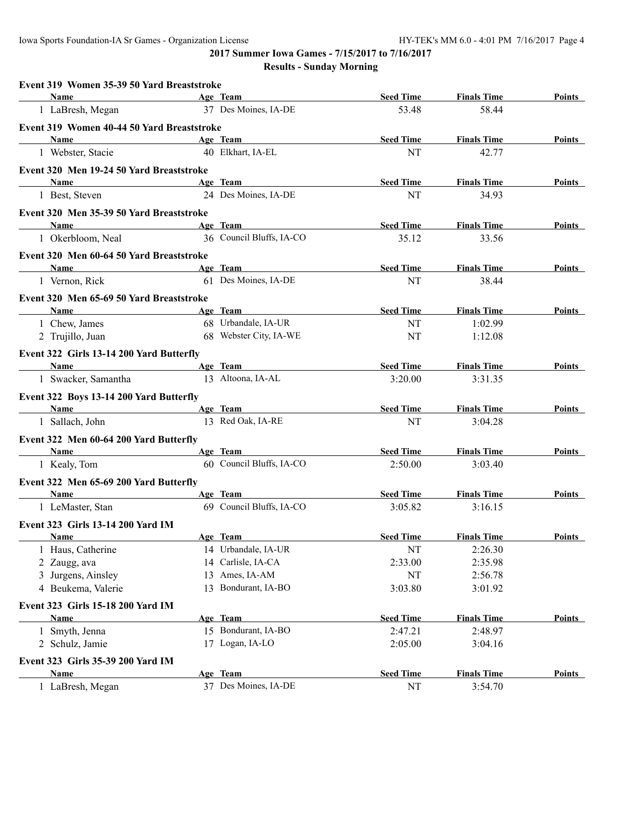Iowa Sports Foundation-IA Sr Games - Organization License HY-TEK's MM 6.0 - 4:01 PM 7/16/2017 Page 4

**2017 Summer Iowa Games - 7/15/2017 to 7/16/2017**

| Event 319 Women 35-39 50 Yard Breaststroke                                     |                          |                  |                    |               |
|--------------------------------------------------------------------------------|--------------------------|------------------|--------------------|---------------|
| <b>Name</b>                                                                    | Age Team                 | <b>Seed Time</b> | <b>Finals Time</b> | Points        |
| 1 LaBresh, Megan                                                               | 37 Des Moines, IA-DE     | 53.48            | 58.44              |               |
| Event 319 Women 40-44 50 Yard Breaststroke                                     |                          |                  |                    |               |
| <b>Name</b>                                                                    | Age Team                 | <b>Seed Time</b> | <b>Finals Time</b> | Points        |
| 1 Webster, Stacie                                                              | 40 Elkhart, IA-EL        | NT               | 42.77              |               |
| Event 320 Men 19-24 50 Yard Breaststroke                                       |                          |                  |                    |               |
| <b>Name</b><br>the control of the control of the control of the control of the | Age Team                 | <b>Seed Time</b> | <b>Finals Time</b> | Points        |
| 1 Best, Steven                                                                 | 24 Des Moines, IA-DE     | NT               | 34.93              |               |
| Event 320 Men 35-39 50 Yard Breaststroke                                       |                          |                  |                    |               |
| <b>Age Team</b><br><b>Name</b>                                                 |                          | <b>Seed Time</b> | <b>Finals Time</b> | Points        |
| 1 Okerbloom, Neal                                                              | 36 Council Bluffs, IA-CO | 35.12            | 33.56              |               |
| Event 320 Men 60-64 50 Yard Breaststroke                                       |                          |                  |                    |               |
| <b>Name</b><br><u> 1980 - Johann Barbara, martxa alemaniar a</u>               | Age Team                 | <b>Seed Time</b> | <b>Finals Time</b> | Points        |
| 1 Vernon, Rick                                                                 | 61 Des Moines, IA-DE     | NT               | 38.44              |               |
| Event 320 Men 65-69 50 Yard Breaststroke                                       |                          |                  |                    |               |
| <b>Name</b>                                                                    | Age Team                 | <b>Seed Time</b> | <b>Finals Time</b> | Points        |
| 1 Chew, James                                                                  | 68 Urbandale, IA-UR      | NT               | 1:02.99            |               |
| 2 Trujillo, Juan                                                               | 68 Webster City, IA-WE   | NT               | 1:12.08            |               |
| Event 322 Girls 13-14 200 Yard Butterfly                                       |                          |                  |                    |               |
| <b>Example 2</b> Age Team<br>Name                                              |                          | <b>Seed Time</b> | <b>Finals Time</b> | Points        |
| 1 Swacker, Samantha                                                            | 13 Altoona, IA-AL        | 3:20.00          | 3:31.35            |               |
| Event 322 Boys 13-14 200 Yard Butterfly                                        |                          |                  |                    |               |
| <b>Name</b>                                                                    | Age Team                 | <b>Seed Time</b> | <b>Finals Time</b> | Points        |
| 1 Sallach, John                                                                | 13 Red Oak, IA-RE        | NT               | 3:04.28            |               |
| Event 322 Men 60-64 200 Yard Butterfly                                         |                          |                  |                    |               |
| Name                                                                           | Age Team                 | <b>Seed Time</b> | <b>Finals Time</b> | Points        |
| 1 Kealy, Tom                                                                   | 60 Council Bluffs, IA-CO | 2:50.00          | 3:03.40            |               |
| Event 322 Men 65-69 200 Yard Butterfly                                         |                          |                  |                    |               |
| <b>Name</b>                                                                    | Age Team                 | <b>Seed Time</b> | <b>Finals Time</b> | Points        |
| 1 LeMaster, Stan                                                               | 69 Council Bluffs, IA-CO | 3:05.82          | 3:16.15            |               |
| <b>Event 323 Girls 13-14 200 Yard IM</b>                                       |                          |                  |                    |               |
| <b>Name</b>                                                                    | Age Team                 | <b>Seed Time</b> | <b>Finals Time</b> | Points        |
| Haus, Catherine                                                                | 14 Urbandale, IA-UR      | NT               | 2:26.30            |               |
| 2 Zaugg, ava                                                                   | 14 Carlisle, IA-CA       | 2:33.00          | 2:35.98            |               |
| 3 Jurgens, Ainsley                                                             | 13 Ames, IA-AM           | NT               | 2:56.78            |               |
| 4 Beukema, Valerie                                                             | 13 Bondurant, IA-BO      | 3:03.80          | 3:01.92            |               |
| Event 323 Girls 15-18 200 Yard IM                                              |                          |                  |                    |               |
| <b>Name</b>                                                                    | Age Team                 | <b>Seed Time</b> | <b>Finals Time</b> | <b>Points</b> |
| 1 Smyth, Jenna                                                                 | 15 Bondurant, IA-BO      | 2:47.21          | 2:48.97            |               |
| 2 Schulz, Jamie                                                                | 17 Logan, IA-LO          | 2:05.00          | 3:04.16            |               |
| Event 323 Girls 35-39 200 Yard IM                                              |                          |                  |                    |               |
| Name                                                                           | Age Team                 | <b>Seed Time</b> | <b>Finals Time</b> | <b>Points</b> |
| 1 LaBresh, Megan                                                               | 37 Des Moines, IA-DE     | NT               | 3:54.70            |               |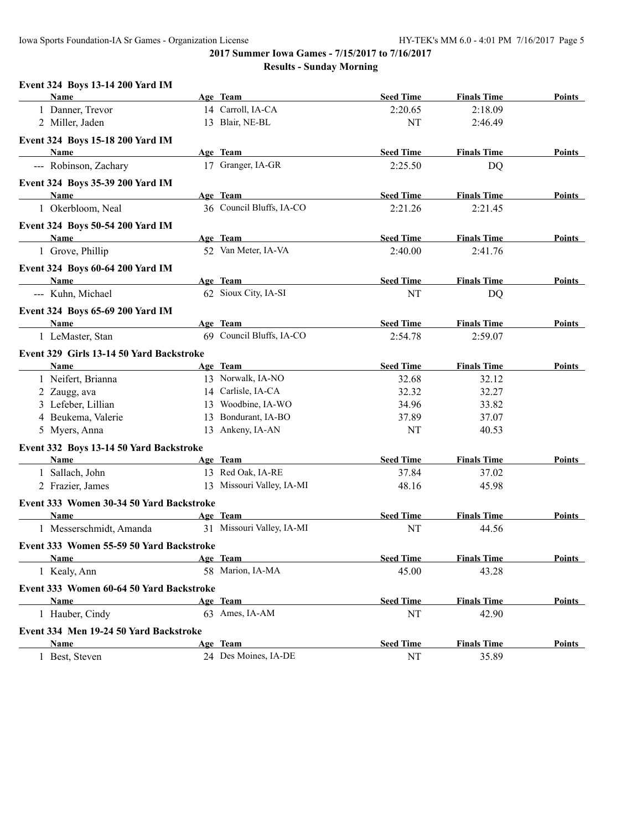#### **Event 324 Boys 13-14 200 Yard IM**

| Name                                     | Age Team                  | <b>Seed Time</b> | <b>Finals Time</b> | <b>Points</b> |
|------------------------------------------|---------------------------|------------------|--------------------|---------------|
| 1 Danner, Trevor                         | 14 Carroll, IA-CA         | 2:20.65          | 2:18.09            |               |
| 2 Miller, Jaden                          | 13 Blair, NE-BL           | NT               | 2:46.49            |               |
| Event 324 Boys 15-18 200 Yard IM         |                           |                  |                    |               |
| <b>Name</b>                              | Age Team                  | <b>Seed Time</b> | <b>Finals Time</b> | Points        |
| --- Robinson, Zachary                    | 17 Granger, IA-GR         | 2:25.50          | <b>DQ</b>          |               |
| Event 324 Boys 35-39 200 Yard IM         |                           |                  |                    |               |
| Name                                     | Age Team                  | <b>Seed Time</b> | <b>Finals Time</b> | Points        |
| 1 Okerbloom, Neal                        | 36 Council Bluffs, IA-CO  | 2:21.26          | 2:21.45            |               |
| <b>Event 324 Boys 50-54 200 Yard IM</b>  |                           |                  |                    |               |
| <b>Name</b>                              | Age Team                  | <b>Seed Time</b> | <b>Finals Time</b> | Points        |
| 1 Grove, Phillip                         | 52 Van Meter, IA-VA       | 2:40.00          | 2:41.76            |               |
| Event 324 Boys 60-64 200 Yard IM         |                           |                  |                    |               |
| Name                                     | Age Team                  | <b>Seed Time</b> | <b>Finals Time</b> | Points        |
| --- Kuhn, Michael                        | 62 Sioux City, IA-SI      | NT               | <b>DQ</b>          |               |
| Event 324 Boys 65-69 200 Yard IM         |                           |                  |                    |               |
| <b>Name</b>                              | Age Team                  | <b>Seed Time</b> | <b>Finals Time</b> | <b>Points</b> |
| 1 LeMaster, Stan                         | 69 Council Bluffs, IA-CO  | 2:54.78          | 2:59.07            |               |
| Event 329 Girls 13-14 50 Yard Backstroke |                           |                  |                    |               |
| Name                                     | Age Team                  | <b>Seed Time</b> | <b>Finals Time</b> | Points        |
| 1 Neifert, Brianna                       | 13 Norwalk, IA-NO         | 32.68            | 32.12              |               |
| 2 Zaugg, ava                             | 14 Carlisle, IA-CA        | 32.32            | 32.27              |               |
| 3 Lefeber, Lillian                       | 13 Woodbine, IA-WO        | 34.96            | 33.82              |               |
| 4 Beukema, Valerie                       | 13 Bondurant, IA-BO       | 37.89            | 37.07              |               |
| 5 Myers, Anna                            | 13 Ankeny, IA-AN          | NT               | 40.53              |               |
| Event 332 Boys 13-14 50 Yard Backstroke  |                           |                  |                    |               |
| Name                                     | Age Team                  | <b>Seed Time</b> | <b>Finals Time</b> | Points        |
| 1 Sallach, John                          | 13 Red Oak, IA-RE         | 37.84            | 37.02              |               |
| 2 Frazier, James                         | 13 Missouri Valley, IA-MI | 48.16            | 45.98              |               |
| Event 333 Women 30-34 50 Yard Backstroke |                           |                  |                    |               |
| Name                                     | Age Team                  | <b>Seed Time</b> | <b>Finals Time</b> | Points        |
| 1 Messerschmidt, Amanda                  | 31 Missouri Valley, IA-MI | NT               | 44.56              |               |
| Event 333 Women 55-59 50 Yard Backstroke |                           |                  |                    |               |
| <u>Name</u>                              | Age Team                  | <b>Seed Time</b> | <b>Finals Time</b> | Points        |
| 1 Kealy, Ann                             | 58 Marion, IA-MA          | 45.00            | 43.28              |               |
| Event 333 Women 60-64 50 Yard Backstroke |                           |                  |                    |               |
| Name                                     | Age Team                  | <b>Seed Time</b> | <b>Finals Time</b> | Points        |
| 1 Hauber, Cindy                          | 63 Ames, IA-AM            | NT               | 42.90              |               |
| Event 334 Men 19-24 50 Yard Backstroke   |                           |                  |                    |               |
| <b>Name</b>                              | Age Team                  | <b>Seed Time</b> | <b>Finals Time</b> | <b>Points</b> |
| 1 Best, Steven                           | 24 Des Moines, IA-DE      | NT               | 35.89              |               |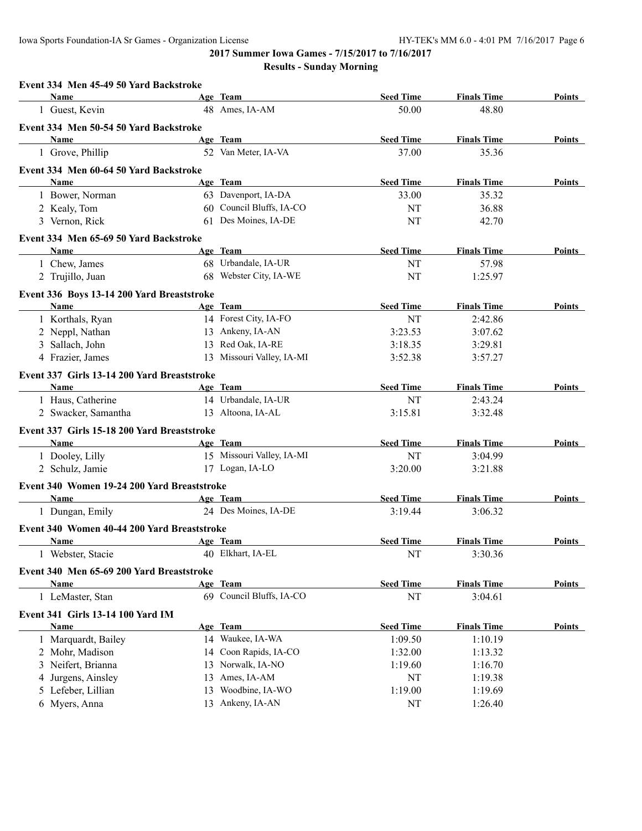| Event 334 Men 45-49 50 Yard Backstroke      |    |                           |                  |                    |               |
|---------------------------------------------|----|---------------------------|------------------|--------------------|---------------|
| Name                                        |    | Age Team                  | <b>Seed Time</b> | <b>Finals Time</b> | Points        |
| 1 Guest, Kevin                              |    | 48 Ames, IA-AM            | 50.00            | 48.80              |               |
| Event 334 Men 50-54 50 Yard Backstroke      |    |                           |                  |                    |               |
| Name                                        |    | Age Team                  | <b>Seed Time</b> | <b>Finals Time</b> | Points        |
| 1 Grove, Phillip                            |    | 52 Van Meter, IA-VA       | 37.00            | 35.36              |               |
| Event 334 Men 60-64 50 Yard Backstroke      |    |                           |                  |                    |               |
| <b>Name</b>                                 |    | Age Team                  | <b>Seed Time</b> | <b>Finals Time</b> | Points        |
| 1 Bower, Norman                             |    | 63 Davenport, IA-DA       | 33.00            | 35.32              |               |
| 2 Kealy, Tom                                |    | 60 Council Bluffs, IA-CO  | NT               | 36.88              |               |
| 3 Vernon, Rick                              |    | 61 Des Moines, IA-DE      | NT               | 42.70              |               |
| Event 334 Men 65-69 50 Yard Backstroke      |    |                           |                  |                    |               |
| Name                                        |    | Age Team                  | <b>Seed Time</b> | <b>Finals Time</b> | Points        |
| 1 Chew, James                               |    | 68 Urbandale, IA-UR       | NT               | 57.98              |               |
| 2 Trujillo, Juan                            |    | 68 Webster City, IA-WE    | NT               | 1:25.97            |               |
| Event 336 Boys 13-14 200 Yard Breaststroke  |    |                           |                  |                    |               |
| <b>Name</b>                                 |    | Age Team                  | <b>Seed Time</b> | <b>Finals Time</b> | Points        |
| 1 Korthals, Ryan                            |    | 14 Forest City, IA-FO     | NT               | 2:42.86            |               |
| 2 Neppl, Nathan                             |    | 13 Ankeny, IA-AN          | 3:23.53          | 3:07.62            |               |
| 3 Sallach, John                             |    | 13 Red Oak, IA-RE         | 3:18.35          | 3:29.81            |               |
| 4 Frazier, James                            |    | 13 Missouri Valley, IA-MI | 3:52.38          | 3:57.27            |               |
| Event 337 Girls 13-14 200 Yard Breaststroke |    |                           |                  |                    |               |
| Name                                        |    | Age Team                  | <b>Seed Time</b> | <b>Finals Time</b> | Points        |
| 1 Haus, Catherine                           |    | 14 Urbandale, IA-UR       | NT               | 2:43.24            |               |
| 2 Swacker, Samantha                         |    | 13 Altoona, IA-AL         | 3:15.81          | 3:32.48            |               |
|                                             |    |                           |                  |                    |               |
| Event 337 Girls 15-18 200 Yard Breaststroke |    |                           |                  |                    |               |
| Name                                        |    | Age Team                  | <b>Seed Time</b> | <b>Finals Time</b> | Points        |
| 1 Dooley, Lilly                             |    | 15 Missouri Valley, IA-MI | NT               | 3:04.99            |               |
| 2 Schulz, Jamie                             |    | 17 Logan, IA-LO           | 3:20.00          | 3:21.88            |               |
| Event 340 Women 19-24 200 Yard Breaststroke |    |                           |                  |                    |               |
| Name                                        |    | Age Team                  | <b>Seed Time</b> | <b>Finals Time</b> | Points        |
| 1 Dungan, Emily                             |    | 24 Des Moines, IA-DE      | 3:19.44          | 3:06.32            |               |
| Event 340 Women 40-44 200 Yard Breaststroke |    |                           |                  |                    |               |
| <b>Name</b>                                 |    | Age Team                  | <b>Seed Time</b> | <b>Finals Time</b> | Points        |
| 1 Webster, Stacie                           |    | 40 Elkhart, IA-EL         | NT               | 3:30.36            |               |
| Event 340 Men 65-69 200 Yard Breaststroke   |    |                           |                  |                    |               |
| <b>Name</b>                                 |    | Age Team                  | <b>Seed Time</b> | <b>Finals Time</b> | <b>Points</b> |
| 1 LeMaster, Stan                            |    | 69 Council Bluffs, IA-CO  | NT               | 3:04.61            |               |
| Event 341 Girls 13-14 100 Yard IM           |    |                           |                  |                    |               |
| <b>Name</b>                                 |    | Age Team                  | <b>Seed Time</b> | <b>Finals Time</b> | Points        |
| 1 Marquardt, Bailey                         |    | 14 Waukee, IA-WA          | 1:09.50          | 1:10.19            |               |
| 2 Mohr, Madison                             |    | 14 Coon Rapids, IA-CO     | 1:32.00          | 1:13.32            |               |
| 3 Neifert, Brianna                          | 13 | Norwalk, IA-NO            | 1:19.60          | 1:16.70            |               |
| 4 Jurgens, Ainsley                          | 13 | Ames, IA-AM               | NT               | 1:19.38            |               |
| 5 Lefeber, Lillian                          | 13 | Woodbine, IA-WO           | 1:19.00          | 1:19.69            |               |
| 6 Myers, Anna                               |    | 13 Ankeny, IA-AN          | NT               | 1:26.40            |               |
|                                             |    |                           |                  |                    |               |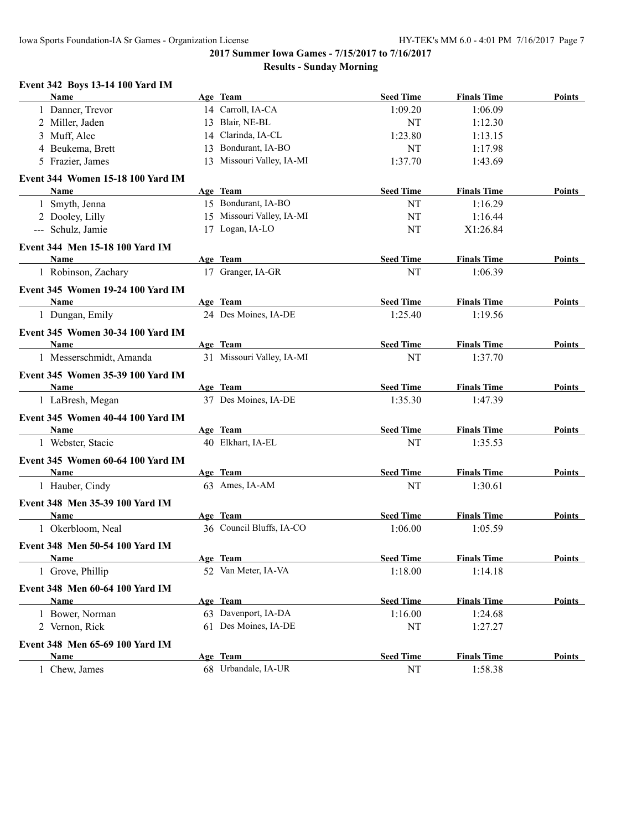# **Event 342 Boys 13-14 100 Yard IM**

| Name                                     |    | Age Team                  | <b>Seed Time</b> | <b>Finals Time</b> | <b>Points</b> |
|------------------------------------------|----|---------------------------|------------------|--------------------|---------------|
| 1 Danner, Trevor                         |    | 14 Carroll, IA-CA         | 1:09.20          | 1:06.09            |               |
| 2 Miller, Jaden                          |    | 13 Blair, NE-BL           | NT               | 1:12.30            |               |
| 3 Muff, Alec                             |    | 14 Clarinda, IA-CL        | 1:23.80          | 1:13.15            |               |
| 4 Beukema, Brett                         | 13 | Bondurant, IA-BO          | NT               | 1:17.98            |               |
| 5 Frazier, James                         |    | 13 Missouri Valley, IA-MI | 1:37.70          | 1:43.69            |               |
| Event 344 Women 15-18 100 Yard IM        |    |                           |                  |                    |               |
| Name                                     |    | Age Team                  | <b>Seed Time</b> | <b>Finals Time</b> | Points        |
| 1 Smyth, Jenna                           |    | 15 Bondurant, IA-BO       | NT               | 1:16.29            |               |
| 2 Dooley, Lilly                          |    | 15 Missouri Valley, IA-MI | NT               | 1:16.44            |               |
| --- Schulz, Jamie                        |    | 17 Logan, IA-LO           | NT               | X1:26.84           |               |
| Event 344 Men 15-18 100 Yard IM          |    |                           |                  |                    |               |
| Name                                     |    | Age Team                  | <b>Seed Time</b> | <b>Finals Time</b> | Points        |
| 1 Robinson, Zachary                      |    | 17 Granger, IA-GR         | NT               | 1:06.39            |               |
| <b>Event 345 Women 19-24 100 Yard IM</b> |    |                           |                  |                    |               |
| Name                                     |    | Age Team                  | <b>Seed Time</b> | <b>Finals Time</b> | Points        |
| 1 Dungan, Emily                          |    | 24 Des Moines, IA-DE      | 1:25.40          | 1:19.56            |               |
| <b>Event 345 Women 30-34 100 Yard IM</b> |    |                           |                  |                    |               |
| Name                                     |    | Age Team                  | <b>Seed Time</b> | <b>Finals Time</b> | Points        |
| 1 Messerschmidt, Amanda                  |    | 31 Missouri Valley, IA-MI | NT               | 1:37.70            |               |
| Event 345 Women 35-39 100 Yard IM        |    |                           |                  |                    |               |
| Name                                     |    | Age Team                  | <b>Seed Time</b> | <b>Finals Time</b> | <b>Points</b> |
| 1 LaBresh, Megan                         |    | 37 Des Moines, IA-DE      | 1:35.30          | 1:47.39            |               |
| <b>Event 345 Women 40-44 100 Yard IM</b> |    |                           |                  |                    |               |
| Name                                     |    | Age Team                  | <b>Seed Time</b> | <b>Finals Time</b> | Points        |
| 1 Webster, Stacie                        |    | 40 Elkhart, IA-EL         | NT               | 1:35.53            |               |
| <b>Event 345 Women 60-64 100 Yard IM</b> |    |                           |                  |                    |               |
| Name                                     |    | Age Team                  | <b>Seed Time</b> | <b>Finals Time</b> | Points        |
| 1 Hauber, Cindy                          |    | 63 Ames, IA-AM            | NT               | 1:30.61            |               |
| Event 348 Men 35-39 100 Yard IM          |    |                           |                  |                    |               |
| Name                                     |    | Age Team                  | <b>Seed Time</b> | <b>Finals Time</b> | Points        |
| 1 Okerbloom, Neal                        |    | 36 Council Bluffs, IA-CO  | 1:06.00          | 1:05.59            |               |
| Event 348 Men 50-54 100 Yard IM          |    |                           |                  |                    |               |
| <b>Name</b>                              |    | Age Team                  | <b>Seed Time</b> | <b>Finals Time</b> | <b>Points</b> |
| 1 Grove, Phillip                         |    | 52 Van Meter, IA-VA       | 1:18.00          | 1:14.18            |               |
| Event 348 Men 60-64 100 Yard IM          |    |                           |                  |                    |               |
| <b>Name</b>                              |    | Age Team                  | <b>Seed Time</b> | <b>Finals Time</b> | <b>Points</b> |
| 1 Bower, Norman                          |    | 63 Davenport, IA-DA       | 1:16.00          | 1:24.68            |               |
| 2 Vernon, Rick                           |    | 61 Des Moines, IA-DE      | NT               | 1:27.27            |               |
| Event 348 Men 65-69 100 Yard IM          |    |                           |                  |                    |               |
| Name                                     |    | Age Team                  | <b>Seed Time</b> | <b>Finals Time</b> | Points        |
| Chew, James<br>1                         |    | 68 Urbandale, IA-UR       | NT               | 1:58.38            |               |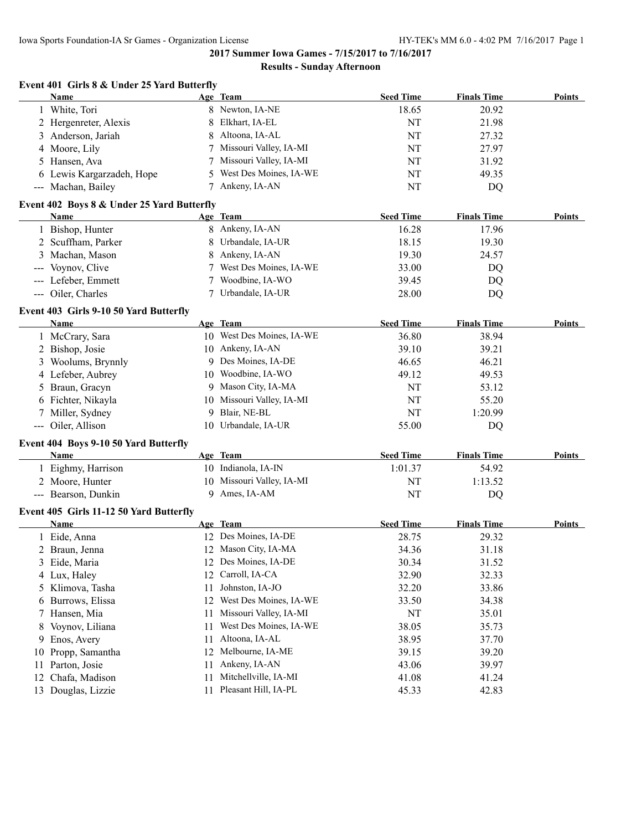**Event 401 Girls 8 & Under 25 Yard Butterfly**

**2017 Summer Iowa Games - 7/15/2017 to 7/16/2017**

#### **Results - Sunday Afternoon**

| <b>Name</b>                             |                                     | Age Team                                   | <b>Seed Time</b>                                                                                                                                                                                                                                                                                                                                                                                                        | <b>Finals Time</b> | <b>Points</b>  |
|-----------------------------------------|-------------------------------------|--------------------------------------------|-------------------------------------------------------------------------------------------------------------------------------------------------------------------------------------------------------------------------------------------------------------------------------------------------------------------------------------------------------------------------------------------------------------------------|--------------------|----------------|
| 1 White, Tori                           |                                     |                                            | 18.65                                                                                                                                                                                                                                                                                                                                                                                                                   | 20.92              |                |
| 2 Hergenreter, Alexis                   | 8                                   | Elkhart, IA-EL                             | NT                                                                                                                                                                                                                                                                                                                                                                                                                      | 21.98              |                |
| Anderson, Jariah<br>3                   | 8                                   | Altoona, IA-AL                             | NT                                                                                                                                                                                                                                                                                                                                                                                                                      | 27.32              |                |
| Moore, Lily<br>4                        |                                     | Missouri Valley, IA-MI                     | NT                                                                                                                                                                                                                                                                                                                                                                                                                      | 27.97              |                |
| Hansen, Ava<br>5                        |                                     | Missouri Valley, IA-MI                     | NT                                                                                                                                                                                                                                                                                                                                                                                                                      | 31.92              |                |
| 6 Lewis Kargarzadeh, Hope               | 5.                                  | West Des Moines, IA-WE                     | NT                                                                                                                                                                                                                                                                                                                                                                                                                      | 49.35              |                |
| --- Machan, Bailey                      | 7                                   | Ankeny, IA-AN                              | NT                                                                                                                                                                                                                                                                                                                                                                                                                      | DQ                 |                |
|                                         |                                     |                                            |                                                                                                                                                                                                                                                                                                                                                                                                                         |                    |                |
| Name                                    |                                     |                                            | <b>Seed Time</b>                                                                                                                                                                                                                                                                                                                                                                                                        | <b>Finals Time</b> | Points         |
| 1 Bishop, Hunter                        |                                     |                                            | 16.28                                                                                                                                                                                                                                                                                                                                                                                                                   | 17.96              |                |
| 2 Scuffham, Parker                      | 8                                   |                                            | 18.15                                                                                                                                                                                                                                                                                                                                                                                                                   | 19.30              |                |
| 3 Machan, Mason                         | 8                                   |                                            | 19.30                                                                                                                                                                                                                                                                                                                                                                                                                   | 24.57              |                |
|                                         | 7                                   |                                            | 33.00                                                                                                                                                                                                                                                                                                                                                                                                                   |                    |                |
| --- Lefeber, Emmett                     |                                     |                                            | 39.45                                                                                                                                                                                                                                                                                                                                                                                                                   | DQ                 |                |
| --- Oiler, Charles                      |                                     |                                            | 28.00                                                                                                                                                                                                                                                                                                                                                                                                                   | DQ                 |                |
| Event 403 Girls 9-10 50 Yard Butterfly  |                                     |                                            |                                                                                                                                                                                                                                                                                                                                                                                                                         |                    |                |
| Name                                    |                                     |                                            | <b>Seed Time</b>                                                                                                                                                                                                                                                                                                                                                                                                        | <b>Finals Time</b> | Points         |
| 1 McCrary, Sara                         |                                     |                                            | 36.80                                                                                                                                                                                                                                                                                                                                                                                                                   | 38.94              |                |
| 2 Bishop, Josie                         |                                     |                                            | 39.10                                                                                                                                                                                                                                                                                                                                                                                                                   | 39.21              |                |
| Woolums, Brynnly<br>3                   | 9                                   |                                            | 46.65                                                                                                                                                                                                                                                                                                                                                                                                                   | 46.21              |                |
| 4 Lefeber, Aubrey                       |                                     |                                            | 49.12                                                                                                                                                                                                                                                                                                                                                                                                                   | 49.53              |                |
| Braun, Gracyn<br>5                      | 9.                                  |                                            | NT                                                                                                                                                                                                                                                                                                                                                                                                                      | 53.12              |                |
| 6 Fichter, Nikayla                      |                                     |                                            | NT                                                                                                                                                                                                                                                                                                                                                                                                                      | 55.20              |                |
|                                         | 9                                   |                                            | NT                                                                                                                                                                                                                                                                                                                                                                                                                      | 1:20.99            |                |
| --- Oiler, Allison                      |                                     |                                            | 55.00                                                                                                                                                                                                                                                                                                                                                                                                                   | DQ                 |                |
| Event 404 Boys 9-10 50 Yard Butterfly   |                                     |                                            |                                                                                                                                                                                                                                                                                                                                                                                                                         |                    |                |
| Name                                    |                                     |                                            | <b>Seed Time</b>                                                                                                                                                                                                                                                                                                                                                                                                        | <b>Finals Time</b> | <b>Points</b>  |
| 1 Eighmy, Harrison                      |                                     |                                            | 1:01.37                                                                                                                                                                                                                                                                                                                                                                                                                 | 54.92              |                |
| 2 Moore, Hunter                         |                                     |                                            | NT                                                                                                                                                                                                                                                                                                                                                                                                                      | 1:13.52            |                |
| --- Bearson, Dunkin                     |                                     | 9 Ames, IA-AM                              |                                                                                                                                                                                                                                                                                                                                                                                                                         |                    |                |
|                                         |                                     |                                            |                                                                                                                                                                                                                                                                                                                                                                                                                         |                    |                |
| Event 405 Girls 11-12 50 Yard Butterfly |                                     |                                            |                                                                                                                                                                                                                                                                                                                                                                                                                         |                    |                |
| Name                                    |                                     | Age Team                                   | <b>Seed Time</b>                                                                                                                                                                                                                                                                                                                                                                                                        | <b>Finals Time</b> | Points         |
| 1 Eide, Anna                            |                                     | 12 Des Moines, IA-DE                       | 28.75                                                                                                                                                                                                                                                                                                                                                                                                                   | 29.32              |                |
| 2 Braun, Jenna                          |                                     | 12 Mason City, IA-MA                       | 34.36                                                                                                                                                                                                                                                                                                                                                                                                                   | 31.18              |                |
| 3 Eide, Maria                           |                                     | 12 Des Moines, IA-DE                       | 30.34                                                                                                                                                                                                                                                                                                                                                                                                                   | 31.52              |                |
| 4 Lux, Haley                            |                                     | 12 Carroll, IA-CA                          | 32.90                                                                                                                                                                                                                                                                                                                                                                                                                   | 32.33              |                |
| Klimova, Tasha<br>5.                    | 11                                  | Johnston, IA-JO                            | 32.20                                                                                                                                                                                                                                                                                                                                                                                                                   | 33.86              |                |
| Burrows, Elissa<br>6                    | 12                                  | West Des Moines, IA-WE                     | 33.50                                                                                                                                                                                                                                                                                                                                                                                                                   | 34.38              |                |
| Hansen, Mia<br>7                        | 11                                  | Missouri Valley, IA-MI                     | NT                                                                                                                                                                                                                                                                                                                                                                                                                      | 35.01              |                |
| Voynov, Liliana                         | 11                                  | West Des Moines, IA-WE                     | 38.05                                                                                                                                                                                                                                                                                                                                                                                                                   | 35.73              |                |
| Enos, Avery<br>9                        | 11                                  | Altoona, IA-AL                             | 38.95                                                                                                                                                                                                                                                                                                                                                                                                                   | 37.70              |                |
| 10                                      | 12                                  | Melbourne, IA-ME                           | 39.15                                                                                                                                                                                                                                                                                                                                                                                                                   | 39.20              |                |
| Propp, Samantha                         | 11                                  | Ankeny, IA-AN                              | 43.06                                                                                                                                                                                                                                                                                                                                                                                                                   | 39.97              |                |
| Parton, Josie<br>Chafa, Madison<br>12   | 11                                  | Mitchellville, IA-MI                       | 41.08                                                                                                                                                                                                                                                                                                                                                                                                                   | 41.24              |                |
|                                         | --- Voynov, Clive<br>Miller, Sydney | Event 402 Boys 8 & Under 25 Yard Butterfly | 8 Newton, IA-NE<br>Age Team<br>8 Ankeny, IA-AN<br>Urbandale, IA-UR<br>Ankeny, IA-AN<br>West Des Moines, IA-WE<br>Woodbine, IA-WO<br>7 Urbandale, IA-UR<br>Age Team<br>10 West Des Moines, IA-WE<br>10 Ankeny, IA-AN<br>Des Moines, IA-DE<br>10 Woodbine, IA-WO<br>Mason City, IA-MA<br>10 Missouri Valley, IA-MI<br>Blair, NE-BL<br>10 Urbandale, IA-UR<br>Age Team<br>10 Indianola, IA-IN<br>10 Missouri Valley, IA-MI |                    | DQ<br>NT<br>DQ |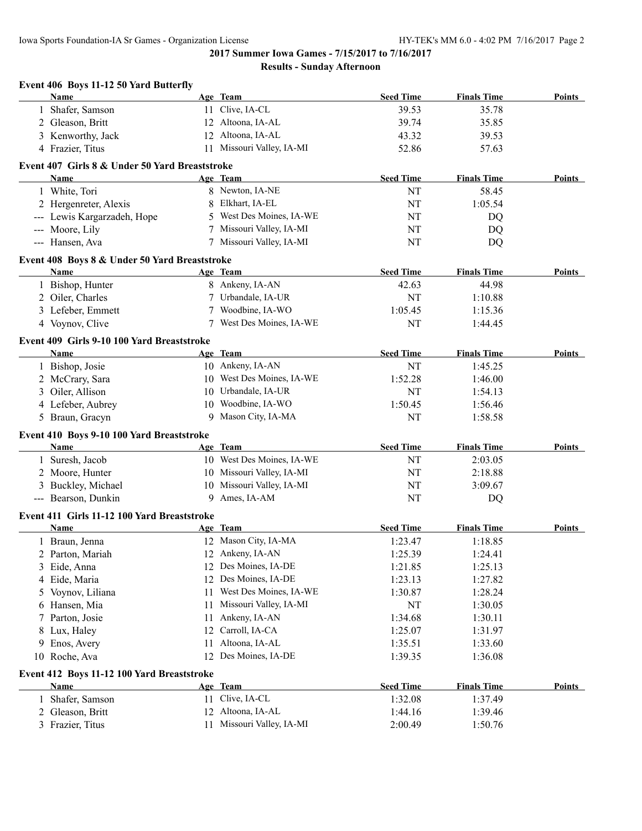**2017 Summer Iowa Games - 7/15/2017 to 7/16/2017 Results - Sunday Afternoon**

|    | Event 406 Boys 11-12 50 Yard Butterfly         |    |                           |                  |                    |               |
|----|------------------------------------------------|----|---------------------------|------------------|--------------------|---------------|
|    | Name                                           |    | Age Team                  | <b>Seed Time</b> | <b>Finals Time</b> | <b>Points</b> |
|    | Shafer, Samson                                 |    | 11 Clive, IA-CL           | 39.53            | 35.78              |               |
|    | 2 Gleason, Britt                               |    | 12 Altoona, IA-AL         | 39.74            | 35.85              |               |
|    | 3 Kenworthy, Jack                              |    | 12 Altoona, IA-AL         | 43.32            | 39.53              |               |
|    | 4 Frazier, Titus                               |    | 11 Missouri Valley, IA-MI | 52.86            | 57.63              |               |
|    | Event 407 Girls 8 & Under 50 Yard Breaststroke |    |                           |                  |                    |               |
|    | Name                                           |    | Age Team                  | <b>Seed Time</b> | <b>Finals Time</b> | Points        |
|    | 1 White, Tori                                  |    | 8 Newton, IA-NE           | NT               | 58.45              |               |
|    | 2 Hergenreter, Alexis                          | 8  | Elkhart, IA-EL            | NT               | 1:05.54            |               |
|    | --- Lewis Kargarzadeh, Hope                    | 5  | West Des Moines, IA-WE    | NT               | DQ                 |               |
|    | --- Moore, Lily                                | 7  | Missouri Valley, IA-MI    | NT               | DQ                 |               |
|    | --- Hansen, Ava                                |    | 7 Missouri Valley, IA-MI  | NT               | DQ                 |               |
|    | Event 408 Boys 8 & Under 50 Yard Breaststroke  |    |                           |                  |                    |               |
|    | Name                                           |    | Age Team                  | <b>Seed Time</b> | <b>Finals Time</b> | <b>Points</b> |
|    | 1 Bishop, Hunter                               |    | 8 Ankeny, IA-AN           | 42.63            | 44.98              |               |
|    | 2 Oiler, Charles                               |    | 7 Urbandale, IA-UR        | NT               | 1:10.88            |               |
|    | 3 Lefeber, Emmett                              |    | Woodbine, IA-WO           | 1:05.45          | 1:15.36            |               |
|    | 4 Voynov, Clive                                |    | West Des Moines, IA-WE    | <b>NT</b>        | 1:44.45            |               |
|    | Event 409 Girls 9-10 100 Yard Breaststroke     |    |                           |                  |                    |               |
|    | Name                                           |    | Age Team                  | <b>Seed Time</b> | <b>Finals Time</b> | Points        |
|    | 1 Bishop, Josie                                |    | 10 Ankeny, IA-AN          | NT               | 1:45.25            |               |
|    | 2 McCrary, Sara                                |    | 10 West Des Moines, IA-WE | 1:52.28          | 1:46.00            |               |
|    | 3 Oiler, Allison                               |    | 10 Urbandale, IA-UR       | NT               | 1:54.13            |               |
|    | 4 Lefeber, Aubrey                              |    | 10 Woodbine, IA-WO        | 1:50.45          | 1:56.46            |               |
|    | 5 Braun, Gracyn                                | 9  | Mason City, IA-MA         | NT               | 1:58.58            |               |
|    | Event 410 Boys 9-10 100 Yard Breaststroke      |    |                           |                  |                    |               |
|    | Name                                           |    | Age Team                  | <b>Seed Time</b> | <b>Finals Time</b> | Points        |
|    | 1 Suresh, Jacob                                |    | 10 West Des Moines, IA-WE | NT               | 2:03.05            |               |
|    | 2 Moore, Hunter                                |    | 10 Missouri Valley, IA-MI | NT               | 2:18.88            |               |
|    | 3 Buckley, Michael                             |    | 10 Missouri Valley, IA-MI | NT               | 3:09.67            |               |
|    | --- Bearson, Dunkin                            |    | 9 Ames, IA-AM             | NT               | DQ                 |               |
|    | Event 411 Girls 11-12 100 Yard Breaststroke    |    |                           |                  |                    |               |
|    | Name                                           |    | Age Team                  | <b>Seed Time</b> | <b>Finals Time</b> | Points        |
|    | 1 Braun, Jenna                                 |    | 12 Mason City, IA-MA      | 1:23.47          | 1:18.85            |               |
| 2  | Parton, Mariah                                 |    | 12 Ankeny, IA-AN          | 1:25.39          | 1:24.41            |               |
| 3  | Eide, Anna                                     | 12 | Des Moines, IA-DE         | 1:21.85          | 1:25.13            |               |
| 4  | Eide, Maria                                    | 12 | Des Moines, IA-DE         | 1:23.13          | 1:27.82            |               |
| 5. | Voynov, Liliana                                | 11 | West Des Moines, IA-WE    | 1:30.87          | 1:28.24            |               |
| 6. | Hansen, Mia                                    | 11 | Missouri Valley, IA-MI    | NT               | 1:30.05            |               |
| 7  | Parton, Josie                                  | 11 | Ankeny, IA-AN             | 1:34.68          | 1:30.11            |               |
| 8  | Lux, Haley                                     | 12 | Carroll, IA-CA            | 1:25.07          | 1:31.97            |               |
|    | 9 Enos, Avery                                  | 11 | Altoona, IA-AL            | 1:35.51          | 1:33.60            |               |
|    | 10 Roche, Ava                                  | 12 | Des Moines, IA-DE         | 1:39.35          | 1:36.08            |               |
|    | Event 412 Boys 11-12 100 Yard Breaststroke     |    |                           |                  |                    |               |
|    | <b>Name</b>                                    |    | Age Team                  | <b>Seed Time</b> | <b>Finals Time</b> | <b>Points</b> |
|    | 1 Shafer, Samson                               |    | 11 Clive, IA-CL           | 1:32.08          | 1:37.49            |               |
|    | 2 Gleason, Britt                               | 12 | Altoona, IA-AL            | 1:44.16          | 1:39.46            |               |
|    | 3 Frazier, Titus                               |    | 11 Missouri Valley, IA-MI | 2:00.49          | 1:50.76            |               |
|    |                                                |    |                           |                  |                    |               |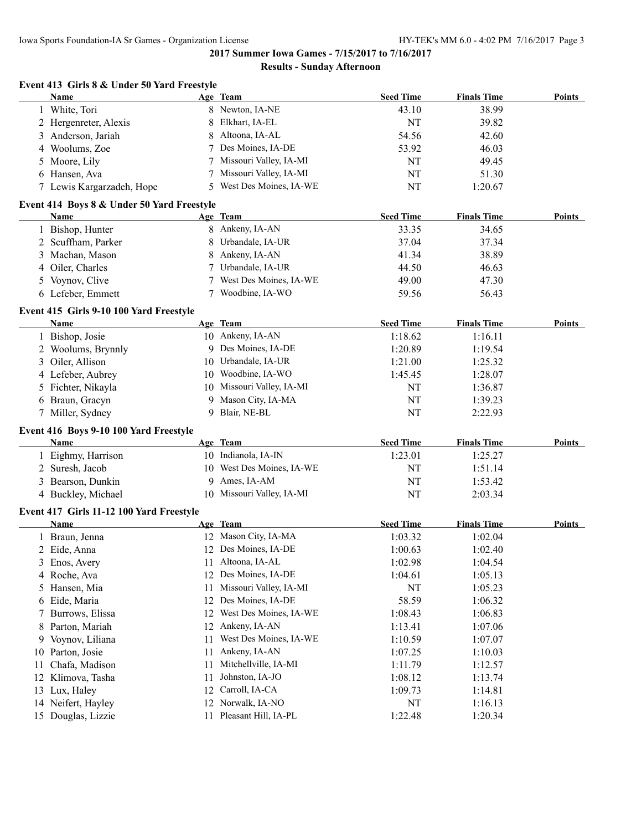#### **Results - Sunday Afternoon**

|                | Name                                       |          | Age Team                         | <b>Seed Time</b> | <b>Finals Time</b> | Points        |
|----------------|--------------------------------------------|----------|----------------------------------|------------------|--------------------|---------------|
|                | 1 White, Tori                              |          | 8 Newton, IA-NE                  | 43.10            | 38.99              |               |
|                | 2 Hergenreter, Alexis                      |          | 8 Elkhart, IA-EL                 | NT               | 39.82              |               |
|                | 3 Anderson, Jariah                         | 8.       | Altoona, IA-AL                   | 54.56            | 42.60              |               |
| 4              | Woolums, Zoe                               |          | Des Moines, IA-DE                | 53.92            | 46.03              |               |
| 5              | Moore, Lily                                |          | Missouri Valley, IA-MI           | <b>NT</b>        | 49.45              |               |
|                | 6 Hansen, Ava                              |          | Missouri Valley, IA-MI           | <b>NT</b>        | 51.30              |               |
|                | 7 Lewis Kargarzadeh, Hope                  |          | West Des Moines, IA-WE           | <b>NT</b>        | 1:20.67            |               |
|                | Event 414 Boys 8 & Under 50 Yard Freestyle |          |                                  |                  |                    |               |
|                | Name                                       |          | Age Team                         | <b>Seed Time</b> | <b>Finals Time</b> | Points        |
|                | 1 Bishop, Hunter                           |          | 8 Ankeny, IA-AN                  | 33.35            | 34.65              |               |
|                | 2 Scuffham, Parker                         |          | 8 Urbandale, IA-UR               | 37.04            | 37.34              |               |
|                | 3 Machan, Mason                            |          | 8 Ankeny, IA-AN                  | 41.34            | 38.89              |               |
|                | 4 Oiler, Charles                           | 7        | Urbandale, IA-UR                 | 44.50            | 46.63              |               |
| 5 <sup>5</sup> | Voynov, Clive                              |          | West Des Moines, IA-WE           | 49.00            | 47.30              |               |
|                | 6 Lefeber, Emmett                          |          | Woodbine, IA-WO                  | 59.56            | 56.43              |               |
|                | Event 415 Girls 9-10 100 Yard Freestyle    |          |                                  |                  |                    |               |
|                | <b>Name</b>                                |          | Age Team                         | <b>Seed Time</b> | <b>Finals Time</b> | <b>Points</b> |
|                | 1 Bishop, Josie                            |          | 10 Ankeny, IA-AN                 | 1:18.62          | 1:16.11            |               |
|                | 2 Woolums, Brynnly                         |          | 9 Des Moines, IA-DE              | 1:20.89          | 1:19.54            |               |
|                | 3 Oiler, Allison                           |          | 10 Urbandale, IA-UR              | 1:21.00          | 1:25.32            |               |
|                | 4 Lefeber, Aubrey                          |          | 10 Woodbine, IA-WO               | 1:45.45          | 1:28.07            |               |
|                | 5 Fichter, Nikayla                         |          | 10 Missouri Valley, IA-MI        | NT               | 1:36.87            |               |
|                | 6 Braun, Gracyn                            |          | 9 Mason City, IA-MA              | NT               | 1:39.23            |               |
|                | 7 Miller, Sydney                           |          | 9 Blair, NE-BL                   | <b>NT</b>        | 2:22.93            |               |
|                | Event 416 Boys 9-10 100 Yard Freestyle     |          |                                  |                  |                    |               |
|                | Name                                       |          | Age Team                         | <b>Seed Time</b> | <b>Finals Time</b> | Points        |
|                |                                            |          |                                  |                  |                    |               |
|                | 1 Eighmy, Harrison                         |          | 10 Indianola, IA-IN              | 1:23.01          | 1:25.27            |               |
|                | 2 Suresh, Jacob                            |          | 10 West Des Moines, IA-WE        | NT               | 1:51.14            |               |
|                |                                            |          | 9 Ames, IA-AM                    | NT               | 1:53.42            |               |
|                | 3 Bearson, Dunkin<br>4 Buckley, Michael    |          | 10 Missouri Valley, IA-MI        | NT               | 2:03.34            |               |
|                | Event 417 Girls 11-12 100 Yard Freestyle   |          |                                  |                  |                    |               |
|                | Name                                       |          | Age Team                         | <b>Seed Time</b> | <b>Finals Time</b> | <b>Points</b> |
|                | 1 Braun, Jenna                             |          | 12 Mason City, IA-MA             | 1:03.32          | 1:02.04            |               |
|                | 2 Eide, Anna                               |          | 12 Des Moines, IA-DE             | 1:00.63          | 1:02.40            |               |
| 3              | Enos, Avery                                |          | 11 Altoona, IA-AL                | 1:02.98          | 1:04.54            |               |
|                | 4 Roche, Ava                               |          | 12 Des Moines, IA-DE             | 1:04.61          | 1:05.13            |               |
| 5.             | Hansen, Mia                                | 11       | Missouri Valley, IA-MI           | NT               | 1:05.23            |               |
|                | 6 Eide, Maria                              |          | 12 Des Moines, IA-DE             | 58.59            | 1:06.32            |               |
| 7              | Burrows, Elissa                            | 12       | West Des Moines, IA-WE           | 1:08.43          | 1:06.83            |               |
| 8              | Parton, Mariah                             |          | 12 Ankeny, IA-AN                 | 1:13.41          | 1:07.06            |               |
| 9              | Voynov, Liliana                            | 11       | West Des Moines, IA-WE           |                  |                    |               |
| 10             |                                            | 11       | Ankeny, IA-AN                    | 1:10.59          | 1:07.07            |               |
|                | Parton, Josie                              | 11       | Mitchellville, IA-MI             | 1:07.25          | 1:10.03            |               |
| 11             | Chafa, Madison                             |          |                                  | 1:11.79          | 1:12.57            |               |
| 12             | Klimova, Tasha                             | 11       | Johnston, IA-JO                  | 1:08.12          | 1:13.74            |               |
| 13<br>14       | Lux, Haley<br>Neifert, Hayley              | 12<br>12 | Carroll, IA-CA<br>Norwalk, IA-NO | 1:09.73<br>NT    | 1:14.81<br>1:16.13 |               |